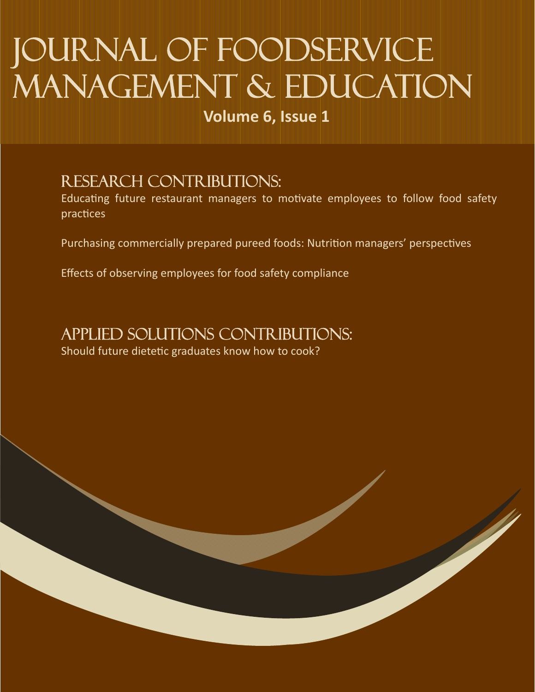# Journal of Foodservice MANAGEMENT & EDUCATION

**Volume 6, Issue 1**

## Research Contributions:

Educating future restaurant managers to motivate employees to follow food safety practices

Purchasing commercially prepared pureed foods: Nutrition managers' perspectives

Effects of observing employees for food safety compliance

## Applied solutions Contributions:

Should future dietetic graduates know how to cook?

ا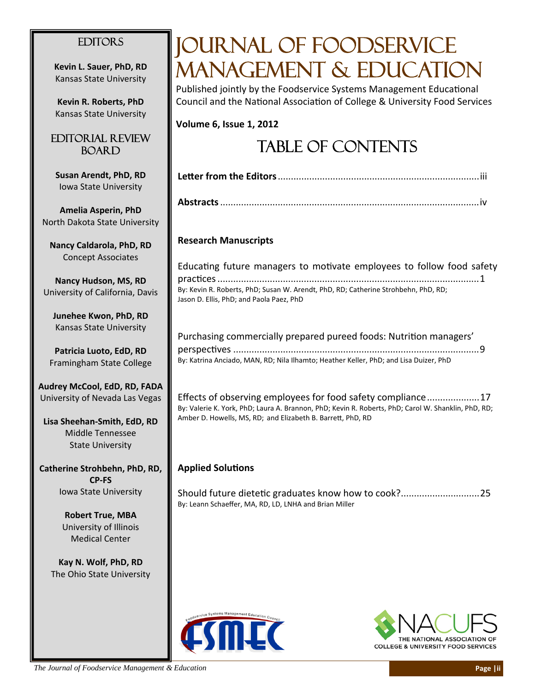### **EDITORS**

**Kevin L. Sauer, PhD, RD** Kansas State University

**Kevin R. Roberts, PhD** Kansas State University

### Editorial Review **BOARD**

**Susan Arendt, PhD, RD**  Iowa State University

**Amelia Asperin, PhD** North Dakota State Univers

**Nancy Caldarola, PhD, R** Concept Associates

**Nancy Hudson, MS, RD** University of California, Da

**Junehee Kwon, PhD, RD** Kansas State University

**Patricia Luoto, EdD, RD** Framingham State Colleg

**Audrey McCool, EdD, RD, F** University of Nevada Las Ve

**Lisa Sheehan-Smith, EdD,** Middle Tennessee State University

**Catherine Strohbehn, PhD, CP‐FS** Iowa State University

> **Robert True, MBA** University of Illinois Medical Center

**Kay N. Wolf, PhD, RD** The Ohio State University

## Journal of Foodservice MANAGEMENT & EDUCATION

Published jointly by the Foodservice Systems Management Educational Council and the National Association of College & University Food Services

**Volume 6, Issue 1, 2012**

## Table of Contents

| sity                    |                                                                                                                                                                                                                                   |
|-------------------------|-----------------------------------------------------------------------------------------------------------------------------------------------------------------------------------------------------------------------------------|
| D                       | <b>Research Manuscripts</b>                                                                                                                                                                                                       |
| vis                     | Educating future managers to motivate employees to follow food safety<br>By: Kevin R. Roberts, PhD; Susan W. Arendt, PhD, RD; Catherine Strohbehn, PhD, RD;<br>Jason D. Ellis, PhD; and Paola Paez, PhD                           |
| e                       | Purchasing commercially prepared pureed foods: Nutrition managers'<br>By: Katrina Anciado, MAN, RD; Nila Ilhamto; Heather Keller, PhD; and Lisa Duizer, PhD                                                                       |
| ADA<br>gas<br><b>RD</b> | Effects of observing employees for food safety compliance17<br>By: Valerie K. York, PhD; Laura A. Brannon, PhD; Kevin R. Roberts, PhD; Carol W. Shanklin, PhD, RD;<br>Amber D. Howells, MS, RD; and Elizabeth B. Barrett, PhD, RD |
| RD,                     | <b>Applied Solutions</b><br>Should future dietetic graduates know how to cook?25<br>By: Leann Schaeffer, MA, RD, LD, LNHA and Brian Miller                                                                                        |
|                         |                                                                                                                                                                                                                                   |



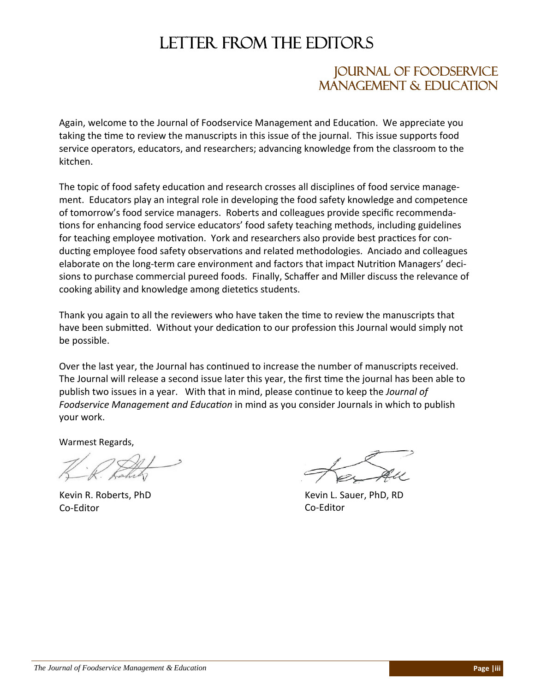## LETTER FROM THE EDITORS

### Journal of Foodservice Management & Education

Again, welcome to the Journal of Foodservice Management and Education. We appreciate you taking the time to review the manuscripts in this issue of the journal. This issue supports food service operators, educators, and researchers; advancing knowledge from the classroom to the kitchen.

The topic of food safety education and research crosses all disciplines of food service management. Educators play an integral role in developing the food safety knowledge and competence of tomorrow's food service managers. Roberts and colleagues provide specific recommendations for enhancing food service educators' food safety teaching methods, including guidelines for teaching employee motivation. York and researchers also provide best practices for conducting employee food safety observations and related methodologies. Anciado and colleagues elaborate on the long-term care environment and factors that impact Nutrition Managers' decisions to purchase commercial pureed foods. Finally, Schaffer and Miller discuss the relevance of cooking ability and knowledge among dietetics students.

Thank you again to all the reviewers who have taken the time to review the manuscripts that have been submitted. Without your dedication to our profession this Journal would simply not be possible.

Over the last year, the Journal has continued to increase the number of manuscripts received. The Journal will release a second issue later this year, the first time the journal has been able to publish two issues in a year. With that in mind, please continue to keep the *Journal of Foodservice Management and Education* in mind as you consider Journals in which to publish your work.

Warmest Regards,

Kevin R. Roberts, PhD Co-Editor

Kevin L. Sauer, PhD, RD Co-Editor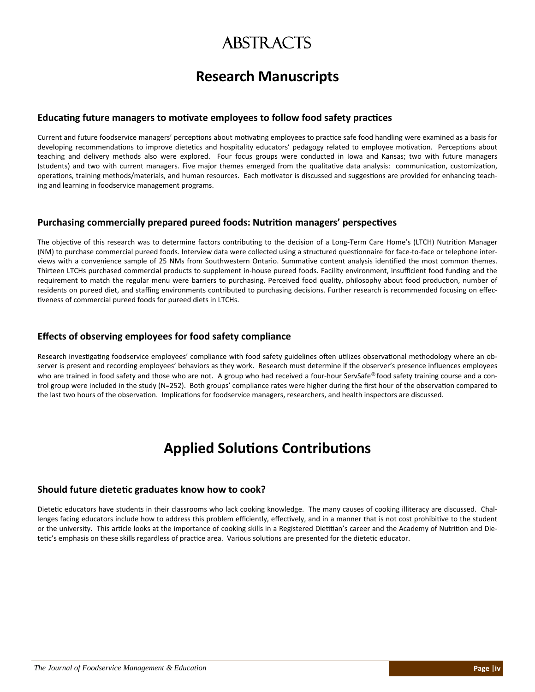## **ABSTRACTS**

## **Research Manuscripts**

#### **EducaƟng future managers to moƟvate employees to follow food safety pracƟces**

Current and future foodservice managers' perceptions about motivating employees to practice safe food handling were examined as a basis for developing recommendations to improve dietetics and hospitality educators' pedagogy related to employee motivation. Perceptions about teaching and delivery methods also were explored. Four focus groups were conducted in Iowa and Kansas; two with future managers (students) and two with current managers. Five major themes emerged from the qualitative data analysis: communication, customization, operations, training methods/materials, and human resources. Each motivator is discussed and suggestions are provided for enhancing teaching and learning in foodservice management programs.

#### **Purchasing commercially prepared pureed foods: NutriƟon managers' perspecƟves**

The objective of this research was to determine factors contributing to the decision of a Long-Term Care Home's (LTCH) Nutrition Manager (NM) to purchase commercial pureed foods. Interview data were collected using a structured questionnaire for face-to-face or telephone interviews with a convenience sample of 25 NMs from Southwestern Ontario. Summative content analysis identified the most common themes. Thirteen LTCHs purchased commercial products to supplement in-house pureed foods. Facility environment, insufficient food funding and the requirement to match the regular menu were barriers to purchasing. Perceived food quality, philosophy about food production, number of residents on pureed diet, and staffing environments contributed to purchasing decisions. Further research is recommended focusing on effectiveness of commercial pureed foods for pureed diets in LTCHs.

#### **Effects of observing employees for food safety compliance**

Research investigating foodservice employees' compliance with food safety guidelines often utilizes observational methodology where an observer is present and recording employees' behaviors as they work. Research must determine if the observer's presence influences employees who are trained in food safety and those who are not. A group who had received a four-hour ServSafe® food safety training course and a control group were included in the study (N=252). Both groups' compliance rates were higher during the first hour of the observation compared to the last two hours of the observation. Implications for foodservice managers, researchers, and health inspectors are discussed.

## **Applied SoluƟons ContribuƟons**

#### **Should future dieteƟc graduates know how to cook?**

Dietetic educators have students in their classrooms who lack cooking knowledge. The many causes of cooking illiteracy are discussed. Challenges facing educators include how to address this problem efficiently, effectively, and in a manner that is not cost prohibitive to the student or the university. This article looks at the importance of cooking skills in a Registered Dietitian's career and the Academy of Nutrition and Dietetic's emphasis on these skills regardless of practice area. Various solutions are presented for the dietetic educator.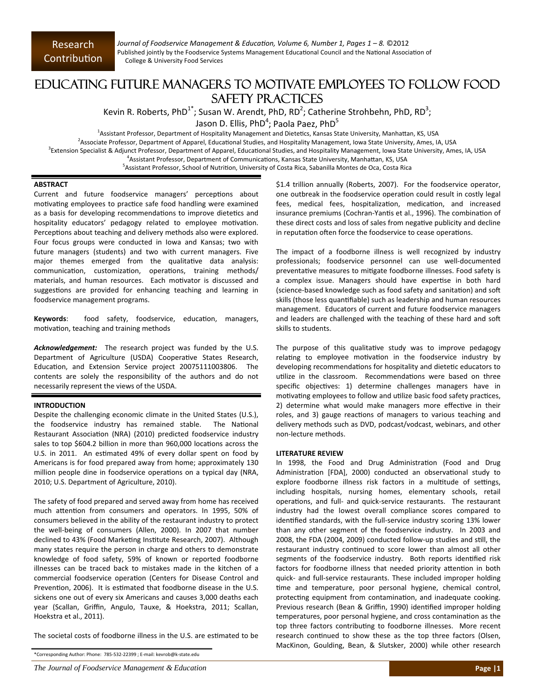*Journal of Foodservice Management & EducaƟon, Volume 6, Number 1, Pages 1 – 8.* ©2012 Published jointly by the Foodservice Systems Management Educational Council and the National Association of College & University Food Services

### Educating Future Managers to Motivate Employees to Follow Food Safety Practices

Kevin R. Roberts, PhD<sup>1\*</sup>; Susan W. Arendt, PhD, RD<sup>2</sup>; Catherine Strohbehn, PhD, RD<sup>3</sup>;

Jason D. Ellis, PhD<sup>4</sup>; Paola Paez, PhD<sup>5</sup>

<sup>1</sup>Assistant Professor, Department of Hospitality Management and Dietetics, Kansas State University, Manhattan, KS, USA

<sup>2</sup>Associate Professor, Department of Apparel, Educational Studies, and Hospitality Management, Iowa State University, Ames, IA, USA

<sup>3</sup>Extension Specialist & Adjunct Professor, Department of Apparel, Educational Studies, and Hospitality Management, Iowa State University, Ames, IA, USA

<sup>4</sup>Assistant Professor, Department of Communications, Kansas State University, Manhattan, KS, USA

<sup>5</sup>Assistant Professor, School of Nutrition, University of Costa Rica, Sabanilla Montes de Oca, Costa Rica

#### **ABSTRACT**

Current and future foodservice managers' perceptions about motivating employees to practice safe food handling were examined as a basis for developing recommendations to improve dietetics and hospitality educators' pedagogy related to employee motivation. Perceptions about teaching and delivery methods also were explored. Four focus groups were conducted in Iowa and Kansas; two with future managers (students) and two with current managers. Five major themes emerged from the qualitative data analysis: communication, customization, operations, training methods/ materials, and human resources. Each motivator is discussed and suggestions are provided for enhancing teaching and learning in foodservice management programs.

Keywords: food safety, foodservice, education, managers, motivation, teaching and training methods

Acknowledgement: The research project was funded by the U.S. Department of Agriculture (USDA) Cooperative States Research, Education, and Extension Service project 20075111003806. The contents are solely the responsibility of the authors and do not necessarily represent the views of the USDA.

#### **INTRODUCTION**

Despite the challenging economic climate in the United States (U.S.), the foodservice industry has remained stable. The National Restaurant Association (NRA) (2010) predicted foodservice industry sales to top \$604.2 billion in more than 960,000 locations across the U.S. in 2011. An estimated 49% of every dollar spent on food by Americans is for food prepared away from home; approximately 130 million people dine in foodservice operations on a typical day (NRA, 2010; U.S. Department of Agriculture, 2010).

The safety of food prepared and served away from home has received much attention from consumers and operators. In 1995, 50% of consumers believed in the ability of the restaurant industry to protect the well‐being of consumers (Allen, 2000). In 2007 that number declined to 43% (Food Marketing Institute Research, 2007). Although many states require the person in charge and others to demonstrate knowledge of food safety, 59% of known or reported foodborne illnesses can be traced back to mistakes made in the kitchen of a commercial foodservice operation (Centers for Disease Control and Prevention, 2006). It is estimated that foodborne disease in the U.S. sickens one out of every six Americans and causes 3,000 deaths each year (Scallan, Griffin, Angulo, Tauxe, & Hoekstra, 2011; Scallan, Hoekstra et al., 2011).

The societal costs of foodborne illness in the U.S. are estimated to be

\*Corresponding Author: Phone: 785‐532‐22399 ; E‐mail: kevrob@k‐state.edu

*The Journal of Foodservice Management & Education* **Page |1**

\$1.4 trillion annually (Roberts, 2007). For the foodservice operator, one outbreak in the foodservice operation could result in costly legal fees, medical fees, hospitalization, medication, and increased insurance premiums (Cochran-Yantis et al., 1996). The combination of these direct costs and loss of sales from negative publicity and decline in reputation often force the foodservice to cease operations.

The impact of a foodborne illness is well recognized by industry professionals; foodservice personnel can use well‐documented preventative measures to mitigate foodborne illnesses. Food safety is a complex issue. Managers should have expertise in both hard (science-based knowledge such as food safety and sanitation) and soft skills (those less quantifiable) such as leadership and human resources management. Educators of current and future foodservice managers and leaders are challenged with the teaching of these hard and soft skills to students.

The purpose of this qualitative study was to improve pedagogy relating to employee motivation in the foodservice industry by developing recommendations for hospitality and dietetic educators to utilize in the classroom. Recommendations were based on three specific objectives: 1) determine challenges managers have in motivating employees to follow and utilize basic food safety practices, 2) determine what would make managers more effective in their roles, and 3) gauge reactions of managers to various teaching and delivery methods such as DVD, podcast/vodcast, webinars, and other non‐lecture methods.

#### **LITERATURE REVIEW**

In 1998, the Food and Drug Administration (Food and Drug Administration [FDA], 2000) conducted an observational study to explore foodborne illness risk factors in a multitude of settings, including hospitals, nursing homes, elementary schools, retail operations, and full- and quick-service restaurants. The restaurant industry had the lowest overall compliance scores compared to identified standards, with the full-service industry scoring 13% lower than any other segment of the foodservice industry. In 2003 and 2008, the FDA (2004, 2009) conducted follow-up studies and still, the restaurant industry continued to score lower than almost all other segments of the foodservice industry. Both reports identified risk factors for foodborne illness that needed priority attention in both quick‐ and full‐service restaurants. These included improper holding time and temperature, poor personal hygiene, chemical control, protecting equipment from contamination, and inadequate cooking. Previous research (Bean & Griffin, 1990) identified improper holding temperatures, poor personal hygiene, and cross contamination as the top three factors contributing to foodborne illnesses. More recent research continued to show these as the top three factors (Olsen, MacKinon, Goulding, Bean, & Slutsker, 2000) while other research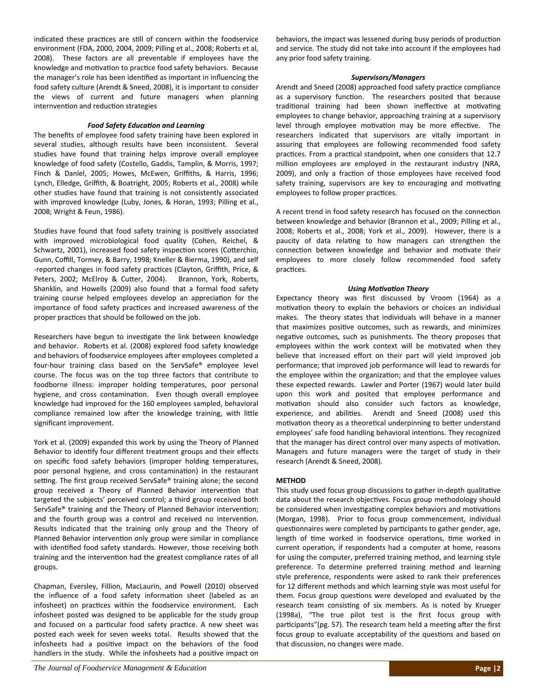indicated these practices are still of concern within the foodservice environment (FDA, 2000, 2004, 2009; Pilling et al., 2008; Roberts et al, 2008). These factors are all preventable if employees have the knowledge and motivation to practice food safety behaviors. Because the manager's role has been identified as important in influencing the food safety culture (Arendt & Sneed, 2008), it is important to consider the views of current and future managers when planning internvention and reduction strategies

#### *Food Safety EducaƟon and Learning*

The benefits of employee food safety training have been explored in several studies, although results have been inconsistent. Several studies have found that training helps improve overall employee knowledge of food safety (Costello, Gaddis, Tamplin, & Morris, 1997; Finch & Daniel, 2005; Howes, McEwen, Griffiths, & Harris, 1996; Lynch, Elledge, Griffith, & Boatright, 2005; Roberts et al., 2008) while other studies have found that training is not consistently associated with improved knowledge (Luby, Jones, & Horan, 1993; Pilling et al., 2008; Wright & Feun, 1986).

Studies have found that food safety training is positively associated with improved microbiological food quality (Cohen, Reichel, & Schwartz, 2001), increased food safety inspection scores (Cotterchio, Gunn, Coffill, Tormey, & Barry, 1998; Kneller & Bierma, 1990), and self -reported changes in food safety practices (Clayton, Griffith, Price, & Peters, 2002; McElroy & Cutter, 2004). Brannon, York, Roberts, Shanklin, and Howells (2009) also found that a formal food safety training course helped employees develop an appreciation for the importance of food safety practices and increased awareness of the proper practices that should be followed on the job.

Researchers have begun to investigate the link between knowledge and behavior. Roberts et al. (2008) explored food safety knowledge and behaviors of foodservice employees after employees completed a four‐hour training class based on the ServSafe® employee level course. The focus was on the top three factors that contribute to foodborne illness: improper holding temperatures, poor personal hygiene, and cross contamination. Even though overall employee knowledge had improved for the 160 employees sampled, behavioral compliance remained low after the knowledge training, with little significant improvement.

York et al. (2009) expanded this work by using the Theory of Planned Behavior to identify four different treatment groups and their effects on specific food safety behaviors (improper holding temperatures, poor personal hygiene, and cross contamination) in the restaurant setting. The first group received ServSafe® training alone; the second group received a Theory of Planned Behavior intervention that targeted the subjects' perceived control; a third group received both ServSafe® training and the Theory of Planned Behavior intervention; and the fourth group was a control and received no intervention. Results indicated that the training only group and the Theory of Planned Behavior intervention only group were similar in compliance with identified food safety standards. However, those receiving both training and the intervention had the greatest compliance rates of all groups.

Chapman, Eversley, Fillion, MacLaurin, and Powell (2010) observed the influence of a food safety information sheet (labeled as an infosheet) on practices within the foodservice environment. Each infosheet posted was designed to be applicable for the study group and focused on a particular food safety practice. A new sheet was posted each week for seven weeks total. Results showed that the infosheets had a positive impact on the behaviors of the food handlers in the study. While the infosheets had a positive impact on behaviors, the impact was lessened during busy periods of production and service. The study did not take into account if the employees had any prior food safety training.

#### *Supervisors/Managers*

Arendt and Sneed (2008) approached food safety practice compliance as a supervisory function. The researchers posited that because traditional training had been shown ineffective at motivating employees to change behavior, approaching training at a supervisory level through employee motivation may be more effective. The researchers indicated that supervisors are vitally important in assuring that employees are following recommended food safety practices. From a practical standpoint, when one considers that 12.7 million employees are employed in the restaurant industry (NRA, 2009), and only a fraction of those employees have received food safety training, supervisors are key to encouraging and motivating employees to follow proper practices.

A recent trend in food safety research has focused on the connection between knowledge and behavior (Brannon et al., 2009; Pilling et al., 2008; Roberts et al., 2008; York et al., 2009). However, there is a paucity of data relating to how managers can strengthen the connection between knowledge and behavior and motivate their employees to more closely follow recommended food safety practices.

#### *Using MoƟvaƟon Theory*

Expectancy theory was first discussed by Vroom (1964) as a motivation theory to explain the behaviors or choices an individual makes. The theory states that individuals will behave in a manner that maximizes positive outcomes, such as rewards, and minimizes negative outcomes, such as punishments. The theory proposes that employees within the work context will be motivated when they believe that increased effort on their part will yield improved job performance; that improved job performance will lead to rewards for the employee within the organization; and that the employee values these expected rewards. Lawler and Porter (1967) would later build upon this work and posited that employee performance and motivation should also consider such factors as knowledge, experience, and abilities. Arendt and Sneed (2008) used this motivation theory as a theoretical underpinning to better understand employees' safe food handling behavioral intentions. They recognized that the manager has direct control over many aspects of motivation. Managers and future managers were the target of study in their research (Arendt & Sneed, 2008).

#### **METHOD**

This study used focus group discussions to gather in-depth qualitative data about the research objectives. Focus group methodology should be considered when investigating complex behaviors and motivations (Morgan, 1998). Prior to focus group commencement, individual questionnaires were completed by participants to gather gender, age, length of time worked in foodservice operations, time worked in current operation, if respondents had a computer at home, reasons for using the computer, preferred training method, and learning style preference. To determine preferred training method and learning style preference, respondents were asked to rank their preferences for 12 different methods and which learning style was most useful for them. Focus group questions were developed and evaluated by the research team consisting of six members. As is noted by Krueger (1998a), "The true pilot test is the first focus group with participants"(pg. 57). The research team held a meeting after the first focus group to evaluate acceptability of the questions and based on that discussion, no changes were made.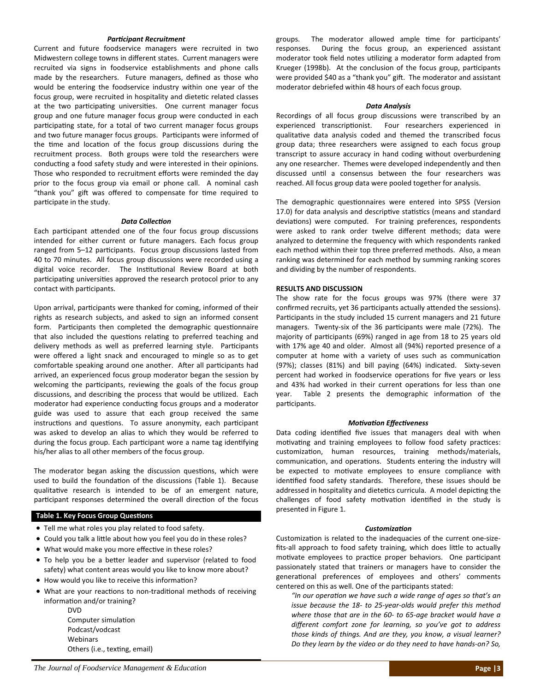#### *ParƟcipant Recruitment*

Current and future foodservice managers were recruited in two Midwestern college towns in different states. Current managers were recruited via signs in foodservice establishments and phone calls made by the researchers. Future managers, defined as those who would be entering the foodservice industry within one year of the focus group, were recruited in hospitality and dietetic related classes at the two participating universities. One current manager focus group and one future manager focus group were conducted in each participating state, for a total of two current manager focus groups and two future manager focus groups. Participants were informed of the time and location of the focus group discussions during the recruitment process. Both groups were told the researchers were conducting a food safety study and were interested in their opinions. Those who responded to recruitment efforts were reminded the day prior to the focus group via email or phone call. A nominal cash "thank you" gift was offered to compensate for time required to participate in the study.

#### *Data CollecƟon*

Each participant attended one of the four focus group discussions intended for either current or future managers. Each focus group ranged from 5-12 participants. Focus group discussions lasted from 40 to 70 minutes. All focus group discussions were recorded using a digital voice recorder. The Institutional Review Board at both participating universities approved the research protocol prior to any contact with participants.

Upon arrival, participants were thanked for coming, informed of their rights as research subjects, and asked to sign an informed consent form. Participants then completed the demographic questionnaire that also included the questions relating to preferred teaching and delivery methods as well as preferred learning style. Participants were offered a light snack and encouraged to mingle so as to get comfortable speaking around one another. After all participants had arrived, an experienced focus group moderator began the session by welcoming the participants, reviewing the goals of the focus group discussions, and describing the process that would be utilized. Each moderator had experience conducting focus groups and a moderator guide was used to assure that each group received the same instructions and questions. To assure anonymity, each participant was asked to develop an alias to which they would be referred to during the focus group. Each participant wore a name tag identifying his/her alias to all other members of the focus group.

The moderator began asking the discussion questions, which were used to build the foundation of the discussions (Table 1). Because qualitative research is intended to be of an emergent nature, participant responses determined the overall direction of the focus

#### **Table 1. Key Focus Group Questions**

- Tell me what roles you play related to food safety.
- Could you talk a little about how you feel you do in these roles?
- What would make you more effective in these roles?
- To help you be a better leader and supervisor (related to food safety) what content areas would you like to know more about?
- $\bullet$  How would you like to receive this information?
- What are your reactions to non-traditional methods of receiving information and/or training? DVD

Computer simulation Podcast/vodcast Webinars Others (i.e., texting, email) groups. The moderator allowed ample time for participants' responses. During the focus group, an experienced assistant moderator took field notes utilizing a moderator form adapted from Krueger (1998b). At the conclusion of the focus group, participants were provided \$40 as a "thank you" gift. The moderator and assistant moderator debriefed within 48 hours of each focus group.

#### *Data Analysis*

Recordings of all focus group discussions were transcribed by an experienced transcriptionist. Four researchers experienced in qualitative data analysis coded and themed the transcribed focus group data; three researchers were assigned to each focus group transcript to assure accuracy in hand coding without overburdening any one researcher. Themes were developed independently and then discussed until a consensus between the four researchers was reached. All focus group data were pooled together for analysis.

The demographic questionnaires were entered into SPSS (Version 17.0) for data analysis and descriptive statistics (means and standard deviations) were computed. For training preferences, respondents were asked to rank order twelve different methods; data were analyzed to determine the frequency with which respondents ranked each method within their top three preferred methods. Also, a mean ranking was determined for each method by summing ranking scores and dividing by the number of respondents.

#### **RESULTS AND DISCUSSION**

The show rate for the focus groups was 97% (there were 37 confirmed recruits, yet 36 participants actually attended the sessions). Participants in the study included 15 current managers and 21 future managers. Twenty-six of the 36 participants were male (72%). The majority of participants (69%) ranged in age from 18 to 25 years old with 17% age 40 and older. Almost all (94%) reported presence of a computer at home with a variety of uses such as communication (97%); classes (81%) and bill paying (64%) indicated. Sixty‐seven percent had worked in foodservice operations for five years or less and 43% had worked in their current operations for less than one year. Table 2 presents the demographic information of the participants.

#### *MoƟvaƟon EffecƟveness*

Data coding identified five issues that managers deal with when motivating and training employees to follow food safety practices: customization, human resources, training methods/materials, communication, and operations. Students entering the industry will be expected to motivate employees to ensure compliance with identified food safety standards. Therefore, these issues should be addressed in hospitality and dietetics curricula. A model depicting the challenges of food safety motivation identified in the study is presented in Figure 1.

#### *CustomizaƟon*

Customization is related to the inadequacies of the current one-sizefits-all approach to food safety training, which does little to actually motivate employees to practice proper behaviors. One participant passionately stated that trainers or managers have to consider the generational preferences of employees and others' comments centered on this as well. One of the participants stated:

*"In our operaƟon we have such a wide range of ages so that's an issue because the 18‐ to 25‐year‐olds would prefer this method where those that are in the 60‐ to 65‐age bracket would have a different comfort zone for learning, so you've got to address those kinds of things. And are they, you know, a visual learner? Do they learn by the video or do they need to have hands‐on? So,*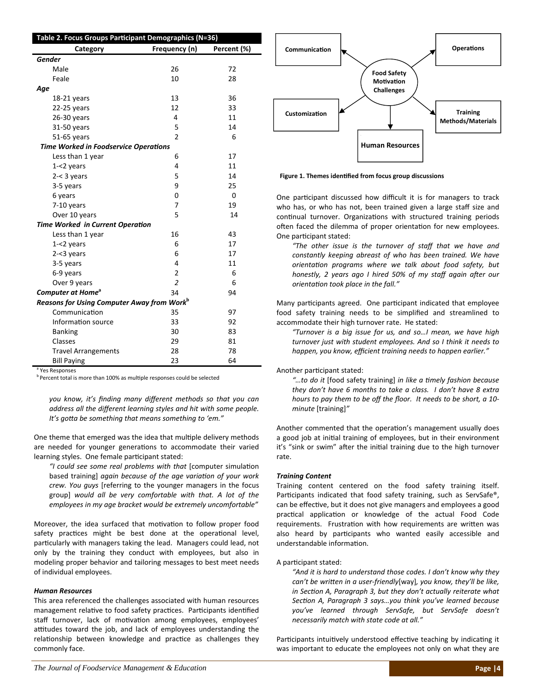| Table 2. Focus Groups Participant Demographics (N=36)  |                |                |  |  |  |
|--------------------------------------------------------|----------------|----------------|--|--|--|
| Category                                               | Frequency (n)  | Percent (%)    |  |  |  |
| <b>Gender</b>                                          |                |                |  |  |  |
| Male                                                   | 26             | 72             |  |  |  |
| Feale                                                  | 10             | 28             |  |  |  |
| Age                                                    |                |                |  |  |  |
| 18-21 years                                            | 13             | 36             |  |  |  |
| 22-25 years                                            | 12             | 33             |  |  |  |
| 26-30 years                                            | 4              | 11             |  |  |  |
| 31-50 years                                            | 5              | 14             |  |  |  |
| 51-65 years                                            | $\mathfrak{p}$ | 6              |  |  |  |
| <b>Time Worked in Foodservice Operations</b>           |                |                |  |  |  |
| Less than 1 year                                       | 6              | 17             |  |  |  |
| $1 - 2$ years                                          | 4              | 11             |  |  |  |
| $2 - < 3$ years                                        | 5              | 14             |  |  |  |
| 3-5 years                                              | 9              | 25             |  |  |  |
| 6 years                                                | $\Omega$       | $\overline{0}$ |  |  |  |
| 7-10 years                                             | 7              | 19             |  |  |  |
| Over 10 years                                          | 5              | 14             |  |  |  |
| Time Worked in Current Operation                       |                |                |  |  |  |
| Less than 1 year                                       | 16             | 43             |  |  |  |
| $1 - 2$ years                                          | 6              | 17             |  |  |  |
| $2 - 3$ years                                          | 6              | 17             |  |  |  |
| 3-5 years                                              | 4              | 11             |  |  |  |
| 6-9 years                                              | $\overline{2}$ | 6              |  |  |  |
| Over 9 years                                           | $\overline{2}$ | 6              |  |  |  |
| <b>Computer at Home<sup>a</sup></b>                    | 34             | 94             |  |  |  |
| Reasons for Using Computer Away from Work <sup>b</sup> |                |                |  |  |  |
| Communication                                          | 35             | 97             |  |  |  |
| Information source                                     | 33             | 92             |  |  |  |
| <b>Banking</b>                                         | 30             | 83             |  |  |  |
| Classes                                                | 29             | 81             |  |  |  |
| <b>Travel Arrangements</b>                             | 28             | 78             |  |  |  |
| <b>Bill Paying</b>                                     | 23             | 64             |  |  |  |
| <sup>a</sup> Yes Responses                             |                |                |  |  |  |

 $<sup>b</sup>$  Percent total is more than 100% as multiple responses could be selected</sup>

*you know, it's finding many different methods so that you can address all the different learning styles and hit with some people. It's goƩa be something that means something to 'em."*

One theme that emerged was the idea that multiple delivery methods are needed for younger generations to accommodate their varied learning styles. One female participant stated:

*"I could see some real problems with that* [computer simulaƟon based training] *again because of the age variaƟon of your work crew. You guys* [referring to the younger managers in the focus group] *would all be very comfortable with that. A lot of the employees in my age bracket would be extremely uncomfortable"*

Moreover, the idea surfaced that motivation to follow proper food safety practices might be best done at the operational level, particularly with managers taking the lead. Managers could lead, not only by the training they conduct with employees, but also in modeling proper behavior and tailoring messages to best meet needs of individual employees.

#### *Human Resources*

This area referenced the challenges associated with human resources management relative to food safety practices. Participants identified staff turnover, lack of motivation among employees, employees' attitudes toward the job, and lack of employees understanding the relationship between knowledge and practice as challenges they commonly face.



**Figure 1. Themes idenƟfied from focus group discussions** 

One participant discussed how difficult it is for managers to track who has, or who has not, been trained given a large staff size and continual turnover. Organizations with structured training periods often faced the dilemma of proper orientation for new employees. One participant stated:

*"The other issue is the turnover of staff that we have and constantly keeping abreast of who has been trained. We have orientaƟon programs where we talk about food safety, but honestly,* 2 years ago *I* hired 50% of my staff again after our *orientaƟon took place in the fall."*

Many participants agreed. One participant indicated that employee food safety training needs to be simplified and streamlined to accommodate their high turnover rate. He stated:

*"Turnover is a big issue for us, and so…I mean, we have high turnover just with student employees. And so I think it needs to happen, you know, efficient training needs to happen earlier."*

Another participant stated:

*"…to do it* [food safety training] *in like a Ɵmely fashion because they don't have 6 months to take a class. I don't have 8 extra hours to pay them to be off the floor. It needs to be short, a 10‐ minute* [training]*"*

Another commented that the operation's management usually does a good job at initial training of employees, but in their environment it's "sink or swim" after the initial training due to the high turnover rate.

#### *Training Content*

Training content centered on the food safety training itself. Participants indicated that food safety training, such as ServSafe®, can be effective, but it does not give managers and employees a good practical application or knowledge of the actual Food Code requirements. Frustration with how requirements are written was also heard by participants who wanted easily accessible and understandable information.

#### A participant stated:

*"And it is hard to understand those codes. I don't know why they can't be wriƩen in a user‐friendly*[way]*, you know, they'll be like, in SecƟon A, Paragraph 3, but they don't actually reiterate what SecƟon A, Paragraph 3 says…you think you've learned because you've learned through ServSafe, but ServSafe doesn't necessarily match with state code at all."*

Participants intuitively understood effective teaching by indicating it was important to educate the employees not only on what they are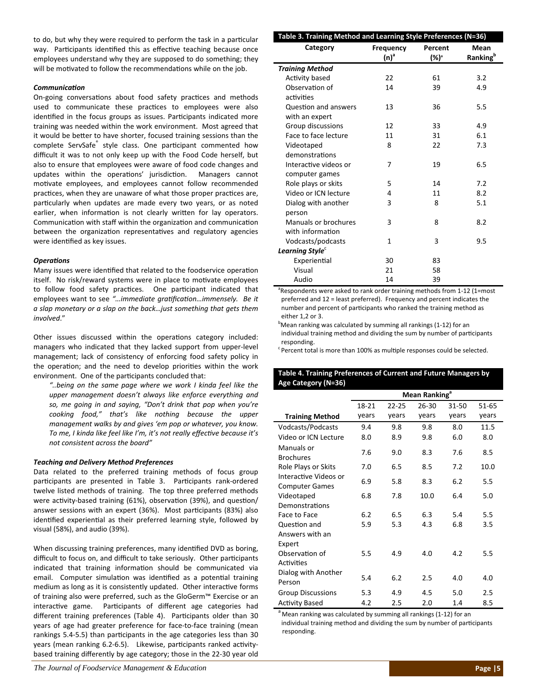to do, but why they were required to perform the task in a particular way. Participants identified this as effective teaching because once employees understand why they are supposed to do something; they will be motivated to follow the recommendations while on the job.

#### *CommunicaƟon*

On-going conversations about food safety practices and methods used to communicate these practices to employees were also identified in the focus groups as issues. Participants indicated more training was needed within the work environment. Most agreed that it would be better to have shorter, focused training sessions than the complete ServSafe<sup>®</sup> style class. One participant commented how difficult it was to not only keep up with the Food Code herself, but also to ensure that employees were aware of food code changes and updates within the operations' jurisdiction. Managers cannot motivate employees, and employees cannot follow recommended practices, when they are unaware of what those proper practices are, particularly when updates are made every two years, or as noted earlier, when information is not clearly written for lay operators. Communication with staff within the organization and communication between the organization representatives and regulatory agencies were identified as key issues.

#### *OperaƟons*

Many issues were identified that related to the foodservice operation itself. No risk/reward systems were in place to motivate employees to follow food safety practices. One participant indicated that employees want to see *"…immediate graƟficaƟon…immensely. Be it a slap monetary or a slap on the back…just something that gets them involved*."

Other issues discussed within the operations category included: managers who indicated that they lacked support from upper‐level management; lack of consistency of enforcing food safety policy in the operation; and the need to develop priorities within the work environment. One of the participants concluded that:

*"..being on the same page where we work I kinda feel like the upper management doesn't always like enforce everything and so, me going in and saying, "Don't drink that pop when you're cooking food," that's like nothing because the upper management walks by and gives 'em pop or whatever, you know. To me, I kinda like feel like I'm, it's not really effecƟve because it's not consistent across the board"*

#### *Teaching and Delivery Method Preferences*

Data related to the preferred training methods of focus group participants are presented in Table 3. Participants rank-ordered twelve listed methods of training. The top three preferred methods were activity-based training (61%), observation (39%), and question/ answer sessions with an expert (36%). Most participants (83%) also identified experiential as their preferred learning style, followed by visual (58%), and audio (39%).

When discussing training preferences, many identified DVD as boring, difficult to focus on, and difficult to take seriously. Other participants indicated that training information should be communicated via email. Computer simulation was identified as a potential training medium as long as it is consistently updated. Other interactive forms of training also were preferred, such as the GloGerm™ Exercise or an interactive game. Participants of different age categories had different training preferences (Table 4). Participants older than 30 years of age had greater preference for face-to-face training (mean rankings 5.4-5.5) than participants in the age categories less than 30 years (mean ranking 6.2-6.5). Likewise, participants ranked activitybased training differently by age category; those in the 22‐30 year old

| Table 3. Training Method and Learning Style Preferences (N=36)             |                             |                                                                    |                                     |  |  |  |
|----------------------------------------------------------------------------|-----------------------------|--------------------------------------------------------------------|-------------------------------------|--|--|--|
| Category                                                                   | <b>Frequency</b><br>$(n)^a$ | Percent<br>$(\%)^a$                                                | Mean<br><b>Ranking</b> <sup>b</sup> |  |  |  |
| <b>Training Method</b>                                                     |                             |                                                                    |                                     |  |  |  |
| Activity based                                                             | 22                          | 61                                                                 | 3.2                                 |  |  |  |
| Observation of                                                             | 14                          | 39                                                                 | 4.9                                 |  |  |  |
| activities                                                                 |                             |                                                                    |                                     |  |  |  |
| Question and answers                                                       | 13                          | 36                                                                 | 5.5                                 |  |  |  |
| with an expert                                                             |                             |                                                                    |                                     |  |  |  |
| Group discussions                                                          | 12                          | 33                                                                 | 4.9                                 |  |  |  |
| Face to face lecture                                                       | 11                          | 31                                                                 | 6.1                                 |  |  |  |
| Videotaped                                                                 | 8                           | 22                                                                 | 7.3                                 |  |  |  |
| demonstrations                                                             |                             |                                                                    |                                     |  |  |  |
| Interactive videos or                                                      | 7                           | 19                                                                 | 6.5                                 |  |  |  |
| computer games                                                             |                             |                                                                    |                                     |  |  |  |
| Role plays or skits                                                        | 5                           | 14                                                                 | 7.2                                 |  |  |  |
| Video or ICN lecture                                                       | 4                           | 11                                                                 | 8.2                                 |  |  |  |
| Dialog with another                                                        | 3                           | 8                                                                  | 5.1                                 |  |  |  |
| person                                                                     |                             |                                                                    |                                     |  |  |  |
| Manuals or brochures                                                       | 3                           | 8                                                                  | 8.2                                 |  |  |  |
| with information                                                           |                             |                                                                    |                                     |  |  |  |
| Vodcasts/podcasts                                                          | $\mathbf{1}$                | 3                                                                  | 9.5                                 |  |  |  |
| Learning Style <sup>c</sup>                                                |                             |                                                                    |                                     |  |  |  |
| Experiential                                                               | 30                          | 83                                                                 |                                     |  |  |  |
| Visual                                                                     | 21                          | 58                                                                 |                                     |  |  |  |
| Audio<br>$a_{\mathbf{n}}$<br>سنفر المرسورات<br>الماداد المتقامات مالمانيات | 14<br>المتناسبة والماسية    | 39<br>$L_{\text{total}}$ and $L_{\text{total}}$ and $A = 10^{-14}$ |                                     |  |  |  |

<sup>a</sup>Respondents were asked to rank order training methods from 1-12 (1=most preferred and 12 = least preferred). Frequency and percent indicates the number and percent of participants who ranked the training method as either 1,2 or 3.

<sup>b</sup>Mean ranking was calculated by summing all rankings (1-12) for an individual training method and dividing the sum by number of participants responding.

 $\epsilon$ Percent total is more than 100% as multiple responses could be selected.

**Table 4. Training Preferences of Current and Future Managers by**

| Age Category (N=36)                            |                           |           |           |           |           |
|------------------------------------------------|---------------------------|-----------|-----------|-----------|-----------|
|                                                | Mean Ranking <sup>a</sup> |           |           |           |           |
|                                                | 18-21                     | $22 - 25$ | $26 - 30$ | $31 - 50$ | $51 - 65$ |
| <b>Training Method</b>                         | years                     | years     | years     | years     | years     |
| Vodcasts/Podcasts                              | 9.4                       | 9.8       | 9.8       | 8.0       | 11.5      |
| Video or ICN Lecture                           | 8.0                       | 8.9       | 9.8       | 6.0       | 8.0       |
| Manuals or<br><b>Brochures</b>                 | 7.6                       | 9.0       | 8.3       | 7.6       | 8.5       |
| Role Plays or Skits                            | 7.0                       | 6.5       | 8.5       | 7.2       | 10.0      |
| Interactive Videos or<br><b>Computer Games</b> | 6.9                       | 5.8       | 8.3       | 6.2       | 5.5       |
| Videotaped                                     | 6.8                       | 7.8       | 10.0      | 6.4       | 5.0       |
| Demonstrations                                 |                           |           |           |           |           |
| Face to Face                                   | 6.2                       | 6.5       | 6.3       | 5.4       | 5.5       |
| Question and                                   | 5.9                       | 5.3       | 4.3       | 6.8       | 3.5       |
| Answers with an                                |                           |           |           |           |           |
| Expert                                         |                           |           |           |           |           |
| Observation of                                 | 5.5                       | 4.9       | 4.0       | 4.2       | 5.5       |
| Activities                                     |                           |           |           |           |           |
| Dialog with Another                            | 5.4                       | 6.2       | 2.5       | 4.0       | 4.0       |
| Person                                         |                           |           |           |           |           |
| <b>Group Discussions</b>                       | 5.3                       | 4.9       | 4.5       | 5.0       | 2.5       |
| <b>Activity Based</b>                          | 4.2                       | 2.5       | 2.0       | 1.4       | 8.5       |

<sup>a</sup> Mean ranking was calculated by summing all rankings (1-12) for an individual training method and dividing the sum by number of participants responding.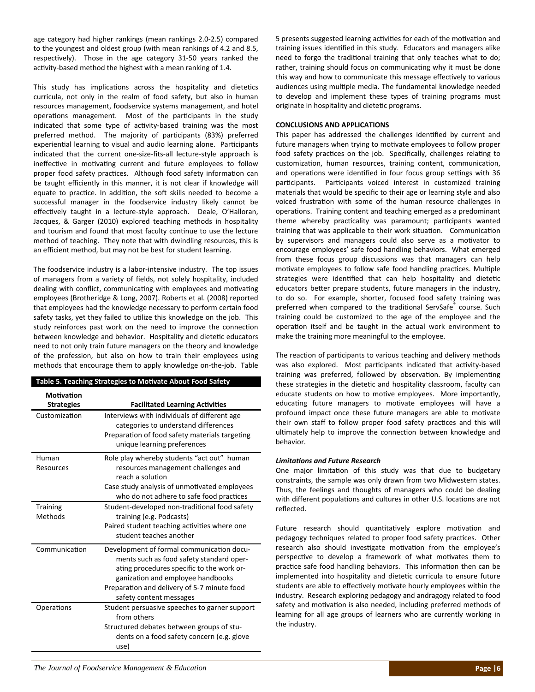age category had higher rankings (mean rankings 2.0‐2.5) compared to the youngest and oldest group (with mean rankings of 4.2 and 8.5, respectively). Those in the age category 31-50 years ranked the activity-based method the highest with a mean ranking of 1.4.

This study has implications across the hospitality and dietetics curricula, not only in the realm of food safety, but also in human resources management, foodservice systems management, and hotel operations management. Most of the participants in the study indicated that some type of activity-based training was the most preferred method. The majority of participants (83%) preferred experiential learning to visual and audio learning alone. Participants indicated that the current one‐size‐fits‐all lecture‐style approach is ineffective in motivating current and future employees to follow proper food safety practices. Although food safety information can be taught efficiently in this manner, it is not clear if knowledge will equate to practice. In addition, the soft skills needed to become a successful manager in the foodservice industry likely cannot be effectively taught in a lecture-style approach. Deale, O'Halloran, Jacques, & Garger (2010) explored teaching methods in hospitality and tourism and found that most faculty continue to use the lecture method of teaching. They note that with dwindling resources, this is an efficient method, but may not be best for student learning.

The foodservice industry is a labor‐intensive industry. The top issues of managers from a variety of fields, not solely hospitality, included dealing with conflict, communicating with employees and motivating employees (Brotheridge & Long, 2007). Roberts et al. (2008) reported that employees had the knowledge necessary to perform certain food safety tasks, yet they failed to utilize this knowledge on the job. This study reinforces past work on the need to improve the connection between knowledge and behavior. Hospitality and dietetic educators need to not only train future managers on the theory and knowledge of the profession, but also on how to train their employees using methods that encourage them to apply knowledge on‐the‐job. Table

|                                        | Table 5. Teaching Strategies to Motivate About Food Safety                                                                                                                                                                                        |
|----------------------------------------|---------------------------------------------------------------------------------------------------------------------------------------------------------------------------------------------------------------------------------------------------|
| <b>Motivation</b><br><b>Strategies</b> | <b>Facilitated Learning Activities</b>                                                                                                                                                                                                            |
| Customization                          | Interviews with individuals of different age<br>categories to understand differences<br>Preparation of food safety materials targeting<br>unique learning preferences                                                                             |
| Human<br>Resources                     | Role play whereby students "act out" human<br>resources management challenges and<br>reach a solution<br>Case study analysis of unmotivated employees<br>who do not adhere to safe food practices                                                 |
| <b>Training</b><br>Methods             | Student-developed non-traditional food safety<br>training (e.g. Podcasts)<br>Paired student teaching activities where one<br>student teaches another                                                                                              |
| Communication                          | Development of formal communication docu-<br>ments such as food safety standard oper-<br>ating procedures specific to the work or-<br>ganization and employee handbooks<br>Preparation and delivery of 5-7 minute food<br>safety content messages |
| Operations                             | Student persuasive speeches to garner support<br>from others<br>Structured debates between groups of stu-<br>dents on a food safety concern (e.g. glove<br>use)                                                                                   |

5 presents suggested learning activities for each of the motivation and training issues identified in this study. Educators and managers alike need to forgo the traditional training that only teaches what to do; rather, training should focus on communicating why it must be done this way and how to communicate this message effectively to various audiences using multiple media. The fundamental knowledge needed to develop and implement these types of training programs must originate in hospitality and dietetic programs.

#### **CONCLUSIONS AND APPLICATIONS**

This paper has addressed the challenges identified by current and future managers when trying to motivate employees to follow proper food safety practices on the job. Specifically, challenges relating to customization, human resources, training content, communication, and operations were identified in four focus group settings with 36 participants. Participants voiced interest in customized training materials that would be specific to their age or learning style and also voiced frustration with some of the human resource challenges in operations. Training content and teaching emerged as a predominant theme whereby practicality was paramount; participants wanted training that was applicable to their work situation. Communication by supervisors and managers could also serve as a motivator to encourage employees' safe food handling behaviors. What emerged from these focus group discussions was that managers can help motivate employees to follow safe food handling practices. Multiple strategies were identified that can help hospitality and dietetic educators better prepare students, future managers in the industry, to do so. For example, shorter, focused food safety training was preferred when compared to the traditional ServSafe® course. Such training could be customized to the age of the employee and the operation itself and be taught in the actual work environment to make the training more meaningful to the employee.

The reaction of participants to various teaching and delivery methods was also explored. Most participants indicated that activity-based training was preferred, followed by observation. By implementing these strategies in the dietetic and hospitality classroom, faculty can educate students on how to motive employees. More importantly, educating future managers to motivate employees will have a profound impact once these future managers are able to motivate their own staff to follow proper food safety practices and this will ultimately help to improve the connection between knowledge and behavior.

#### *LimitaƟons and Future Research*

One major limitation of this study was that due to budgetary constraints, the sample was only drawn from two Midwestern states. Thus, the feelings and thoughts of managers who could be dealing with different populations and cultures in other U.S. locations are not reflected.

Future research should quantitatively explore motivation and pedagogy techniques related to proper food safety practices. Other research also should investigate motivation from the employee's perspective to develop a framework of what motivates them to practice safe food handling behaviors. This information then can be implemented into hospitality and dietetic curricula to ensure future students are able to effectively motivate hourly employees within the industry. Research exploring pedagogy and andragogy related to food safety and motivation is also needed, including preferred methods of learning for all age groups of learners who are currently working in the industry.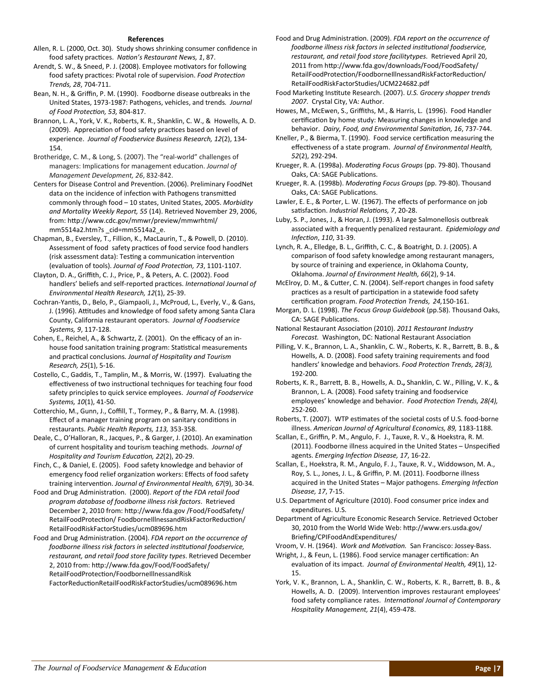#### **References**

Allen, R. L. (2000, Oct. 30). Study shows shrinking consumer confidence in food safety pracƟces. *NaƟon's Restaurant News, 1*, 87.

Arendt, S. W., & Sneed, P. J. (2008). Employee motivators for following food safety practices: Pivotal role of supervision. *Food Protection Trends, 28*, 704‐711.

Bean, N. H., & Griffin, P. M. (1990). Foodborne disease outbreaks in the United States, 1973‐1987: Pathogens, vehicles, and trends*. Journal of Food ProtecƟon, 53,* 804‐817.

Brannon, L. A., York, V. K., Roberts, K. R., Shanklin, C. W., & Howells, A. D. (2009). Appreciation of food safety practices based on level of experience. *Journal of Foodservice Business Research, 12*(2), 134‐ 154.

Brotheridge, C. M., & Long, S. (2007). The "real‐world" challenges of managers: Implications for management education. *Journal of Management Development, 26*, 832‐842.

Centers for Disease Control and Prevention. (2006). Preliminary FoodNet data on the incidence of infection with Pathogens transmitted commonly through food – 10 states, United States, 2005. *Morbidity and Mortality Weekly Report, 55* (14). Retrieved November 29, 2006, from: hƩp://www.cdc.gov/mmwr/preview/mmwrhtml/ mm5514a2.htm?s \_cid=mm5514a2\_e.

Chapman, B., Eversley, T., Fillion, K., MacLaurin, T., & Powell, D. (2010). Assessment of food safety practices of food service food handlers (risk assessment data): Testing a communication intervention (evaluaƟon of tools). *Journal of Food ProtecƟon, 73*, 1101‐1107.

Clayton, D. A., Griffith, C. J., Price, P., & Peters, A. C. (2002). Food handlers' beliefs and self‐reported pracƟces. *InternaƟonal Journal of Environmental Health Research, 12*(1), 25‐39.

Cochran-Yantis, D., Belo, P., Giampaoli, J., McProud, L., Everly, V., & Gans, J. (1996). Attitudes and knowledge of food safety among Santa Clara County, California restaurant operators. *Journal of Foodservice Systems, 9*, 117‐128.

Cohen, E., Reichel, A., & Schwartz, Z. (2001). On the efficacy of an in‐ house food sanitation training program: Statistical measurements and pracƟcal conclusions*. Journal of Hospitality and Tourism Research, 25*(1), 5‐16.

Costello, C., Gaddis, T., Tamplin, M., & Morris, W. (1997). Evaluating the effectiveness of two instructional techniques for teaching four food safety principles to quick service employees. *Journal of Foodservice Systems, 10*(1), 41‐50.

Cotterchio, M., Gunn, J., Coffill, T., Tormey, P., & Barry, M. A. (1998). Effect of a manager training program on sanitary conditions in restaurants. *Public Health Reports, 113,* 353‐358.

Deale, C., O'Halloran, R., Jacques, P., & Garger, J. (2010). An examination of current hospitality and tourism teaching methods. *Journal of Hospitality and Tourism EducaƟon, 22*(2), 20‐29.

Finch, C., & Daniel, E. (2005). Food safety knowledge and behavior of emergency food relief organization workers: Effects of food safety training intervenƟon. *Journal of Environmental Health, 67*(9), 30‐34.

Food and Drug AdministraƟon. (2000). *Report of the FDA retail food program database of foodborne illness risk factors*. Retrieved December 2, 2010 from: http://www.fda.gov /Food/FoodSafety/ RetailFoodProtection/ FoodborneIllnessandRiskFactorReduction/ RetailFoodRiskFactorStudies/ucm089696.htm

Food and Drug AdministraƟon. (2004). *FDA report on the occurrence of foodborne illness risk factors in selected insƟtuƟonal foodservice, restaurant, and retail food store facility types*. Retrieved December 2, 2010 from: hƩp://www.fda.gov/Food/FoodSafety/ RetailFoodProtecƟon/FoodborneIllnessandRisk

FactorReducƟonRetailFoodRiskFactorStudies/ucm089696.htm

Food and Drug AdministraƟon. (2009). *FDA report on the occurrence of foodborne illness risk factors in selected insƟtuƟonal foodservice, restaurant, and retail food store facilitytypes*. Retrieved April 20, 2011 from http://www.fda.gov/downloads/Food/FoodSafety/ RetailFoodProtection/FoodborneIllnessandRiskFactorReduction/ RetailFoodRiskFactorStudies/UCM224682.pdf

Food MarkeƟng InsƟtute Research. (2007). *U.S. Grocery shopper trends 2007*. Crystal City, VA: Author.

Howes, M., McEwen, S., Griffiths, M., & Harris, L. (1996). Food Handler certification by home study: Measuring changes in knowledge and behavior. *Dairy, Food, and Environmental SanitaƟon, 16*, 737‐744.

Kneller, P., & Bierma, T. (1990). Food service certification measuring the effecƟveness of a state program. *Journal of Environmental Health, 52*(2), 292‐294.

Krueger, R. A. (1998a). *Moderating Focus Groups* (pp. 79-80). Thousand Oaks, CA: SAGE Publications.

Krueger, R. A. (1998b). *ModeraƟng Focus Groups* (pp. 79‐80). Thousand Oaks, CA: SAGE Publications.

Lawler, E. E., & Porter, L. W. (1967). The effects of performance on job satisfaction. *Industrial Relations, 7,* 20-28.

Luby, S. P., Jones, J., & Horan, J. (1993). A large Salmonellosis outbreak associated with a frequently penalized restaurant. *Epidemiology and InfecƟon*, *110*, 31‐39.

Lynch, R. A., Elledge, B. L., Griffith, C. C., & Boatright, D. J. (2005). A comparison of food safety knowledge among restaurant managers, by source of training and experience, in Oklahoma County, Oklahoma. *Journal of Environment Health, 66*(2), 9‐14.

McElroy, D. M., & Cutter, C. N. (2004). Self-report changes in food safety practices as a result of participation in a statewide food safety cerƟficaƟon program. *Food ProtecƟon Trends, 24,*150‐161.

Morgan, D. L. (1998). *The Focus Group Guidebook* (pp.58). Thousand Oaks, CA: SAGE Publications.

NaƟonal Restaurant AssociaƟon (2010). *2011 Restaurant Industry Forecast.* Washington, DC: National Restaurant Association

Pilling, V. K., Brannon, L. A., Shanklin, C. W., Roberts, K. R., Barrett, B. B., & Howells, A. D. (2008). Food safety training requirements and food handlers' knowledge and behaviors. *Food ProtecƟon Trends, 28(3),* 192‐200*.*

Roberts, K. R., BarreƩ, B. B., Howells, A. D**.,** Shanklin, C. W., Pilling, V. K., & Brannon, L. A. (2008). Food safety training and foodservice employees' knowledge and behavior. *Food ProtecƟon Trends, 28(4),* 252‐260.

Roberts, T. (2007). WTP estimates of the societal costs of U.S. food-borne illness. *American Journal of Agricultural Economics, 89,* 1183‐1188.

Scallan, E., Griffin, P. M., Angulo, F. J., Tauxe, R. V., & Hoekstra, R. M. (2011). Foodborne illness acquired in the United States – Unspecified agents. *Emerging InfecƟon Disease, 17*, 16‐22.

Scallan, E., Hoekstra, R. M., Angulo, F. J., Tauxe, R. V., Widdowson, M. A., Roy, S. L., Jones, J. L., & Griffin, P. M. (2011). Foodborne illness acquired in the United States – Major pathogens. *Emerging Infection Disease, 17*, 7‐15.

U.S. Department of Agriculture (2010). Food consumer price index and expenditures. U.S.

Department of Agriculture Economic Research Service. Retrieved October 30, 2010 from the World Wide Web: http://www.ers.usda.gov/ Briefing/CPIFoodAndExpenditures/

Vroom, V. H. (1964). *Work and MoƟvaƟon.* San Francisco: Jossey‐Bass.

Wright, J., & Feun, L. (1986). Food service manager certification: An evaluaƟon of its impact. *Journal of Environmental Health, 49*(1), 12‐ 15.

York, V. K., Brannon, L. A., Shanklin, C. W., Roberts, K. R., Barrett, B. B., & Howells, A. D. (2009). Intervention improves restaurant employees' food safety compliance rates. *InternaƟonal Journal of Contemporary Hospitality Management, 21*(4), 459‐478.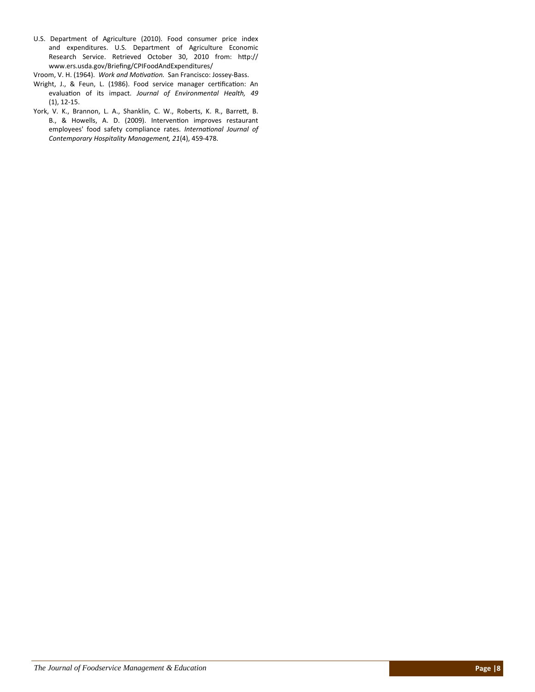- U.S. Department of Agriculture (2010). Food consumer price index and expenditures. U.S. Department of Agriculture Economic Research Service. Retrieved October 30, 2010 from: http:// www.ers.usda.gov/Briefing/CPIFoodAndExpenditures/
- Vroom, V. H. (1964). *Work and MoƟvaƟon.* San Francisco: Jossey‐Bass.
- Wright, J., & Feun, L. (1986). Food service manager certification: An evaluaƟon of its impact. *Journal of Environmental Health, 49* (1), 12‐15.
- York, V. K., Brannon, L. A., Shanklin, C. W., Roberts, K. R., Barrett, B. B., & Howells, A. D. (2009). Intervention improves restaurant employees' food safety compliance rates. *International Journal of Contemporary Hospitality Management, 21*(4), 459‐478.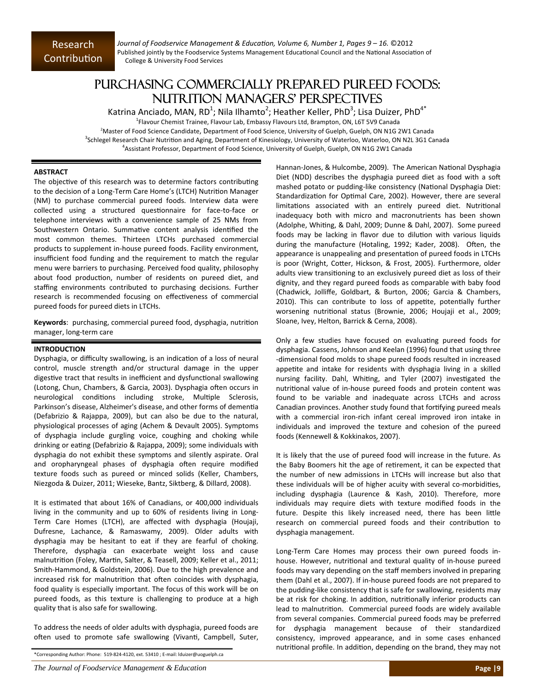*Journal of Foodservice Management & EducaƟon, Volume 6, Number 1, Pages 9 – 16.* ©2012 Published jointly by the Foodservice Systems Management Educational Council and the National Association of College & University Food Services

### PURCHASING COMMERCIALLY PREPARED PUREED FOODS: NUTRITION MANAGERS' PERSPECTIVES

Katrina Anciado, MAN, RD<sup>1</sup>; Nila Ilhamto<sup>2</sup>; Heather Keller, PhD<sup>3</sup>; Lisa Duizer, PhD<sup>4\*</sup> <sup>1</sup>Flavour Chemist Trainee, Flavour Lab, Embassy Flavours Ltd, Brampton, ON, L6T 5V9 Canada 2 Master of Food Science Candidate, Department of Food Science, University of Guelph, Guelph, ON N1G 2W1 Canada <sup>3</sup>Schlegel Research Chair Nutrition and Aging, Department of Kinesiology, University of Waterloo, Waterloo, ON N2L 3G1 Canada 4 Assistant Professor, Department of Food Science, University of Guelph, Guelph, ON N1G 2W1 Canada

#### **ABSTRACT**

The objective of this research was to determine factors contributing to the decision of a Long-Term Care Home's (LTCH) Nutrition Manager (NM) to purchase commercial pureed foods. Interview data were collected using a structured questionnaire for face-to-face or telephone interviews with a convenience sample of 25 NMs from Southwestern Ontario. Summative content analysis identified the most common themes. Thirteen LTCHs purchased commercial products to supplement in‐house pureed foods. Facility environment, insufficient food funding and the requirement to match the regular menu were barriers to purchasing. Perceived food quality, philosophy about food production, number of residents on pureed diet, and staffing environments contributed to purchasing decisions. Further research is recommended focusing on effectiveness of commercial pureed foods for pureed diets in LTCHs.

Keywords: purchasing, commercial pureed food, dysphagia, nutrition manager, long‐term care

#### **INTRODUCTION**

Dysphagia, or difficulty swallowing, is an indication of a loss of neural control, muscle strength and/or structural damage in the upper digestive tract that results in inefficient and dysfunctional swallowing (Lotong, Chun, Chambers, & Garcia, 2003). Dysphagia often occurs in neurological conditions including stroke, Multiple Sclerosis, Parkinson's disease, Alzheimer's disease, and other forms of dementia (Defabrizio & Rajappa, 2009), but can also be due to the natural, physiological processes of aging (Achem & Devault 2005). Symptoms of dysphagia include gurgling voice, coughing and choking while drinking or eating (Defabrizio & Rajappa, 2009); some individuals with dysphagia do not exhibit these symptoms and silently aspirate. Oral and oropharyngeal phases of dysphagia often require modified texture foods such as pureed or minced solids (Keller, Chambers, Niezgoda & Duizer, 2011; Wieseke, Bantz, Siktberg, & Dillard, 2008).

It is estimated that about 16% of Canadians, or 400,000 individuals living in the community and up to 60% of residents living in Long‐ Term Care Homes (LTCH), are affected with dysphagia (Houjaji, Dufresne, Lachance, & Ramaswamy, 2009). Older adults with dysphagia may be hesitant to eat if they are fearful of choking. Therefore, dysphagia can exacerbate weight loss and cause malnutrition (Foley, Martin, Salter, & Teasell, 2009; Keller et al., 2011; Smith‐Hammond, & Goldstein, 2006). Due to the high prevalence and increased risk for malnutrition that often coincides with dysphagia, food quality is especially important. The focus of this work will be on pureed foods, as this texture is challenging to produce at a high quality that is also safe for swallowing.

To address the needs of older adults with dysphagia, pureed foods are often used to promote safe swallowing (Vivanti, Campbell, Suter,

\*Corresponding Author: Phone: 519‐824‐4120, ext. 53410 ; E‐mail: lduizer@uoguelph.ca

Hannan-Jones, & Hulcombe, 2009). The American National Dysphagia Diet (NDD) describes the dysphagia pureed diet as food with a soft mashed potato or pudding-like consistency (National Dysphagia Diet: Standardization for Optimal Care, 2002). However, there are several limitations associated with an entirely pureed diet. Nutritional inadequacy both with micro and macronutrients has been shown (Adolphe, Whiting, & Dahl, 2009; Dunne & Dahl, 2007). Some pureed foods may be lacking in flavor due to dilution with various liquids during the manufacture (Hotaling, 1992; Kader, 2008). Often, the appearance is unappealing and presentation of pureed foods in LTCHs is poor (Wright, Cotter, Hickson, & Frost, 2005). Furthermore, older adults view transitioning to an exclusively pureed diet as loss of their dignity, and they regard pureed foods as comparable with baby food (Chadwick, Jolliffe, Goldbart, & Burton, 2006; Garcia & Chambers, 2010). This can contribute to loss of appetite, potentially further worsening nutritional status (Brownie, 2006; Houjaji et al., 2009; Sloane, Ivey, Helton, Barrick & Cerna, 2008).

Only a few studies have focused on evaluating pureed foods for dysphagia. Cassens, Johnson and Keelan (1996) found that using three ‐dimensional food molds to shape pureed foods resulted in increased appetite and intake for residents with dysphagia living in a skilled nursing facility. Dahl, Whiting, and Tyler (2007) investigated the nutritional value of in-house pureed foods and protein content was found to be variable and inadequate across LTCHs and across Canadian provinces. Another study found that fortifying pureed meals with a commercial iron-rich infant cereal improved iron intake in individuals and improved the texture and cohesion of the pureed foods (Kennewell & Kokkinakos, 2007).

It is likely that the use of pureed food will increase in the future. As the Baby Boomers hit the age of retirement, it can be expected that the number of new admissions in LTCHs will increase but also that these individuals will be of higher acuity with several co-morbidities, including dysphagia (Laurence & Kash, 2010). Therefore, more individuals may require diets with texture modified foods in the future. Despite this likely increased need, there has been little research on commercial pureed foods and their contribution to dysphagia management.

Long‐Term Care Homes may process their own pureed foods in‐ house. However, nutritional and textural quality of in-house pureed foods may vary depending on the staff members involved in preparing them (Dahl et al., 2007). If in‐house pureed foods are not prepared to the pudding‐like consistency that is safe for swallowing, residents may be at risk for choking. In addition, nutritionally inferior products can lead to malnutrition. Commercial pureed foods are widely available from several companies. Commercial pureed foods may be preferred for dysphagia management because of their standardized consistency, improved appearance, and in some cases enhanced nutritional profile. In addition, depending on the brand, they may not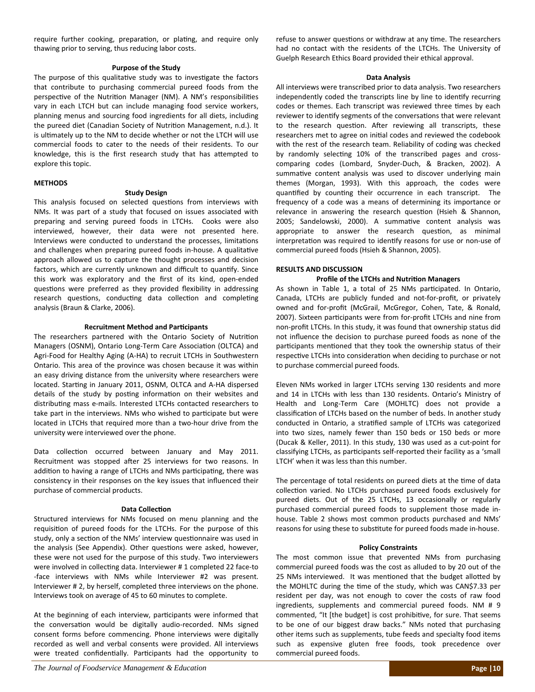require further cooking, preparation, or plating, and require only thawing prior to serving, thus reducing labor costs.

#### **Purpose of the Study**

The purpose of this qualitative study was to investigate the factors that contribute to purchasing commercial pureed foods from the perspective of the Nutrition Manager (NM). A NM's responsibilities vary in each LTCH but can include managing food service workers, planning menus and sourcing food ingredients for all diets, including the pureed diet (Canadian Society of Nutrition Management, n.d.). It is ultimately up to the NM to decide whether or not the LTCH will use commercial foods to cater to the needs of their residents. To our knowledge, this is the first research study that has attempted to explore this topic.

#### **METHODS**

#### **Study Design**

This analysis focused on selected questions from interviews with NMs. It was part of a study that focused on issues associated with preparing and serving pureed foods in LTCHs. Cooks were also interviewed, however, their data were not presented here. Interviews were conducted to understand the processes, limitations and challenges when preparing pureed foods in-house. A qualitative approach allowed us to capture the thought processes and decision factors, which are currently unknown and difficult to quantify. Since this work was exploratory and the first of its kind, open‐ended questions were preferred as they provided flexibility in addressing research questions, conducting data collection and completing analysis (Braun & Clarke, 2006).

#### **Recruitment Method and ParƟcipants**

The researchers partnered with the Ontario Society of Nutrition Managers (OSNM), Ontario Long-Term Care Association (OLTCA) and Agri‐Food for Healthy Aging (A‐HA) to recruit LTCHs in Southwestern Ontario. This area of the province was chosen because it was within an easy driving distance from the university where researchers were located. Starting in January 2011, OSNM, OLTCA and A-HA dispersed details of the study by posting information on their websites and distributing mass e-mails. Interested LTCHs contacted researchers to take part in the interviews. NMs who wished to participate but were located in LTCHs that required more than a two‐hour drive from the university were interviewed over the phone.

Data collection occurred between January and May 2011. Recruitment was stopped after 25 interviews for two reasons. In addition to having a range of LTCHs and NMs participating, there was consistency in their responses on the key issues that influenced their purchase of commercial products.

#### **Data CollecƟon**

Structured interviews for NMs focused on menu planning and the requisition of pureed foods for the LTCHs. For the purpose of this study, only a section of the NMs' interview questionnaire was used in the analysis (See Appendix). Other questions were asked, however, these were not used for the purpose of this study. Two interviewers were involved in collecting data. Interviewer #1 completed 22 face-to ‐face interviews with NMs while Interviewer #2 was present. Interviewer # 2, by herself, completed three interviews on the phone. Interviews took on average of 45 to 60 minutes to complete.

At the beginning of each interview, participants were informed that the conversation would be digitally audio-recorded. NMs signed consent forms before commencing. Phone interviews were digitally recorded as well and verbal consents were provided. All interviews were treated confidentially. Participants had the opportunity to refuse to answer questions or withdraw at any time. The researchers had no contact with the residents of the LTCHs. The University of Guelph Research Ethics Board provided their ethical approval.

#### **Data Analysis**

All interviews were transcribed prior to data analysis. Two researchers independently coded the transcripts line by line to identify recurring codes or themes. Each transcript was reviewed three times by each reviewer to identify segments of the conversations that were relevant to the research question. After reviewing all transcripts, these researchers met to agree on initial codes and reviewed the codebook with the rest of the research team. Reliability of coding was checked by randomly selecting 10% of the transcribed pages and crosscomparing codes (Lombard, Snyder‐Duch, & Bracken, 2002). A summative content analysis was used to discover underlying main themes (Morgan, 1993). With this approach, the codes were quantified by counting their occurrence in each transcript. The frequency of a code was a means of determining its importance or relevance in answering the research question (Hsieh & Shannon, 2005; Sandelowski, 2000). A summative content analysis was appropriate to answer the research question, as minimal interpretation was required to identify reasons for use or non-use of commercial pureed foods (Hsieh & Shannon, 2005).

#### **RESULTS AND DISCUSSION**

#### **Profile of the LTCHs and NutriƟon Managers**

As shown in Table 1, a total of 25 NMs participated. In Ontario, Canada, LTCHs are publicly funded and not‐for‐profit, or privately owned and for‐profit (McGrail, McGregor, Cohen, Tate, & Ronald, 2007). Sixteen participants were from for-profit LTCHs and nine from non‐profit LTCHs. In this study, it was found that ownership status did not influence the decision to purchase pureed foods as none of the participants mentioned that they took the ownership status of their respective LTCHs into consideration when deciding to purchase or not to purchase commercial pureed foods.

Eleven NMs worked in larger LTCHs serving 130 residents and more and 14 in LTCHs with less than 130 residents. Ontario's Ministry of Health and Long‐Term Care (MOHLTC) does not provide a classification of LTCHs based on the number of beds. In another study conducted in Ontario, a stratified sample of LTCHs was categorized into two sizes, namely fewer than 150 beds or 150 beds or more (Ducak & Keller, 2011). In this study, 130 was used as a cut‐point for classifying LTCHs, as participants self-reported their facility as a 'small LTCH' when it was less than this number.

The percentage of total residents on pureed diets at the time of data collection varied. No LTCHs purchased pureed foods exclusively for pureed diets. Out of the 25 LTCHs, 13 occasionally or regularly purchased commercial pureed foods to supplement those made in‐ house. Table 2 shows most common products purchased and NMs' reasons for using these to substitute for pureed foods made in-house.

#### **Policy Constraints**

The most common issue that prevented NMs from purchasing commercial pureed foods was the cost as alluded to by 20 out of the 25 NMs interviewed. It was mentioned that the budget allotted by the MOHLTC during the time of the study, which was CAN\$7.33 per resident per day, was not enough to cover the costs of raw food ingredients, supplements and commercial pureed foods. NM # 9 commented, "It [the budget] is cost prohibitive, for sure. That seems to be one of our biggest draw backs." NMs noted that purchasing other items such as supplements, tube feeds and specialty food items such as expensive gluten free foods, took precedence over commercial pureed foods.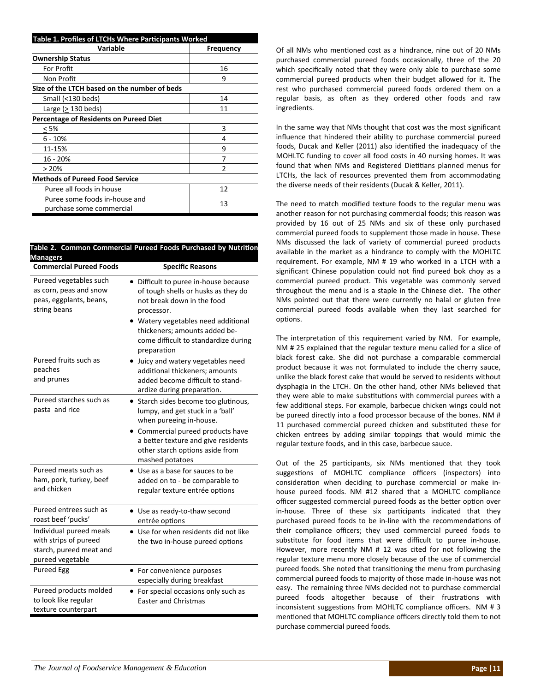| Table 1. Profiles of LTCHs Where Participants Worked      |           |  |  |  |
|-----------------------------------------------------------|-----------|--|--|--|
| Variable                                                  | Frequency |  |  |  |
| <b>Ownership Status</b>                                   |           |  |  |  |
| For Profit                                                | 16        |  |  |  |
| Non Profit                                                | 9         |  |  |  |
| Size of the LTCH based on the number of beds              |           |  |  |  |
| Small (<130 beds)                                         | 14        |  |  |  |
| Large (> 130 beds)                                        | 11        |  |  |  |
| <b>Percentage of Residents on Pureed Diet</b>             |           |  |  |  |
| < 5%                                                      | 3         |  |  |  |
| 6 - 10%                                                   | 4         |  |  |  |
| 11-15%                                                    | 9         |  |  |  |
| 16 - 20%                                                  |           |  |  |  |
| >20%                                                      | 2         |  |  |  |
| <b>Methods of Pureed Food Service</b>                     |           |  |  |  |
| Puree all foods in house                                  | 12        |  |  |  |
| Puree some foods in-house and<br>purchase some commercial | 13        |  |  |  |

#### **Table 2. Common Commercial Pureed Foods Purchased by NutriƟon Managers**

| <b>Commercial Pureed Foods</b>                                                                  | <b>Specific Reasons</b>                                                                                                                                                                                                                             |
|-------------------------------------------------------------------------------------------------|-----------------------------------------------------------------------------------------------------------------------------------------------------------------------------------------------------------------------------------------------------|
| Pureed vegetables such<br>as corn, peas and snow<br>peas, eggplants, beans,<br>string beans     | Difficult to puree in-house because<br>of tough shells or husks as they do<br>not break down in the food<br>processor.<br>Watery vegetables need additional<br>thickeners; amounts added be-<br>come difficult to standardize during<br>preparation |
| Pureed fruits such as<br>peaches<br>and prunes                                                  | • Juicy and watery vegetables need<br>additional thickeners; amounts<br>added become difficult to stand-<br>ardize during preparation.                                                                                                              |
| Pureed starches such as<br>pasta and rice                                                       | • Starch sides become too glutinous,<br>lumpy, and get stuck in a 'ball'<br>when pureeing in-house.<br>Commercial pureed products have<br>a better texture and give residents<br>other starch options aside from<br>mashed potatoes                 |
| Pureed meats such as<br>ham, pork, turkey, beef<br>and chicken                                  | Use as a base for sauces to be<br>added on to - be comparable to<br>regular texture entrée options                                                                                                                                                  |
| Pureed entrees such as<br>roast beef 'pucks'                                                    | • Use as ready-to-thaw second<br>entrée options                                                                                                                                                                                                     |
| Individual pureed meals<br>with strips of pureed<br>starch, pureed meat and<br>pureed vegetable | Use for when residents did not like<br>the two in-house pureed options                                                                                                                                                                              |
| <b>Pureed Egg</b>                                                                               | • For convenience purposes<br>especially during breakfast                                                                                                                                                                                           |
| Pureed products molded<br>to look like regular<br>texture counterpart                           | • For special occasions only such as<br><b>Easter and Christmas</b>                                                                                                                                                                                 |

Of all NMs who mentioned cost as a hindrance, nine out of 20 NMs purchased commercial pureed foods occasionally, three of the 20 which specifically noted that they were only able to purchase some commercial pureed products when their budget allowed for it. The rest who purchased commercial pureed foods ordered them on a regular basis, as often as they ordered other foods and raw ingredients.

In the same way that NMs thought that cost was the most significant influence that hindered their ability to purchase commercial pureed foods, Ducak and Keller (2011) also identified the inadequacy of the MOHLTC funding to cover all food costs in 40 nursing homes. It was found that when NMs and Registered Dietitians planned menus for LTCHs, the lack of resources prevented them from accommodating the diverse needs of their residents (Ducak & Keller, 2011).

The need to match modified texture foods to the regular menu was another reason for not purchasing commercial foods; this reason was provided by 16 out of 25 NMs and six of these only purchased commercial pureed foods to supplement those made in house. These NMs discussed the lack of variety of commercial pureed products available in the market as a hindrance to comply with the MOHLTC requirement. For example, NM # 19 who worked in a LTCH with a significant Chinese population could not find pureed bok choy as a commercial pureed product. This vegetable was commonly served throughout the menu and is a staple in the Chinese diet. The other NMs pointed out that there were currently no halal or gluten free commercial pureed foods available when they last searched for options.

The interpretation of this requirement varied by NM. For example, NM # 25 explained that the regular texture menu called for a slice of black forest cake. She did not purchase a comparable commercial product because it was not formulated to include the cherry sauce, unlike the black forest cake that would be served to residents without dysphagia in the LTCH. On the other hand, other NMs believed that they were able to make substitutions with commercial purees with a few additional steps. For example, barbecue chicken wings could not be pureed directly into a food processor because of the bones. NM # 11 purchased commercial pureed chicken and substituted these for chicken entrees by adding similar toppings that would mimic the regular texture foods, and in this case, barbecue sauce.

Out of the 25 participants, six NMs mentioned that they took suggestions of MOHLTC compliance officers (inspectors) into consideration when deciding to purchase commercial or make inhouse pureed foods. NM #12 shared that a MOHLTC compliance officer suggested commercial pureed foods as the better option over in-house. Three of these six participants indicated that they purchased pureed foods to be in-line with the recommendations of their compliance officers; they used commercial pureed foods to substitute for food items that were difficult to puree in-house. However, more recently NM # 12 was cited for not following the regular texture menu more closely because of the use of commercial pureed foods. She noted that transitioning the menu from purchasing commercial pureed foods to majority of those made in‐house was not easy. The remaining three NMs decided not to purchase commercial pureed foods altogether because of their frustrations with inconsistent suggestions from MOHLTC compliance officers. NM # 3 mentioned that MOHLTC compliance officers directly told them to not purchase commercial pureed foods.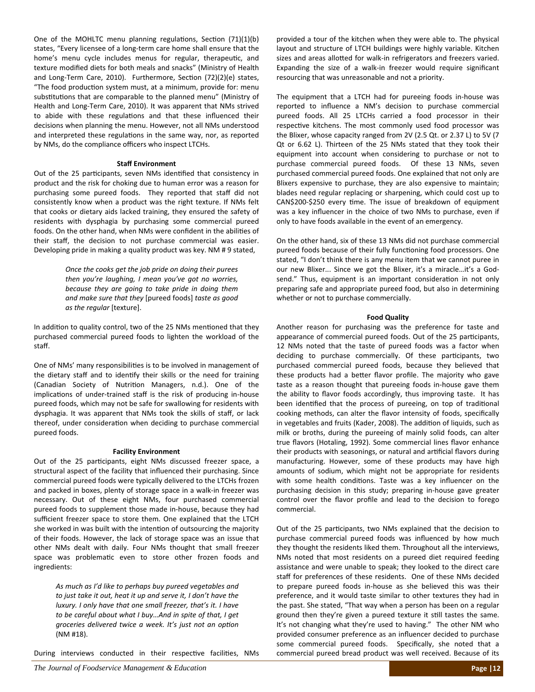One of the MOHLTC menu planning regulations, Section  $(71)(1)(b)$ states, "Every licensee of a long‐term care home shall ensure that the home's menu cycle includes menus for regular, therapeutic, and texture modified diets for both meals and snacks" (Ministry of Health and Long-Term Care, 2010). Furthermore, Section (72)(2)(e) states, "The food production system must, at a minimum, provide for: menu substitutions that are comparable to the planned menu" (Ministry of Health and Long‐Term Care, 2010). It was apparent that NMs strived to abide with these regulations and that these influenced their decisions when planning the menu. However, not all NMs understood and interpreted these regulations in the same way, nor, as reported by NMs, do the compliance officers who inspect LTCHs.

#### **Staff Environment**

Out of the 25 participants, seven NMs identified that consistency in product and the risk for choking due to human error was a reason for purchasing some pureed foods. They reported that staff did not consistently know when a product was the right texture. If NMs felt that cooks or dietary aids lacked training, they ensured the safety of residents with dysphagia by purchasing some commercial pureed foods. On the other hand, when NMs were confident in the abilities of their staff, the decision to not purchase commercial was easier. Developing pride in making a quality product was key. NM # 9 stated,

> *Once the cooks get the job pride on doing their purees then you're laughing, I mean you've got no worries, because they are going to take pride in doing them and make sure that they* [pureed foods] *taste as good as the regular* [texture].

In addition to quality control, two of the 25 NMs mentioned that they purchased commercial pureed foods to lighten the workload of the staff.

One of NMs' many responsibilities is to be involved in management of the dietary staff and to identify their skills or the need for training (Canadian Society of Nutrition Managers, n.d.). One of the implications of under-trained staff is the risk of producing in-house pureed foods, which may not be safe for swallowing for residents with dysphagia. It was apparent that NMs took the skills of staff, or lack thereof, under consideration when deciding to purchase commercial pureed foods.

#### **Facility Environment**

Out of the 25 participants, eight NMs discussed freezer space, a structural aspect of the facility that influenced their purchasing. Since commercial pureed foods were typically delivered to the LTCHs frozen and packed in boxes, plenty of storage space in a walk‐in freezer was necessary. Out of these eight NMs, four purchased commercial pureed foods to supplement those made in‐house, because they had sufficient freezer space to store them. One explained that the LTCH she worked in was built with the intention of outsourcing the majority of their foods. However, the lack of storage space was an issue that other NMs dealt with daily. Four NMs thought that small freezer space was problematic even to store other frozen foods and ingredients:

*As much as I'd like to perhaps buy pureed vegetables and to just take it out, heat it up and serve it, I don't have the luxury. I only have that one small freezer, that's it. I have to be careful about what I buy…And in spite of that, I get groceries delivered twice a week. It's just not an opƟon* (NM #18).

During interviews conducted in their respective facilities, NMs

provided a tour of the kitchen when they were able to. The physical layout and structure of LTCH buildings were highly variable. Kitchen sizes and areas allotted for walk-in refrigerators and freezers varied. Expanding the size of a walk‐in freezer would require significant resourcing that was unreasonable and not a priority.

The equipment that a LTCH had for pureeing foods in‐house was reported to influence a NM's decision to purchase commercial pureed foods. All 25 LTCHs carried a food processor in their respective kitchens. The most commonly used food processor was the Blixer, whose capacity ranged from 2V (2.5 Qt. or 2.37 L) to 5V (7 Qt or 6.62 L). Thirteen of the 25 NMs stated that they took their equipment into account when considering to purchase or not to purchase commercial pureed foods. Of these 13 NMs, seven purchased commercial pureed foods. One explained that not only are Blixers expensive to purchase, they are also expensive to maintain; blades need regular replacing or sharpening, which could cost up to CAN\$200-\$250 every time. The issue of breakdown of equipment was a key influencer in the choice of two NMs to purchase, even if only to have foods available in the event of an emergency.

On the other hand, six of these 13 NMs did not purchase commercial pureed foods because of their fully functioning food processors. One stated, "I don't think there is any menu item that we cannot puree in our new Blixer... Since we got the Blixer, it's a miracle...it's a Godsend." Thus, equipment is an important consideration in not only preparing safe and appropriate pureed food, but also in determining whether or not to purchase commercially.

#### **Food Quality**

Another reason for purchasing was the preference for taste and appearance of commercial pureed foods. Out of the 25 participants, 12 NMs noted that the taste of pureed foods was a factor when deciding to purchase commercially. Of these participants, two purchased commercial pureed foods, because they believed that these products had a better flavor profile. The majority who gave taste as a reason thought that pureeing foods in‐house gave them the ability to flavor foods accordingly, thus improving taste. It has been identified that the process of pureeing, on top of traditional cooking methods, can alter the flavor intensity of foods, specifically in vegetables and fruits (Kader, 2008). The addition of liquids, such as milk or broths, during the pureeing of mainly solid foods, can alter true flavors (Hotaling, 1992). Some commercial lines flavor enhance their products with seasonings, or natural and artificial flavors during manufacturing. However, some of these products may have high amounts of sodium, which might not be appropriate for residents with some health conditions. Taste was a key influencer on the purchasing decision in this study; preparing in‐house gave greater control over the flavor profile and lead to the decision to forego commercial.

Out of the 25 participants, two NMs explained that the decision to purchase commercial pureed foods was influenced by how much they thought the residents liked them. Throughout all the interviews, NMs noted that most residents on a pureed diet required feeding assistance and were unable to speak; they looked to the direct care staff for preferences of these residents. One of these NMs decided to prepare pureed foods in‐house as she believed this was their preference, and it would taste similar to other textures they had in the past. She stated, "That way when a person has been on a regular ground then they're given a pureed texture it still tastes the same. It's not changing what they're used to having." The other NM who provided consumer preference as an influencer decided to purchase some commercial pureed foods. Specifically, she noted that a commercial pureed bread product was well received. Because of its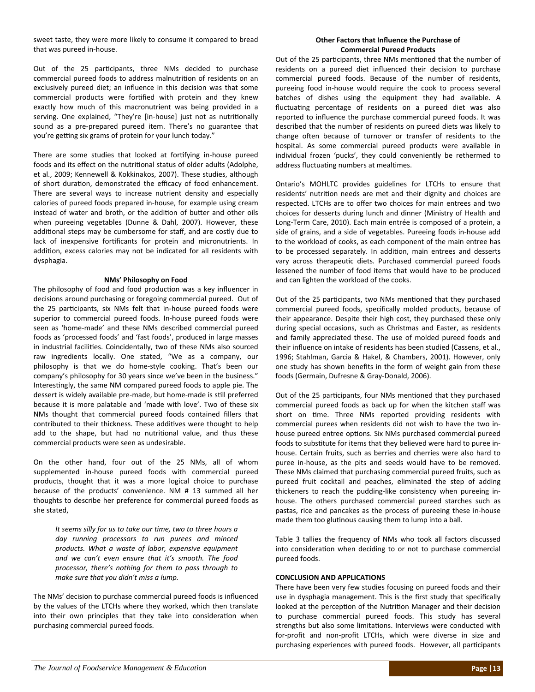sweet taste, they were more likely to consume it compared to bread that was pureed in‐house.

Out of the 25 participants, three NMs decided to purchase commercial pureed foods to address malnutrition of residents on an exclusively pureed diet; an influence in this decision was that some commercial products were fortified with protein and they knew exactly how much of this macronutrient was being provided in a serving. One explained, "They're [in-house] just not as nutritionally sound as a pre‐prepared pureed item. There's no guarantee that you're getting six grams of protein for your lunch today."

There are some studies that looked at fortifying in-house pureed foods and its effect on the nutritional status of older adults (Adolphe, et al., 2009; Kennewell & Kokkinakos, 2007). These studies, although of short duration, demonstrated the efficacy of food enhancement. There are several ways to increase nutrient density and especially calories of pureed foods prepared in‐house, for example using cream instead of water and broth, or the addition of butter and other oils when pureeing vegetables (Dunne & Dahl, 2007). However, these additional steps may be cumbersome for staff, and are costly due to lack of inexpensive fortificants for protein and micronutrients. In addition, excess calories may not be indicated for all residents with dysphagia.

#### **NMs' Philosophy on Food**

The philosophy of food and food production was a key influencer in decisions around purchasing or foregoing commercial pureed. Out of the 25 participants, six NMs felt that in-house pureed foods were superior to commercial pureed foods. In‐house pureed foods were seen as 'home‐made' and these NMs described commercial pureed foods as 'processed foods' and 'fast foods', produced in large masses in industrial facilities. Coincidentally, two of these NMs also sourced raw ingredients locally. One stated, "We as a company, our philosophy is that we do home‐style cooking. That's been our company's philosophy for 30 years since we've been in the business." Interestingly, the same NM compared pureed foods to apple pie. The dessert is widely available pre-made, but home-made is still preferred because it is more palatable and 'made with love'. Two of these six NMs thought that commercial pureed foods contained fillers that contributed to their thickness. These additives were thought to help add to the shape, but had no nutritional value, and thus these commercial products were seen as undesirable.

On the other hand, four out of the 25 NMs, all of whom supplemented in‐house pureed foods with commercial pureed products, thought that it was a more logical choice to purchase because of the products' convenience. NM # 13 summed all her thoughts to describe her preference for commercial pureed foods as she stated,

*It seems silly for us to take our Ɵme, two to three hours a day running processors to run purees and minced products. What a waste of labor, expensive equipment and we can't even ensure that it's smooth. The food processor, there's nothing for them to pass through to make sure that you didn't miss a lump.* 

The NMs' decision to purchase commercial pureed foods is influenced by the values of the LTCHs where they worked, which then translate into their own principles that they take into consideration when purchasing commercial pureed foods.

#### **Other Factors that Influence the Purchase of Commercial Pureed Products**

Out of the 25 participants, three NMs mentioned that the number of residents on a pureed diet influenced their decision to purchase commercial pureed foods. Because of the number of residents, pureeing food in‐house would require the cook to process several batches of dishes using the equipment they had available. A fluctuating percentage of residents on a pureed diet was also reported to influence the purchase commercial pureed foods. It was described that the number of residents on pureed diets was likely to change often because of turnover or transfer of residents to the hospital. As some commercial pureed products were available in individual frozen 'pucks', they could conveniently be rethermed to address fluctuating numbers at mealtimes.

Ontario's MOHLTC provides guidelines for LTCHs to ensure that residents' nutrition needs are met and their dignity and choices are respected. LTCHs are to offer two choices for main entrees and two choices for desserts during lunch and dinner (Ministry of Health and Long‐Term Care, 2010). Each main entrée is composed of a protein, a side of grains, and a side of vegetables. Pureeing foods in‐house add to the workload of cooks, as each component of the main entree has to be processed separately. In addition, main entrees and desserts vary across therapeutic diets. Purchased commercial pureed foods lessened the number of food items that would have to be produced and can lighten the workload of the cooks.

Out of the 25 participants, two NMs mentioned that they purchased commercial pureed foods, specifically molded products, because of their appearance. Despite their high cost, they purchased these only during special occasions, such as Christmas and Easter, as residents and family appreciated these. The use of molded pureed foods and their influence on intake of residents has been studied (Cassens, et al., 1996; Stahlman, Garcia & Hakel, & Chambers, 2001). However, only one study has shown benefits in the form of weight gain from these foods (Germain, Dufresne & Gray‐Donald, 2006).

Out of the 25 participants, four NMs mentioned that they purchased commercial pureed foods as back up for when the kitchen staff was short on time. Three NMs reported providing residents with commercial purees when residents did not wish to have the two in‐ house pureed entree options. Six NMs purchased commercial pureed foods to substitute for items that they believed were hard to puree inhouse. Certain fruits, such as berries and cherries were also hard to puree in‐house, as the pits and seeds would have to be removed. These NMs claimed that purchasing commercial pureed fruits, such as pureed fruit cocktail and peaches, eliminated the step of adding thickeners to reach the pudding‐like consistency when pureeing in‐ house. The others purchased commercial pureed starches such as pastas, rice and pancakes as the process of pureeing these in‐house made them too glutinous causing them to lump into a ball.

Table 3 tallies the frequency of NMs who took all factors discussed into consideration when deciding to or not to purchase commercial pureed foods.

#### **CONCLUSION AND APPLICATIONS**

There have been very few studies focusing on pureed foods and their use in dysphagia management. This is the first study that specifically looked at the perception of the Nutrition Manager and their decision to purchase commercial pureed foods. This study has several strengths but also some limitations. Interviews were conducted with for‐profit and non‐profit LTCHs, which were diverse in size and purchasing experiences with pureed foods. However, all participants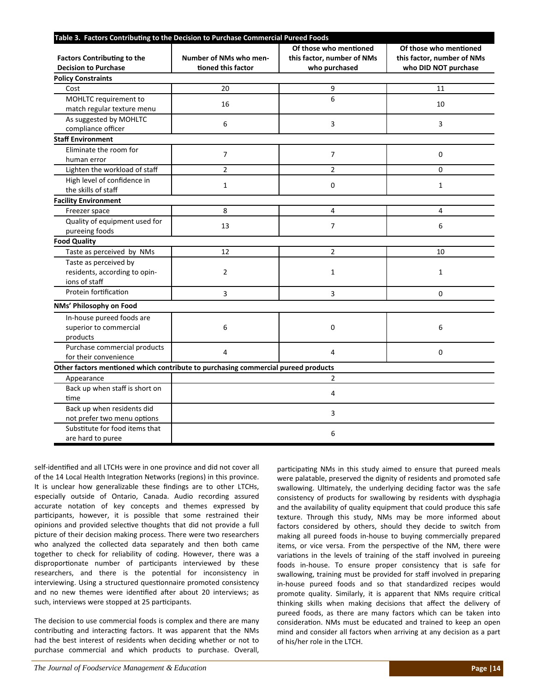| Table 3. Factors Contributing to the Decision to Purchase Commercial Pureed Foods |                        |                                                      |                                                      |  |  |
|-----------------------------------------------------------------------------------|------------------------|------------------------------------------------------|------------------------------------------------------|--|--|
| <b>Factors Contributing to the</b>                                                | Number of NMs who men- | Of those who mentioned<br>this factor, number of NMs | Of those who mentioned<br>this factor, number of NMs |  |  |
| <b>Decision to Purchase</b><br><b>Policy Constraints</b>                          | tioned this factor     | who purchased                                        | who DID NOT purchase                                 |  |  |
|                                                                                   | 20                     |                                                      |                                                      |  |  |
| Cost                                                                              |                        | 9                                                    | 11                                                   |  |  |
| MOHLTC requirement to<br>match regular texture menu                               | 16                     | 6                                                    | 10                                                   |  |  |
| As suggested by MOHLTC<br>compliance officer                                      | 6                      | 3                                                    | 3                                                    |  |  |
| <b>Staff Environment</b>                                                          |                        |                                                      |                                                      |  |  |
| Eliminate the room for<br>human error                                             | $\overline{7}$         | $\overline{7}$                                       | $\mathbf 0$                                          |  |  |
| Lighten the workload of staff                                                     | $\overline{2}$         | $\overline{2}$                                       | $\Omega$                                             |  |  |
| High level of confidence in<br>the skills of staff                                | $\mathbf{1}$           | $\mathbf 0$                                          | $\mathbf{1}$                                         |  |  |
| <b>Facility Environment</b>                                                       |                        |                                                      |                                                      |  |  |
| Freezer space                                                                     | 8                      | 4                                                    | 4                                                    |  |  |
| Quality of equipment used for<br>pureeing foods                                   | 13                     | $\overline{7}$                                       | 6                                                    |  |  |
| <b>Food Quality</b>                                                               |                        |                                                      |                                                      |  |  |
| Taste as perceived by NMs                                                         | 12                     | $\overline{2}$                                       | 10                                                   |  |  |
| Taste as perceived by<br>residents, according to opin-<br>ions of staff           | $\overline{2}$         | $\mathbf{1}$                                         | $\mathbf{1}$                                         |  |  |
| Protein fortification                                                             | 3                      | 3                                                    | $\Omega$                                             |  |  |
| NMs' Philosophy on Food                                                           |                        |                                                      |                                                      |  |  |
| In-house pureed foods are<br>superior to commercial<br>products                   | 6                      | 0                                                    | 6                                                    |  |  |
| Purchase commercial products<br>for their convenience                             | 4                      | 4                                                    | $\mathbf 0$                                          |  |  |
| Other factors mentioned which contribute to purchasing commercial pureed products |                        |                                                      |                                                      |  |  |
| Appearance                                                                        |                        | $\overline{2}$                                       |                                                      |  |  |
| Back up when staff is short on<br>time                                            | 4                      |                                                      |                                                      |  |  |
| Back up when residents did<br>not prefer two menu options                         | 3                      |                                                      |                                                      |  |  |
| Substitute for food items that<br>are hard to puree                               | 6                      |                                                      |                                                      |  |  |

self-identified and all LTCHs were in one province and did not cover all of the 14 Local Health Integration Networks (regions) in this province. It is unclear how generalizable these findings are to other LTCHs, especially outside of Ontario, Canada. Audio recording assured accurate notation of key concepts and themes expressed by participants, however, it is possible that some restrained their opinions and provided selective thoughts that did not provide a full picture of their decision making process. There were two researchers who analyzed the collected data separately and then both came together to check for reliability of coding. However, there was a disproportionate number of participants interviewed by these researchers, and there is the potential for inconsistency in interviewing. Using a structured questionnaire promoted consistency and no new themes were identified after about 20 interviews; as such, interviews were stopped at 25 participants.

The decision to use commercial foods is complex and there are many contributing and interacting factors. It was apparent that the NMs had the best interest of residents when deciding whether or not to purchase commercial and which products to purchase. Overall,

participating NMs in this study aimed to ensure that pureed meals were palatable, preserved the dignity of residents and promoted safe swallowing. Ultimately, the underlying deciding factor was the safe consistency of products for swallowing by residents with dysphagia and the availability of quality equipment that could produce this safe texture. Through this study, NMs may be more informed about factors considered by others, should they decide to switch from making all pureed foods in‐house to buying commercially prepared items, or vice versa. From the perspective of the NM, there were variations in the levels of training of the staff involved in pureeing foods in‐house. To ensure proper consistency that is safe for swallowing, training must be provided for staff involved in preparing in‐house pureed foods and so that standardized recipes would promote quality. Similarly, it is apparent that NMs require critical thinking skills when making decisions that affect the delivery of pureed foods, as there are many factors which can be taken into consideration. NMs must be educated and trained to keep an open mind and consider all factors when arriving at any decision as a part of his/her role in the LTCH.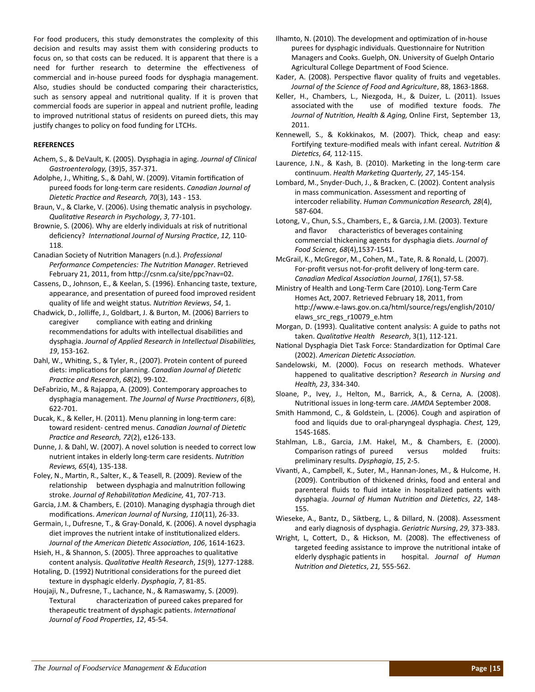For food producers, this study demonstrates the complexity of this decision and results may assist them with considering products to focus on, so that costs can be reduced. It is apparent that there is a need for further research to determine the effectiveness of commercial and in‐house pureed foods for dysphagia management. Also, studies should be conducted comparing their characteristics, such as sensory appeal and nutritional quality. If it is proven that commercial foods are superior in appeal and nutrient profile, leading to improved nutritional status of residents on pureed diets, this may justify changes to policy on food funding for LTCHs.

#### **REFERENCES**

- Achem, S., & DeVault, K. (2005). Dysphagia in aging. *Journal of Clinical Gastroenterology,* (39)5, 357‐371.
- Adolphe, J., Whiting, S., & Dahl, W. (2009). Vitamin fortification of pureed foods for long‐term care residents. *Canadian Journal of DieteƟc PracƟce and Research, 70*(3), 143 ‐ 153.
- Braun, V., & Clarke, V. (2006). Using thematic analysis in psychology. *QualitaƟve Research in Psychology*, *3*, 77‐101.
- Brownie, S. (2006). Why are elderly individuals at risk of nutritional deficiency? *InternaƟonal Journal of Nursing PracƟce*, *12,* 110‐ 118.
- Canadian Society of NutriƟon Managers (n.d.). *Professional Performance Competencies: The NutriƟon Manager*. Retrieved February 21, 2011, from http://csnm.ca/site/ppc?nav=02.
- Cassens, D., Johnson, E., & Keelan, S. (1996). Enhancing taste, texture, appearance, and presentation of pureed food improved resident quality of life and weight status. *NutriƟon Reviews*, *54*, 1.
- Chadwick, D., Jolliffe, J., Goldbart, J. & Burton, M. (2006) Barriers to caregiver compliance with eating and drinking recommendations for adults with intellectual disabilities and dysphagia. *Journal of Applied Research in Intellectual DisabiliƟes, 19*, 153‐162.
- Dahl, W., Whiting, S., & Tyler, R., (2007). Protein content of pureed diets: implications for planning. *Canadian Journal of Dietetic PracƟce and Research*, *68*(2), 99‐102.
- DeFabrizio, M., & Rajappa, A. (2009). Contemporary approaches to dysphagia management. *The Journal of Nurse PracƟƟoners*, *6*(8), 622‐701.
- Ducak, K., & Keller, H. (2011). Menu planning in long‐term care: toward resident‐ centred menus. *Canadian Journal of DieteƟc PracƟce and Research, 72*(2), e126‐133.
- Dunne, J. & Dahl, W. (2007). A novel solution is needed to correct low nutrient intakes in elderly long‐term care residents. *NutriƟon Reviews, 65*(4), 135‐138.
- Foley, N., Martin, R., Salter, K., & Teasell, R. (2009). Review of the relationship between dysphagia and malnutrition following stroke. *Journal of RehabilitaƟon Medicine,* 41, 707‐713.
- Garcia, J.M. & Chambers, E. (2010). Managing dysphagia through diet modificaƟons. *American Journal of Nursing, 110*(11), 26‐33.
- Germain, I., Dufresne, T., & Gray‐Donald, K. (2006). A novel dysphagia diet improves the nutrient intake of institutionalized elders. *Journal of the American DieteƟc AssociaƟon*, *106*, 1614‐1623.
- Hsieh, H., & Shannon, S. (2005). Three approaches to qualitative content analysis. *QualitaƟve Health Research*, *15*(9), 1277‐1288.
- Hotaling, D. (1992) Nutritional considerations for the pureed diet texture in dysphagic elderly. *Dysphagia*, *7*, 81‐85.
- Houjaji, N., Dufresne, T., Lachance, N., & Ramaswamy, S. (2009). Textural characterization of pureed cakes prepared for therapeuƟc treatment of dysphagic paƟents. *InternaƟonal Journal of Food ProperƟes*, *12*, 45‐54.
- Ilhamto, N. (2010). The development and optimization of in-house purees for dysphagic individuals. Questionnaire for Nutrition Managers and Cooks. Guelph, ON. University of Guelph Ontario Agricultural College Department of Food Science.
- Kader, A. (2008). Perspective flavor quality of fruits and vegetables. *Journal of the Science of Food and Agriculture*, 88, 1863‐1868.
- Keller, H., Chambers, L., Niezgoda, H., & Duizer, L. (2011). Issues associated with the use of modified texture foods. *The Journal of NutriƟon, Health & Aging,* Online First, September 13, 2011.
- Kennewell, S., & Kokkinakos, M. (2007). Thick, cheap and easy: ForƟfying texture‐modified meals with infant cereal. *NutriƟon & DieteƟcs*, *64,* 112‐115.
- Laurence, J.N., & Kash, B. (2010). Marketing in the long-term care conƟnuum. *Health MarkeƟng Quarterly, 27*, 145‐154.
- Lombard, M., Snyder‐Duch, J., & Bracken, C. (2002). Content analysis in mass communication. Assessment and reporting of intercoder reliability. *Human CommunicaƟon Research, 28*(4), 587‐604.
- Lotong, V., Chun, S.S., Chambers, E., & Garcia, J.M. (2003). Texture and flavor characteristics of beverages containing commercial thickening agents for dysphagia diets. *Journal of Food Science, 68*(4),1537‐1541.
- McGrail, K., McGregor, M., Cohen, M., Tate, R. & Ronald, L. (2007). For-profit versus not-for-profit delivery of long-term care. *Canadian Medical AssociaƟon Journal*, *176*(1), 57‐58.
- Ministry of Health and Long‐Term Care (2010). Long‐Term Care Homes Act, 2007. Retrieved February 18, 2011, from http://www.e-laws.gov.on.ca/html/source/regs/english/2010/ elaws\_src\_regs\_r10079\_e.htm
- Morgan, D. (1993). Qualitative content analysis: A guide to paths not taken. *QualitaƟve Health Research*, 3(1), 112‐121.
- National Dysphagia Diet Task Force: Standardization for Optimal Care (2002). *American DieteƟc AssociaƟon.*
- Sandelowski, M. (2000). Focus on research methods. Whatever happened to qualitaƟve descripƟon? *Research in Nursing and Health, 23*, 334‐340.
- Sloane, P., Ivey, J., Helton, M., Barrick, A., & Cerna, A. (2008). Nutritional issues in long-term care. JAMDA September 2008.
- Smith Hammond, C., & Goldstein, L. (2006). Cough and aspiration of food and liquids due to oral‐pharyngeal dysphagia. *Chest,* 129, 154S‐168S.
- Stahlman, L.B., Garcia, J.M. Hakel, M., & Chambers, E. (2000). Comparison ratings of pureed versus molded fruits: preliminary results. *Dysphagia*, *15*, 2‐5.
- VivanƟ, A., Campbell, K., Suter, M., Hannan‐Jones, M., & Hulcome, H. (2009). Contribution of thickened drinks, food and enteral and parenteral fluids to fluid intake in hospitalized patients with dysphagia. *Journal of Human NutriƟon and DieteƟcs*, *22*, 148‐ 155.
- Wieseke, A., Bantz, D., Siktberg, L., & Dillard, N. (2008). Assessment and early diagnosis of dysphagia. *Geriatric Nursing*, *29*, 373‐383.
- Wright, L, Cottert, D., & Hickson, M. (2008). The effectiveness of targeted feeding assistance to improve the nutritional intake of elderly dysphagic paƟents in hospital. *Journal of Human NutriƟon and DieteƟcs*, *21,* 555‐562.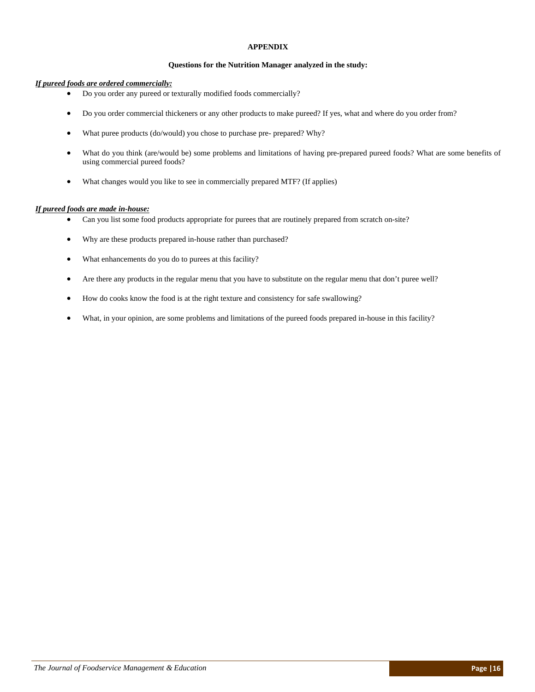#### **APPENDIX**

#### **Questions for the Nutrition Manager analyzed in the study:**

#### *If pureed foods are ordered commercially:*

- Do you order any pureed or texturally modified foods commercially?
- Do you order commercial thickeners or any other products to make pureed? If yes, what and where do you order from?
- What puree products (do/would) you chose to purchase pre- prepared? Why?
- What do you think (are/would be) some problems and limitations of having pre-prepared pureed foods? What are some benefits of using commercial pureed foods?
- What changes would you like to see in commercially prepared MTF? (If applies)

#### *If pureed foods are made in-house:*

- Can you list some food products appropriate for purees that are routinely prepared from scratch on-site?
- Why are these products prepared in-house rather than purchased?
- What enhancements do you do to purees at this facility?
- Are there any products in the regular menu that you have to substitute on the regular menu that don't puree well?
- How do cooks know the food is at the right texture and consistency for safe swallowing?
- What, in your opinion, are some problems and limitations of the pureed foods prepared in-house in this facility?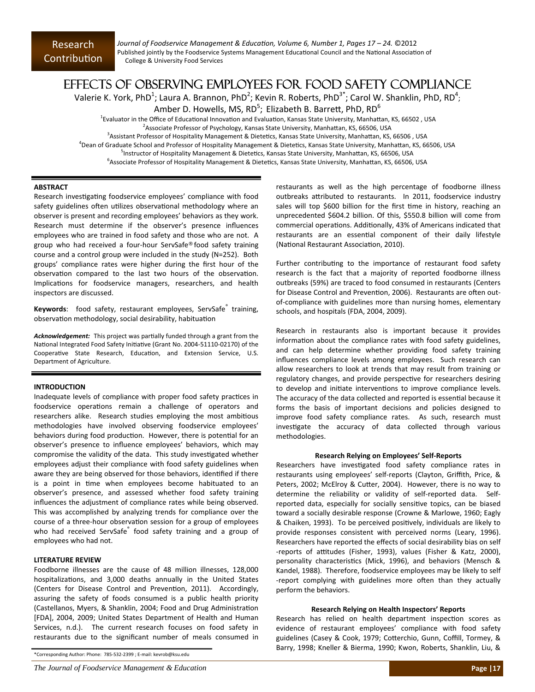*Journal of Foodservice Management & EducaƟon, Volume 6, Number 1, Pages 17 – 24.* ©2012 Published jointly by the Foodservice Systems Management Educational Council and the National Association of College & University Food Services

### EFFECTS OF OBSERVING EMPLOYEES FOR FOOD SAFETY COMPLIANCE

Valerie K. York, PhD<sup>1</sup>; Laura A. Brannon, PhD<sup>2</sup>; Kevin R. Roberts, PhD<sup>3\*</sup>; Carol W. Shanklin, PhD, RD<sup>4</sup>;

Amber D. Howells, MS, RD $^5$ ; Elizabeth B. Barrett, PhD, RD $^6$ 

<sup>1</sup>Evaluator in the Office of Educational Innovation and Evaluation, Kansas State University, Manhattan, KS, 66502, USA

 $^{2}$ Associate Professor of Psychology, Kansas State University, Manhattan, KS, 66506, USA

<sup>3</sup> Assistant Professor of Hospitality Management & Dietetics, Kansas State University, Manhattan, KS, 66506, USA

<sup>4</sup>Dean of Graduate School and Professor of Hospitality Management & Dietetics, Kansas State University, Manhattan, KS, 66506, USA

<sup>5</sup>Instructor of Hospitality Management & Dietetics, Kansas State University, Manhattan, KS, 66506, USA

<sup>6</sup>Associate Professor of Hospitality Management & Dietetics, Kansas State University, Manhattan, KS, 66506, USA

#### **ABSTRACT**

Research investigating foodservice employees' compliance with food safety guidelines often utilizes observational methodology where an observer is present and recording employees' behaviors as they work. Research must determine if the observer's presence influences employees who are trained in food safety and those who are not. A group who had received a four‐hour ServSafe® food safety training course and a control group were included in the study (N=252). Both groups' compliance rates were higher during the first hour of the observation compared to the last two hours of the observation. Implications for foodservice managers, researchers, and health inspectors are discussed.

**Keywords**: food safety, restaurant employees, ServSafe<sup>®</sup> training, observation methodology, social desirability, habituation

Acknowledgement: This project was partially funded through a grant from the National Integrated Food Safety Initiative (Grant No. 2004-51110-02170) of the Cooperative State Research, Education, and Extension Service, U.S. Department of Agriculture.

#### **INTRODUCTION**

Inadequate levels of compliance with proper food safety practices in foodservice operations remain a challenge of operators and researchers alike. Research studies employing the most ambitious methodologies have involved observing foodservice employees' behaviors during food production. However, there is potential for an observer's presence to influence employees' behaviors, which may compromise the validity of the data. This study investigated whether employees adjust their compliance with food safety guidelines when aware they are being observed for those behaviors, identified if there is a point in time when employees become habituated to an observer's presence, and assessed whether food safety training influences the adjustment of compliance rates while being observed. This was accomplished by analyzing trends for compliance over the course of a three-hour observation session for a group of employees who had received ServSafe<sup>®</sup> food safety training and a group of employees who had not.

#### **LITERATURE REVIEW**

Foodborne illnesses are the cause of 48 million illnesses, 128,000 hospitalizations, and 3,000 deaths annually in the United States (Centers for Disease Control and Prevention, 2011). Accordingly, assuring the safety of foods consumed is a public health priority (Castellanos, Myers, & Shanklin, 2004; Food and Drug Administration [FDA], 2004, 2009; United States Department of Health and Human Services, n.d.). The current research focuses on food safety in restaurants due to the significant number of meals consumed in

\*Corresponding Author: Phone: 785‐532‐2399 ; E‐mail: kevrob@ksu.edu

restaurants as well as the high percentage of foodborne illness outbreaks attributed to restaurants. In 2011, foodservice industry sales will top \$600 billion for the first time in history, reaching an unprecedented \$604.2 billion. Of this, \$550.8 billion will come from commercial operations. Additionally, 43% of Americans indicated that restaurants are an essential component of their daily lifestyle (National Restaurant Association, 2010).

Further contributing to the importance of restaurant food safety research is the fact that a majority of reported foodborne illness outbreaks (59%) are traced to food consumed in restaurants (Centers for Disease Control and Prevention, 2006). Restaurants are often outof-compliance with guidelines more than nursing homes, elementary schools, and hospitals (FDA, 2004, 2009).

Research in restaurants also is important because it provides information about the compliance rates with food safety guidelines, and can help determine whether providing food safety training influences compliance levels among employees. Such research can allow researchers to look at trends that may result from training or regulatory changes, and provide perspective for researchers desiring to develop and initiate interventions to improve compliance levels. The accuracy of the data collected and reported is essential because it forms the basis of important decisions and policies designed to improve food safety compliance rates. As such, research must investigate the accuracy of data collected through various methodologies.

#### **Research Relying on Employees' Self‐Reports**

Researchers have investigated food safety compliance rates in restaurants using employees' self‐reports (Clayton, Griffith, Price, & Peters, 2002; McElroy & Cutter, 2004). However, there is no way to determine the reliability or validity of self-reported data. Selfreported data, especially for socially sensitive topics, can be biased toward a socially desirable response (Crowne & Marlowe, 1960; Eagly & Chaiken, 1993). To be perceived positively, individuals are likely to provide responses consistent with perceived norms (Leary, 1996). Researchers have reported the effects of social desirability bias on self -reports of attitudes (Fisher, 1993), values (Fisher & Katz, 2000), personality characteristics (Mick, 1996), and behaviors (Mensch & Kandel, 1988). Therefore, foodservice employees may be likely to self -report complying with guidelines more often than they actually perform the behaviors.

#### **Research Relying on Health Inspectors' Reports**

Research has relied on health department inspection scores as evidence of restaurant employees' compliance with food safety guidelines (Casey & Cook, 1979; Cotterchio, Gunn, Coffill, Tormey, & Barry, 1998; Kneller & Bierma, 1990; Kwon, Roberts, Shanklin, Liu, &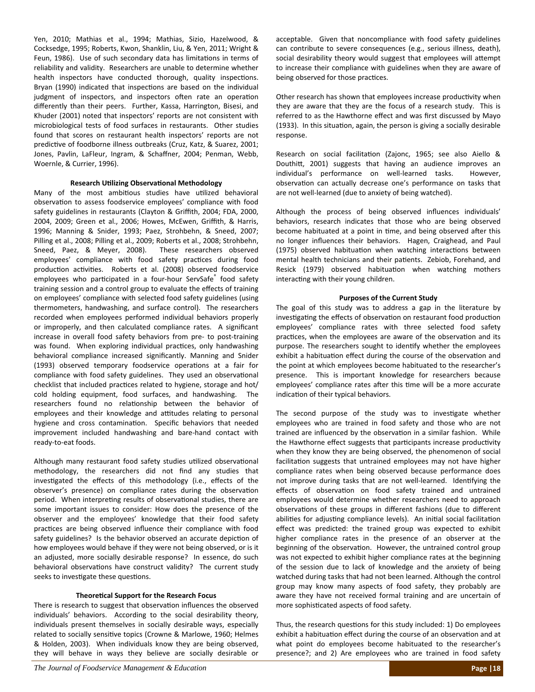Yen, 2010; Mathias et al., 1994; Mathias, Sizio, Hazelwood, & Cocksedge, 1995; Roberts, Kwon, Shanklin, Liu, & Yen, 2011; Wright & Feun, 1986). Use of such secondary data has limitations in terms of reliability and validity. Researchers are unable to determine whether health inspectors have conducted thorough, quality inspections. Bryan (1990) indicated that inspections are based on the individual judgment of inspectors, and inspectors often rate an operation differently than their peers. Further, Kassa, Harrington, Bisesi, and Khuder (2001) noted that inspectors' reports are not consistent with microbiological tests of food surfaces in restaurants. Other studies found that scores on restaurant health inspectors' reports are not predictive of foodborne illness outbreaks (Cruz, Katz, & Suarez, 2001; Jones, Pavlin, LaFleur, Ingram, & Schaffner, 2004; Penman, Webb, Woernle, & Currier, 1996).

#### **Research UƟlizing ObservaƟonal Methodology**

Many of the most ambitious studies have utilized behavioral observation to assess foodservice employees' compliance with food safety guidelines in restaurants (Clayton & Griffith, 2004; FDA, 2000, 2004, 2009; Green et al., 2006; Howes, McEwen, Griffith, & Harris, 1996; Manning & Snider, 1993; Paez, Strohbehn, & Sneed, 2007; Pilling et al., 2008; Pilling et al., 2009; Roberts et al., 2008; Strohbehn, Sneed, Paez, & Meyer, 2008). These researchers observed employees' compliance with food safety practices during food production activities. Roberts et al. (2008) observed foodservice employees who participated in a four-hour ServSafe® food safety training session and a control group to evaluate the effects of training on employees' compliance with selected food safety guidelines (using thermometers, handwashing, and surface control). The researchers recorded when employees performed individual behaviors properly or improperly, and then calculated compliance rates. A significant increase in overall food safety behaviors from pre- to post-training was found. When exploring individual practices, only handwashing behavioral compliance increased significantly. Manning and Snider (1993) observed temporary foodservice operations at a fair for compliance with food safety guidelines. They used an observational checklist that included practices related to hygiene, storage and hot/ cold holding equipment, food surfaces, and handwashing. The researchers found no relationship between the behavior of employees and their knowledge and attitudes relating to personal hygiene and cross contamination. Specific behaviors that needed improvement included handwashing and bare‐hand contact with ready‐to‐eat foods.

Although many restaurant food safety studies utilized observational methodology, the researchers did not find any studies that investigated the effects of this methodology (i.e., effects of the observer's presence) on compliance rates during the observation period. When interpreting results of observational studies, there are some important issues to consider: How does the presence of the observer and the employees' knowledge that their food safety practices are being observed influence their compliance with food safety guidelines? Is the behavior observed an accurate depiction of how employees would behave if they were not being observed, or is it an adjusted, more socially desirable response? In essence, do such behavioral observations have construct validity? The current study seeks to investigate these questions.

#### **TheoreƟcal Support for the Research Focus**

There is research to suggest that observation influences the observed individuals' behaviors. According to the social desirability theory, individuals present themselves in socially desirable ways, especially related to socially sensitive topics (Crowne & Marlowe, 1960; Helmes & Holden, 2003). When individuals know they are being observed, they will behave in ways they believe are socially desirable or acceptable. Given that noncompliance with food safety guidelines can contribute to severe consequences (e.g., serious illness, death), social desirability theory would suggest that employees will attempt to increase their compliance with guidelines when they are aware of being observed for those practices.

Other research has shown that employees increase productivity when they are aware that they are the focus of a research study. This is referred to as the Hawthorne effect and was first discussed by Mayo (1933). In this situation, again, the person is giving a socially desirable response.

Research on social facilitation (Zajonc, 1965; see also Aiello & Douthitt, 2001) suggests that having an audience improves an individual's performance on well-learned tasks. However, observation can actually decrease one's performance on tasks that are not well-learned (due to anxiety of being watched).

Although the process of being observed influences individuals' behaviors, research indicates that those who are being observed become habituated at a point in time, and being observed after this no longer influences their behaviors. Hagen, Craighead, and Paul (1975) observed habituation when watching interactions between mental health technicians and their patients. Zebiob, Forehand, and Resick (1979) observed habituation when watching mothers interacting with their young children.

#### **Purposes of the Current Study**

The goal of this study was to address a gap in the literature by investigating the effects of observation on restaurant food production employees' compliance rates with three selected food safety practices, when the employees are aware of the observation and its purpose. The researchers sought to identify whether the employees exhibit a habituation effect during the course of the observation and the point at which employees become habituated to the researcher's presence. This is important knowledge for researchers because employees' compliance rates after this time will be a more accurate indication of their typical behaviors.

The second purpose of the study was to investigate whether employees who are trained in food safety and those who are not trained are influenced by the observation in a similar fashion. While the Hawthorne effect suggests that participants increase productivity when they know they are being observed, the phenomenon of social facilitation suggests that untrained employees may not have higher compliance rates when being observed because performance does not improve during tasks that are not well-learned. Identifying the effects of observation on food safety trained and untrained employees would determine whether researchers need to approach observations of these groups in different fashions (due to different abilities for adjusting compliance levels). An initial social facilitation effect was predicted: the trained group was expected to exhibit higher compliance rates in the presence of an observer at the beginning of the observation. However, the untrained control group was not expected to exhibit higher compliance rates at the beginning of the session due to lack of knowledge and the anxiety of being watched during tasks that had not been learned. Although the control group may know many aspects of food safety, they probably are aware they have not received formal training and are uncertain of more sophisticated aspects of food safety.

Thus, the research questions for this study included: 1) Do employees exhibit a habituation effect during the course of an observation and at what point do employees become habituated to the researcher's presence?; and 2) Are employees who are trained in food safety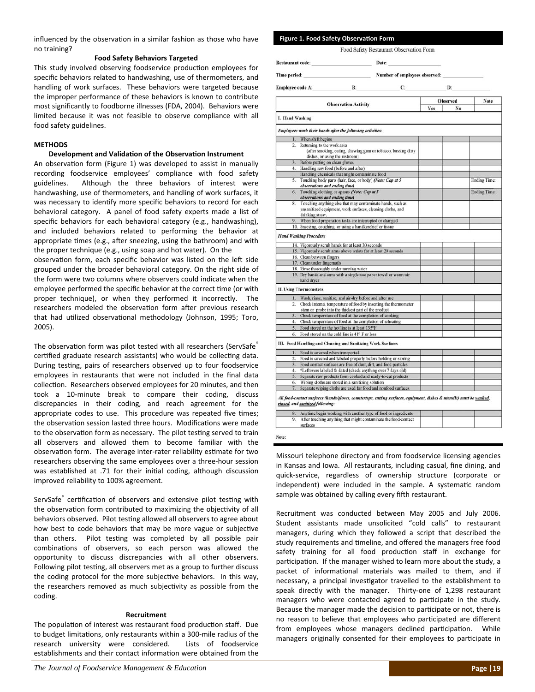influenced by the observation in a similar fashion as those who have no training?

#### **Food Safety Behaviors Targeted**

This study involved observing foodservice production employees for specific behaviors related to handwashing, use of thermometers, and handling of work surfaces. These behaviors were targeted because the improper performance of these behaviors is known to contribute most significantly to foodborne illnesses (FDA, 2004). Behaviors were limited because it was not feasible to observe compliance with all food safety guidelines.

#### **METHODS**

#### **Development and Validation of the Observation Instrument**

An observation form (Figure 1) was developed to assist in manually recording foodservice employees' compliance with food safety guidelines. Although the three behaviors of interest were handwashing, use of thermometers, and handling of work surfaces, it was necessary to identify more specific behaviors to record for each behavioral category. A panel of food safety experts made a list of specific behaviors for each behavioral category (e.g., handwashing), and included behaviors related to performing the behavior at appropriate times (e.g., after sneezing, using the bathroom) and with the proper technique (e.g., using soap and hot water). On the

observation form, each specific behavior was listed on the left side grouped under the broader behavioral category. On the right side of the form were two columns where observers could indicate when the employee performed the specific behavior at the correct time (or with proper technique), or when they performed it incorrectly. The researchers modeled the observation form after previous research that had utilized observational methodology (Johnson, 1995; Toro, 2005).

The observation form was pilot tested with all researchers (ServSafe® certified graduate research assistants) who would be collecting data. During testing, pairs of researchers observed up to four foodservice employees in restaurants that were not included in the final data collection. Researchers observed employees for 20 minutes, and then took a 10‐minute break to compare their coding, discuss discrepancies in their coding, and reach agreement for the appropriate codes to use. This procedure was repeated five times; the observation session lasted three hours. Modifications were made to the observation form as necessary. The pilot testing served to train all observers and allowed them to become familiar with the observation form. The average inter-rater reliability estimate for two researchers observing the same employees over a three‐hour session was established at .71 for their initial coding, although discussion improved reliability to 100% agreement.

ServSafe<sup>®</sup> certification of observers and extensive pilot testing with the observation form contributed to maximizing the objectivity of all behaviors observed. Pilot testing allowed all observers to agree about how best to code behaviors that may be more vague or subjective than others. Pilot testing was completed by all possible pair combinations of observers, so each person was allowed the opportunity to discuss discrepancies with all other observers. Following pilot testing, all observers met as a group to further discuss the coding protocol for the more subjective behaviors. In this way, the researchers removed as much subjectivity as possible from the coding.

#### **Recruitment**

The population of interest was restaurant food production staff. Due to budget limitations, only restaurants within a 300-mile radius of the research university were considered. Lists of foodservice establishments and their contact information were obtained from the

| Restaurant code:<br><b>Time period:</b><br>the control of the control of the<br>Employee code A:<br>$\mathbf{B}$ : |                                                                                                                                                                                                                            |  | Date:                         |     |                 |                     |
|--------------------------------------------------------------------------------------------------------------------|----------------------------------------------------------------------------------------------------------------------------------------------------------------------------------------------------------------------------|--|-------------------------------|-----|-----------------|---------------------|
|                                                                                                                    |                                                                                                                                                                                                                            |  | Number of employees observed: |     |                 |                     |
|                                                                                                                    |                                                                                                                                                                                                                            |  | $\mathbf{C}$                  |     | D:              |                     |
|                                                                                                                    |                                                                                                                                                                                                                            |  |                               |     | <b>Observed</b> | Note                |
|                                                                                                                    | <b>Observation Activity</b>                                                                                                                                                                                                |  |                               | Yes | No              |                     |
| I. Hand Washing                                                                                                    |                                                                                                                                                                                                                            |  |                               |     |                 |                     |
|                                                                                                                    | Employees wash their hands after the following activities:                                                                                                                                                                 |  |                               |     |                 |                     |
| 1.                                                                                                                 | When shift begins                                                                                                                                                                                                          |  |                               |     |                 |                     |
| $\mathbf{2}$                                                                                                       | Returning to the work area                                                                                                                                                                                                 |  |                               |     |                 |                     |
|                                                                                                                    | (after smoking, eating, chewing gum or tobacco, bussing dirty                                                                                                                                                              |  |                               |     |                 |                     |
|                                                                                                                    | dishes, or using the restroom)                                                                                                                                                                                             |  |                               |     |                 |                     |
| 3.                                                                                                                 | Before putting on clean gloves                                                                                                                                                                                             |  |                               |     |                 |                     |
| 4.                                                                                                                 | Handling raw food (before and after)                                                                                                                                                                                       |  |                               |     |                 |                     |
|                                                                                                                    | Handling chemicals that might contaminate food                                                                                                                                                                             |  |                               |     |                 |                     |
| 5.                                                                                                                 | Touching body parts (hair, face, or body) (Note: Cap at 5                                                                                                                                                                  |  |                               |     |                 | <b>Ending Time:</b> |
|                                                                                                                    | observations and ending time)                                                                                                                                                                                              |  |                               |     |                 |                     |
| 6.                                                                                                                 | Touching clothing or aprons (Note: Cap at 5)                                                                                                                                                                               |  |                               |     |                 | <b>Ending Time:</b> |
|                                                                                                                    | observations and ending time)                                                                                                                                                                                              |  |                               |     |                 |                     |
| 8.                                                                                                                 | Touching anything else that may contaminate hands, such as                                                                                                                                                                 |  |                               |     |                 |                     |
|                                                                                                                    | unsanitized equipment, work surfaces, cleaning cloths, and                                                                                                                                                                 |  |                               |     |                 |                     |
|                                                                                                                    | drinking straw.                                                                                                                                                                                                            |  |                               |     |                 |                     |
| 9.                                                                                                                 | When food preparation tasks are interrupted or changed                                                                                                                                                                     |  |                               |     |                 |                     |
|                                                                                                                    | 10. Sneezing, coughing, or using a handkerchief or tissue                                                                                                                                                                  |  |                               |     |                 |                     |
|                                                                                                                    | <b>Hand Washing Procedure</b>                                                                                                                                                                                              |  |                               |     |                 |                     |
|                                                                                                                    |                                                                                                                                                                                                                            |  |                               |     |                 |                     |
|                                                                                                                    |                                                                                                                                                                                                                            |  |                               |     |                 |                     |
|                                                                                                                    | 14. Vigorously scrub hands for at least 20 seconds                                                                                                                                                                         |  |                               |     |                 |                     |
|                                                                                                                    | 15. Vigorously scrub arms above wrists for at least 20 seconds                                                                                                                                                             |  |                               |     |                 |                     |
|                                                                                                                    | 16. Clean between fingers                                                                                                                                                                                                  |  |                               |     |                 |                     |
|                                                                                                                    | 17. Clean under fingernails                                                                                                                                                                                                |  |                               |     |                 |                     |
|                                                                                                                    | 18. Rinse thoroughly under running water                                                                                                                                                                                   |  |                               |     |                 |                     |
|                                                                                                                    | 19. Dry hands and arms with a single-use paper towel or warm-air                                                                                                                                                           |  |                               |     |                 |                     |
|                                                                                                                    | hand dryer                                                                                                                                                                                                                 |  |                               |     |                 |                     |
|                                                                                                                    | <b>II. Using Thermometers</b>                                                                                                                                                                                              |  |                               |     |                 |                     |
| 1.                                                                                                                 |                                                                                                                                                                                                                            |  |                               |     |                 |                     |
| $\mathbf{2}$                                                                                                       | Wash, rinse, sanitize, and air-dry before and after use<br>Check internal temperature of food by inserting the thermometer                                                                                                 |  |                               |     |                 |                     |
|                                                                                                                    | stem or probe into the thickest part of the product                                                                                                                                                                        |  |                               |     |                 |                     |
| 3.                                                                                                                 | Check temperature of food at the completion of cooking                                                                                                                                                                     |  |                               |     |                 |                     |
| 4.                                                                                                                 | Check temperature of food at the completion of reheating                                                                                                                                                                   |  |                               |     |                 |                     |
| 5.                                                                                                                 | Food stored on the hot line is at least 135°F                                                                                                                                                                              |  |                               |     |                 |                     |
| 6.                                                                                                                 |                                                                                                                                                                                                                            |  |                               |     |                 |                     |
|                                                                                                                    | Food stored on the cold line is 41° F or less<br>III. Food Handling and Cleaning and Sanitizing Work Surfaces                                                                                                              |  |                               |     |                 |                     |
|                                                                                                                    |                                                                                                                                                                                                                            |  |                               |     |                 |                     |
| 1.                                                                                                                 | Food is covered when transported                                                                                                                                                                                           |  |                               |     |                 |                     |
| $\overline{2}$                                                                                                     | Food is covered and labeled properly before holding or storing                                                                                                                                                             |  |                               |     |                 |                     |
| 3.                                                                                                                 | Food contact surfaces are free of dust, dirt, and food particles                                                                                                                                                           |  |                               |     |                 |                     |
| 4.                                                                                                                 | *Leftovers labeled & dated (check anything over 7 days old)                                                                                                                                                                |  |                               |     |                 |                     |
| 5.                                                                                                                 | Separate raw products from cooked and ready-to-eat products                                                                                                                                                                |  |                               |     |                 |                     |
| 6.                                                                                                                 | Wiping cloths are stored in a sanitizing solution                                                                                                                                                                          |  |                               |     |                 |                     |
| 7.                                                                                                                 | Separate wiping cloths are used for food and nonfood surfaces<br>All food-contact surfaces (hands/gloves, countertops, cutting surfaces, equipment, dishes & utensils) must be washed,<br>rinsed, and sanitized following: |  |                               |     |                 |                     |
|                                                                                                                    |                                                                                                                                                                                                                            |  |                               |     |                 |                     |
| 8.<br>9.                                                                                                           | Anytime begin working with another type of food or ingredients<br>After touching anything that might contaminate the food-contact                                                                                          |  |                               |     |                 |                     |

Food Safety Restaurant Observation Form

**Figure 1. Food Safety ObservaƟon Form**

Missouri telephone directory and from foodservice licensing agencies in Kansas and Iowa. All restaurants, including casual, fine dining, and quick‐service, regardless of ownership structure (corporate or independent) were included in the sample. A systematic random

sample was obtained by calling every fifth restaurant.

Recruitment was conducted between May 2005 and July 2006. Student assistants made unsolicited "cold calls" to restaurant managers, during which they followed a script that described the study requirements and timeline, and offered the managers free food safety training for all food production staff in exchange for participation. If the manager wished to learn more about the study, a packet of informational materials was mailed to them, and if necessary, a principal investigator travelled to the establishment to speak directly with the manager. Thirty-one of 1,298 restaurant managers who were contacted agreed to participate in the study. Because the manager made the decision to participate or not, there is no reason to believe that employees who participated are different from employees whose managers declined participation. While managers originally consented for their employees to participate in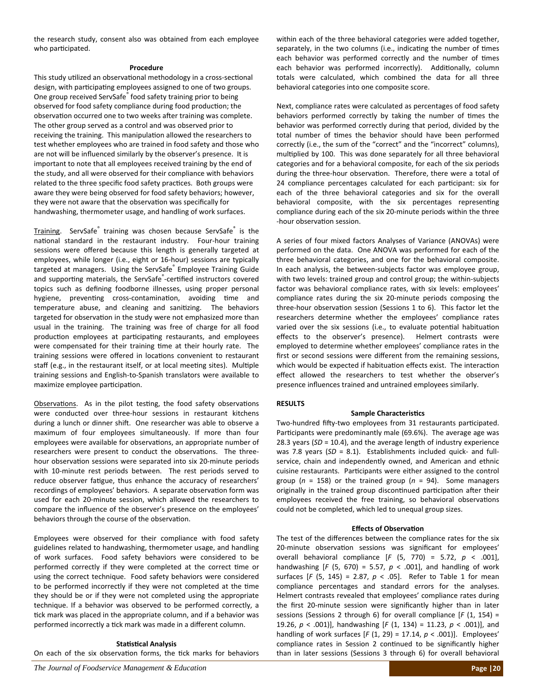the research study, consent also was obtained from each employee who participated.

#### **Procedure**

This study utilized an observational methodology in a cross-sectional design, with participating employees assigned to one of two groups. One group received ServSafe<sup>®</sup> food safety training prior to being observed for food safety compliance during food production; the observation occurred one to two weeks after training was complete. The other group served as a control and was observed prior to receiving the training. This manipulation allowed the researchers to test whether employees who are trained in food safety and those who are not will be influenced similarly by the observer's presence. It is important to note that all employees received training by the end of the study, and all were observed for their compliance with behaviors related to the three specific food safety practices. Both groups were aware they were being observed for food safety behaviors; however, they were not aware that the observation was specifically for handwashing, thermometer usage, and handling of work surfaces.

Training. ServSafe<sup>®</sup> training was chosen because ServSafe® is the national standard in the restaurant industry. Four-hour training sessions were offered because this length is generally targeted at employees, while longer (i.e., eight or 16‐hour) sessions are typically targeted at managers. Using the ServSafe<sup>®</sup> Employee Training Guide and supporting materials, the ServSafe<sup>®</sup>-certified instructors covered topics such as defining foodborne illnesses, using proper personal hygiene, preventing cross-contamination, avoiding time and temperature abuse, and cleaning and sanitizing. The behaviors targeted for observation in the study were not emphasized more than usual in the training. The training was free of charge for all food production employees at participating restaurants, and employees were compensated for their training time at their hourly rate. The training sessions were offered in locations convenient to restaurant staff (e.g., in the restaurant itself, or at local meeting sites). Multiple training sessions and English‐to‐Spanish translators were available to maximize employee participation.

Observations. As in the pilot testing, the food safety observations were conducted over three-hour sessions in restaurant kitchens during a lunch or dinner shift. One researcher was able to observe a maximum of four employees simultaneously. If more than four employees were available for observations, an appropriate number of researchers were present to conduct the observations. The threehour observation sessions were separated into six 20-minute periods with 10-minute rest periods between. The rest periods served to reduce observer fatigue, thus enhance the accuracy of researchers' recordings of employees' behaviors. A separate observation form was used for each 20‐minute session, which allowed the researchers to compare the influence of the observer's presence on the employees' behaviors through the course of the observation.

Employees were observed for their compliance with food safety guidelines related to handwashing, thermometer usage, and handling of work surfaces. Food safety behaviors were considered to be performed correctly if they were completed at the correct time or using the correct technique. Food safety behaviors were considered to be performed incorrectly if they were not completed at the time they should be or if they were not completed using the appropriate technique. If a behavior was observed to be performed correctly, a tick mark was placed in the appropriate column, and if a behavior was performed incorrectly a tick mark was made in a different column.

#### **StaƟsƟcal Analysis**

On each of the six observation forms, the tick marks for behaviors

within each of the three behavioral categories were added together, separately, in the two columns (i.e., indicating the number of times each behavior was performed correctly and the number of times each behavior was performed incorrectly). Additionally, column totals were calculated, which combined the data for all three behavioral categories into one composite score.

Next, compliance rates were calculated as percentages of food safety behaviors performed correctly by taking the number of times the behavior was performed correctly during that period, divided by the total number of times the behavior should have been performed correctly (i.e., the sum of the "correct" and the "incorrect" columns), multiplied by 100. This was done separately for all three behavioral categories and for a behavioral composite, for each of the six periods during the three-hour observation. Therefore, there were a total of 24 compliance percentages calculated for each participant: six for each of the three behavioral categories and six for the overall behavioral composite, with the six percentages representing compliance during each of the six 20‐minute periods within the three -hour observation session.

A series of four mixed factors Analyses of Variance (ANOVAs) were performed on the data. One ANOVA was performed for each of the three behavioral categories, and one for the behavioral composite. In each analysis, the between‐subjects factor was employee group, with two levels: trained group and control group; the within-subjects factor was behavioral compliance rates, with six levels: employees' compliance rates during the six 20‐minute periods composing the three-hour observation session (Sessions 1 to 6). This factor let the researchers determine whether the employees' compliance rates varied over the six sessions (i.e., to evaluate potential habituation effects to the observer's presence). Helmert contrasts were employed to determine whether employees' compliance rates in the first or second sessions were different from the remaining sessions, which would be expected if habituation effects exist. The interaction effect allowed the researchers to test whether the observer's presence influences trained and untrained employees similarly.

#### **RESULTS**

#### **Sample Characteristics**

Two-hundred fifty-two employees from 31 restaurants participated. Participants were predominantly male (69.6%). The average age was 28.3 years (*SD* = 10.4), and the average length of industry experience was 7.8 years (SD = 8.1). Establishments included quick- and fullservice, chain and independently owned, and American and ethnic cuisine restaurants. Participants were either assigned to the control group ( $n = 158$ ) or the trained group ( $n = 94$ ). Some managers originally in the trained group discontinued participation after their employees received the free training, so behavioral observations could not be completed, which led to unequal group sizes.

#### *<u>Effects of Observation</u>*

The test of the differences between the compliance rates for the six 20-minute observation sessions was significant for employees' overall behavioral compliance [*F* (5, 770) = 5.72, *p* < .001], handwashing  $[F (5, 670) = 5.57, p < .001]$ , and handling of work surfaces [*F* (5, 145) = 2.87, *p* < .05]. Refer to Table 1 for mean compliance percentages and standard errors for the analyses. Helmert contrasts revealed that employees' compliance rates during the first 20‐minute session were significantly higher than in later sessions (Sessions 2 through 6) for overall compliance [*F* (1, 154) = 19.26, *p* < .001)], handwashing [*F* (1, 134) = 11.23, *p* < .001)], and handling of work surfaces [*F* (1, 29) = 17.14, *p* < .001)]. Employees' compliance rates in Session 2 continued to be significantly higher than in later sessions (Sessions 3 through 6) for overall behavioral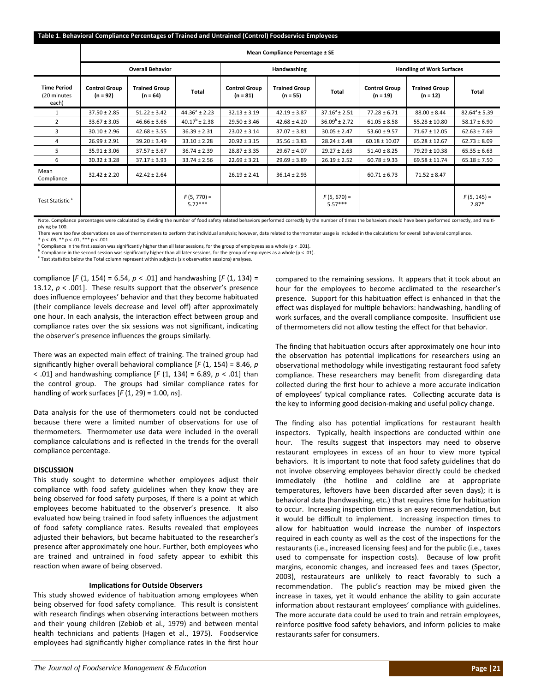|                                    | <b>Overall Behavior</b>            |                            |                                    | <b>Handwashing</b>                 |                            |                                  |                                    |                                  |
|------------------------------------|------------------------------------|----------------------------|------------------------------------|------------------------------------|----------------------------|----------------------------------|------------------------------------|----------------------------------|
| <b>Control Group</b><br>$(n = 92)$ | <b>Trained Group</b><br>$(n = 64)$ | Total                      | <b>Control Group</b><br>$(n = 81)$ | <b>Trained Group</b><br>$(n = 55)$ | Total                      | <b>Control Group</b><br>(n = 19) | <b>Trained Group</b><br>$(n = 12)$ | Total                            |
| $37.50 \pm 2.85$                   | $51.22 \pm 3.42$                   | $44.36^{\circ} \pm 2.23$   | $32.13 \pm 3.19$                   | $42.19 \pm 3.87$                   | $37.16^{\circ}$ ± 2.51     | $77.28 \pm 6.71$                 | $88.00 \pm 8.44$                   | $82.64^{\circ} \pm 5.39$         |
| $33.67 \pm 3.05$                   | $46.66 \pm 3.66$                   | $40.17^b \pm 2.38$         | $29.50 \pm 3.46$                   | $42.68 \pm 4.20$                   | $36.09^b \pm 2.72$         | $61.05 \pm 8.58$                 | $55.28 \pm 10.80$                  | $58.17 \pm 6.90$                 |
| $30.10 \pm 2.96$                   | $42.68 \pm 3.55$                   | $36.39 \pm 2.31$           | $23.02 \pm 3.14$                   | $37.07 \pm 3.81$                   | $30.05 \pm 2.47$           | $53.60 \pm 9.57$                 | $71.67 \pm 12.05$                  | $62.63 \pm 7.69$                 |
| $26.99 \pm 2.91$                   | $39.20 \pm 3.49$                   | $33.10 \pm 2.28$           | $20.92 \pm 3.15$                   | $35.56 \pm 3.83$                   | $28.24 \pm 2.48$           | $60.18 \pm 10.07$                | $65.28 \pm 12.67$                  | $62.73 \pm 8.09$                 |
| $35.91 \pm 3.06$                   | $37.57 \pm 3.67$                   | $36.74 \pm 2.39$           | $28.87 \pm 3.35$                   | $29.67 \pm 4.07$                   | $29.27 \pm 2.63$           | $51.40 \pm 8.25$                 | $79.29 \pm 10.38$                  | $65.35 \pm 6.63$                 |
| $30.32 \pm 3.28$                   | $37.17 \pm 3.93$                   | $33.74 \pm 2.56$           | $22.69 \pm 3.21$                   | $29.69 \pm 3.89$                   | $26.19 \pm 2.52$           | $60.78 \pm 9.33$                 | $69.58 \pm 11.74$                  | $65.18 \pm 7.50$                 |
| $32.42 \pm 2.20$                   | $42.42 \pm 2.64$                   |                            | $26.19 \pm 2.41$                   | $36.14 \pm 2.93$                   |                            | $60.71 \pm 6.73$                 | $71.52 \pm 8.47$                   |                                  |
|                                    |                                    | $F(5, 770) =$<br>$5.72***$ |                                    |                                    | $F(5, 670) =$<br>$5.57***$ |                                  |                                    | $F(5, 145) =$<br>$2.87*$         |
|                                    |                                    |                            |                                    |                                    |                            |                                  |                                    | <b>Handling of Work Surfaces</b> |

**Mean Compliance Percentage <sup>±</sup> SE**

Note. Compliance percentages were calculated by dividing the number of food safety related behaviors performed correctly by the number of times the behaviors should have been performed correctly, and multiplying by 100.

There were too few observations on use of thermometers to perform that individual analysis; however, data related to thermometer usage is included in the calculations for overall behavioral compliance.

 $p < 0.05$ , \*\*  $p < 0.01$ , \*\*\*  $p < 0.001$ 

<sup>a</sup> Compliance in the first session was significantly higher than all later sessions, for the group of employees as a whole (p < .001). <sup>b</sup> Compliance in the second session was significantly higher than all later sessions, for the group of employees as a whole (p < .01).

 $c$  Test statistics below the Total column represent within subjects (six observation sessions) analyses.

compliance  $[F(1, 154) = 6.54, p < .01]$  and handwashing  $[F(1, 134) =$ 13.12, *p* < .001]. These results support that the observer's presence does influence employees' behavior and that they become habituated (their compliance levels decrease and level off) after approximately one hour. In each analysis, the interaction effect between group and compliance rates over the six sessions was not significant, indicating the observer's presence influences the groups similarly.

There was an expected main effect of training. The trained group had significantly higher overall behavioral compliance [*F* (1, 154) = 8.46, *p* < .01] and handwashing compliance [*F* (1, 134) = 6.89, *p* < .01] than the control group. The groups had similar compliance rates for handling of work surfaces [*F* (1, 29) = 1.00, *ns*].

Data analysis for the use of thermometers could not be conducted because there were a limited number of observations for use of thermometers. Thermometer use data were included in the overall compliance calculations and is reflected in the trends for the overall compliance percentage.

#### **DISCUSSION**

This study sought to determine whether employees adjust their compliance with food safety guidelines when they know they are being observed for food safety purposes, if there is a point at which employees become habituated to the observer's presence. It also evaluated how being trained in food safety influences the adjustment of food safety compliance rates. Results revealed that employees adjusted their behaviors, but became habituated to the researcher's presence after approximately one hour. Further, both employees who are trained and untrained in food safety appear to exhibit this reaction when aware of being observed.

#### **ImplicaƟons for Outside Observers**

This study showed evidence of habituation among employees when being observed for food safety compliance. This result is consistent with research findings when observing interactions between mothers and their young children (Zebiob et al., 1979) and between mental health technicians and patients (Hagen et al., 1975). Foodservice employees had significantly higher compliance rates in the first hour

compared to the remaining sessions. It appears that it took about an hour for the employees to become acclimated to the researcher's presence. Support for this habituation effect is enhanced in that the effect was displayed for multiple behaviors: handwashing, handling of work surfaces, and the overall compliance composite. Insufficient use of thermometers did not allow testing the effect for that behavior.

The finding that habituation occurs after approximately one hour into the observation has potential implications for researchers using an observational methodology while investigating restaurant food safety compliance. These researchers may benefit from disregarding data collected during the first hour to achieve a more accurate indication of employees' typical compliance rates. Collecting accurate data is the key to informing good decision‐making and useful policy change.

The finding also has potential implications for restaurant health inspectors. Typically, health inspections are conducted within one hour. The results suggest that inspectors may need to observe restaurant employees in excess of an hour to view more typical behaviors. It is important to note that food safety guidelines that do not involve observing employees behavior directly could be checked immediately (the hotline and coldline are at appropriate temperatures, leftovers have been discarded after seven days); it is behavioral data (handwashing, etc.) that requires time for habituation to occur. Increasing inspection times is an easy recommendation, but it would be difficult to implement. Increasing inspection times to allow for habituation would increase the number of inspectors required in each county as well as the cost of the inspections for the restaurants (i.e., increased licensing fees) and for the public (i.e., taxes used to compensate for inspection costs). Because of low profit margins, economic changes, and increased fees and taxes (Spector, 2003), restaurateurs are unlikely to react favorably to such a recommendation. The public's reaction may be mixed given the increase in taxes, yet it would enhance the ability to gain accurate information about restaurant employees' compliance with guidelines. The more accurate data could be used to train and retrain employees, reinforce positive food safety behaviors, and inform policies to make restaurants safer for consumers.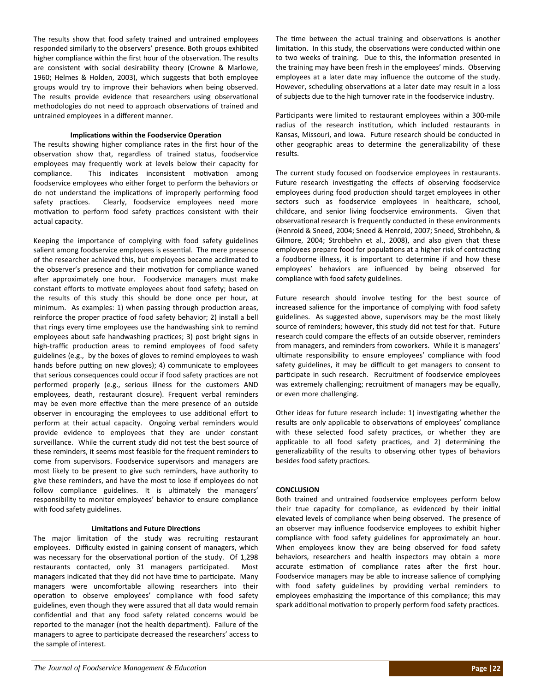The results show that food safety trained and untrained employees responded similarly to the observers' presence. Both groups exhibited higher compliance within the first hour of the observation. The results are consistent with social desirability theory (Crowne & Marlowe, 1960; Helmes & Holden, 2003), which suggests that both employee groups would try to improve their behaviors when being observed. The results provide evidence that researchers using observational methodologies do not need to approach observations of trained and untrained employees in a different manner.

#### **ImplicaƟons within the Foodservice OperaƟon**

The results showing higher compliance rates in the first hour of the observation show that, regardless of trained status, foodservice employees may frequently work at levels below their capacity for compliance. This indicates inconsistent motivation among foodservice employees who either forget to perform the behaviors or do not understand the implications of improperly performing food safety practices. Clearly, foodservice employees need more motivation to perform food safety practices consistent with their actual capacity.

Keeping the importance of complying with food safety guidelines salient among foodservice employees is essential. The mere presence of the researcher achieved this, but employees became acclimated to the observer's presence and their motivation for compliance waned after approximately one hour. Foodservice managers must make constant efforts to motivate employees about food safety; based on the results of this study this should be done once per hour, at minimum. As examples: 1) when passing through production areas, reinforce the proper practice of food safety behavior; 2) install a bell that rings every time employees use the handwashing sink to remind employees about safe handwashing practices; 3) post bright signs in high-traffic production areas to remind employees of food safety guidelines (e.g., by the boxes of gloves to remind employees to wash hands before putting on new gloves); 4) communicate to employees that serious consequences could occur if food safety practices are not performed properly (e.g., serious illness for the customers AND employees, death, restaurant closure). Frequent verbal reminders may be even more effective than the mere presence of an outside observer in encouraging the employees to use additional effort to perform at their actual capacity. Ongoing verbal reminders would provide evidence to employees that they are under constant surveillance. While the current study did not test the best source of these reminders, it seems most feasible for the frequent reminders to come from supervisors. Foodservice supervisors and managers are most likely to be present to give such reminders, have authority to give these reminders, and have the most to lose if employees do not follow compliance guidelines. It is ultimately the managers' responsibility to monitor employees' behavior to ensure compliance with food safety guidelines.

#### **LimitaƟons and Future DirecƟons**

The major limitation of the study was recruiting restaurant employees. Difficulty existed in gaining consent of managers, which was necessary for the observational portion of the study. Of 1,298 restaurants contacted, only 31 managers participated. Most managers indicated that they did not have time to participate. Many managers were uncomfortable allowing researchers into their operation to observe employees' compliance with food safety guidelines, even though they were assured that all data would remain confidential and that any food safety related concerns would be reported to the manager (not the health department). Failure of the managers to agree to participate decreased the researchers' access to the sample of interest.

The time between the actual training and observations is another limitation. In this study, the observations were conducted within one to two weeks of training. Due to this, the information presented in the training may have been fresh in the employees' minds. Observing employees at a later date may influence the outcome of the study. However, scheduling observations at a later date may result in a loss of subjects due to the high turnover rate in the foodservice industry.

Participants were limited to restaurant employees within a 300-mile radius of the research institution, which included restaurants in Kansas, Missouri, and Iowa. Future research should be conducted in other geographic areas to determine the generalizability of these results.

The current study focused on foodservice employees in restaurants. Future research investigating the effects of observing foodservice employees during food production should target employees in other sectors such as foodservice employees in healthcare, school, childcare, and senior living foodservice environments. Given that observational research is frequently conducted in these environments (Henroid & Sneed, 2004; Sneed & Henroid, 2007; Sneed, Strohbehn, & Gilmore, 2004; Strohbehn et al., 2008), and also given that these employees prepare food for populations at a higher risk of contracting a foodborne illness, it is important to determine if and how these employees' behaviors are influenced by being observed for compliance with food safety guidelines.

Future research should involve testing for the best source of increased salience for the importance of complying with food safety guidelines. As suggested above, supervisors may be the most likely source of reminders; however, this study did not test for that. Future research could compare the effects of an outside observer, reminders from managers, and reminders from coworkers. While it is managers' ultimate responsibility to ensure employees' compliance with food safety guidelines, it may be difficult to get managers to consent to participate in such research. Recruitment of foodservice employees was extremely challenging; recruitment of managers may be equally, or even more challenging.

Other ideas for future research include: 1) investigating whether the results are only applicable to observations of employees' compliance with these selected food safety practices, or whether they are applicable to all food safety practices, and 2) determining the generalizability of the results to observing other types of behaviors besides food safety practices.

#### **CONCLUSION**

Both trained and untrained foodservice employees perform below their true capacity for compliance, as evidenced by their initial elevated levels of compliance when being observed. The presence of an observer may influence foodservice employees to exhibit higher compliance with food safety guidelines for approximately an hour. When employees know they are being observed for food safety behaviors, researchers and health inspectors may obtain a more accurate estimation of compliance rates after the first hour. Foodservice managers may be able to increase salience of complying with food safety guidelines by providing verbal reminders to employees emphasizing the importance of this compliance; this may spark additional motivation to properly perform food safety practices.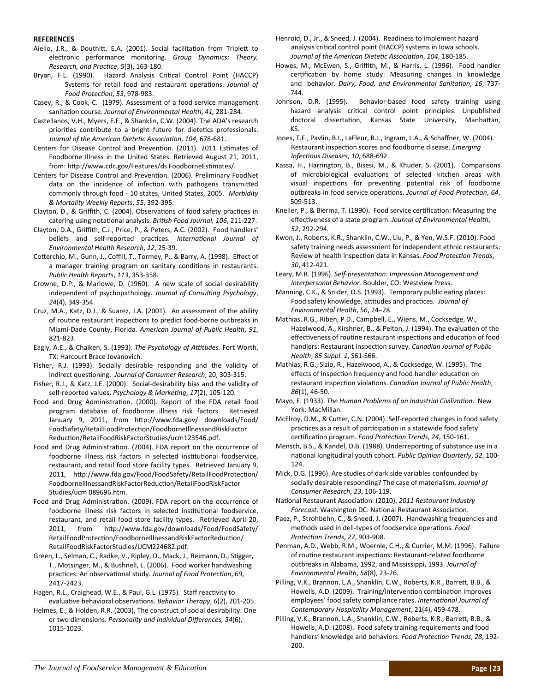#### **REFERENCES**

- Aiello, J.R., & Douthitt, E.A. (2001). Social facilitation from Triplett to electronic performance monitoring. *Group Dynamics: Theory, Research, and PracƟce*, *5*(3), 163‐180.
- Bryan, F.L. (1990). Hazard Analysis Critical Control Point (HACCP) Systems for retail food and restaurant operations. *Journal of Food ProtecƟon*, *53*, 978‐983.
- Casey, R., & Cook, C. (1979). Assessment of a food service management sanitaƟon course. *Journal of Environmental Health*, *41,* 281‐284.
- Castellanos, V.H., Myers, E.F., & Shanklin, C.W. (2004). The ADA's research priorities contribute to a bright future for dietetics professionals. *Journal of the American DieteƟc AssociaƟon*, *104*, 678‐681.
- Centers for Disease Control and Prevention. (2011). 2011 Estimates of Foodborne Illness in the United States. Retrieved August 21, 2011, from: http://www.cdc.gov/Features/ds FoodborneEstimates/.
- Centers for Disease Control and Prevention. (2006). Preliminary FoodNet data on the incidence of infection with pathogens transmitted commonly through food ‐ 10 states, United States, 2005. *Morbidity & Mortality Weekly Reports*, *55*, 392‐395.
- Clayton, D., & Griffith, C. (2004). Observations of food safety practices in catering using notaƟonal analysis. *BriƟsh Food Journal, 106*, 211‐227.
- Clayton, D.A., Griffith, C.J., Price, P., & Peters, A.C. (2002). Food handlers' beliefs and self-reported practices. *International Journal of Environmental Health Research*, *12*, 25‐39.
- Cotterchio, M., Gunn, J., Coffill, T., Tormey, P., & Barry, A. (1998). Effect of a manager training program on sanitary conditions in restaurants. *Public Health Reports*, *113*, 353‐358.
- Crowne, D.P., & Marlowe, D. (1960). A new scale of social desirability independent of psychopathology. Journal of Consulting Psychology, *24*(4), 349‐354.
- Cruz, M.A., Katz, D.J., & Suarez, J.A. (2001). An assessment of the ability of routine restaurant inspections to predict food-borne outbreaks in Miami‐Dade County, Florida. *American Journal of Public Health*, *91*, 821‐823.
- Eagly, A.E., & Chaiken, S. (1993). *The Psychology of Aƫtudes.* Fort Worth, TX: Harcourt Brace Jovanovich.
- Fisher, R.J. (1993). Socially desirable responding and the validity of indirect quesƟoning. *Journal of Consumer Research*, 20, 303‐315.
- Fisher, R.J., & Katz, J.E. (2000). Social‐desirability bias and the validity of self‐reported values. *Psychology & MarkeƟng*, *17*(2), 105‐120.
- Food and Drug Administration. (2000). Report of the FDA retail food program database of foodborne illness risk factors. Retrieved January 9, 2011, from http://www.fda.gov/ downloads/Food/ FoodSafety/RetailFoodProtecƟon/FoodborneIllnessandRiskFactor ReducƟon/RetailFoodRiskFactorStudies/ucm123546.pdf.
- Food and Drug Administration. (2004). FDA report on the occurrence of foodborne illness risk factors in selected institutional foodservice, restaurant, and retail food store facility types. Retrieved January 9, 2011, http://www.fda.gov/Food/FoodSafety/RetailFoodProtection/ FoodborneIllnessandRiskFactorReducƟon/RetailFoodRiskFactor Studies/ucm 089696.htm.
- Food and Drug Administration. (2009). FDA report on the occurrence of foodborne illness risk factors in selected institutional foodservice, restaurant, and retail food store facility types. Retrieved April 20, 2011, from http://www.fda.gov/downloads/Food/FoodSafety/ RetailFoodProtection/FoodborneIllnessandRiskFactorReduction/ RetailFoodRiskFactorStudies/UCM224682.pdf.
- Green, L., Selman, C., Radke, V., Ripley, D., Mack, J., Reimann, D., Stigger, T., Motsinger, M., & Bushnell, L. (2006). Food worker handwashing pracƟces: An observaƟonal study. *Journal of Food ProtecƟon*, 69, 2417‐2423.
- Hagen, R.L., Craighead, W.E., & Paul, G.L. (1975). Staff reactivity to evaluative behavioral observations. *Behavior Therapy*, 6(2), 201-205.
- Helmes, E., & Holden, R.R. (2003), The construct of social desirability: One or two dimensions. *Personality and Individual Differences, 34*(6), 1015‐1023.
- Henroid, D., Jr., & Sneed, J. (2004). Readiness to implement hazard analysis critical control point (HACCP) systems in Iowa schools. *Journal of the American DieteƟc AssociaƟon*, *104*, 180‐185.
- Howes, M., McEwen, S., Griffith, M., & Harris, L. (1996). Food handler certification by home study: Measuring changes in knowledge and behavior. *Dairy, Food, and Environmental Sanitation, 16, 737-*744.
- Johnson, D.R. (1995). Behavior-based food safety training using hazard analysis critical control point principles. Unpublished doctoral dissertation, Kansas State University, Manhattan, KS.
- Jones, T.F., Pavlin, B.I., LaFleur, B.J., Ingram, L.A., & Schaffner, W. (2004). Restaurant inspecƟon scores and foodborne disease. *Emerging InfecƟous Diseases*, *10*, 688‐692.
- Kassa, H., Harrington, B., Bisesi, M., & Khuder, S. (2001). Comparisons of microbiological evaluations of selected kitchen areas with visual inspections for preventing potential risk of foodborne outbreaks in food service operaƟons. *Journal of Food ProtecƟon*, *64*, 509‐513.
- Kneller, P., & Bierma, T. (1990). Food service certification: Measuring the effecƟveness of a state program. *Journal of Environmental Health*, *52*, 292‐294.
- Kwon, J., Roberts, K.R., Shanklin, C.W., Liu, P., & Yen, W.S.F. (2010). Food safety training needs assessment for independent ethnic restaurants: Review of health inspecƟon data in Kansas. *Food ProtecƟon Trends*, *30*, 412‐421.
- Leary, M.R. (1996). *Self‐presentaƟon: Impression Management and Interpersonal Behavior.* Boulder, CO: Westview Press.
- Manning, C.K., & Snider, O.S. (1993). Temporary public eating places: Food safety knowledge, aƫtudes and pracƟces. *Journal of Environmental Health*, *56*, 24–28.
- Mathias, R.G., Riben, P.D., Campbell, E., Wiens, M., Cocksedge, W., Hazelwood, A., Kirshner, B., & Pelton, J. (1994). The evaluation of the effectiveness of routine restaurant inspections and education of food handlers: Restaurant inspecƟon survey. *Canadian Journal of Public Health*, *85 Suppl. 1*, S61‐S66.
- Mathias, R.G., Sizio, R., Hazelwood, A., & Cocksedge, W. (1995). The effects of inspection frequency and food handler education on restaurant inspecƟon violaƟons. *Canadian Journal of Public Health*, *86*(1), 46‐50.
- Mayo, E. (1933). *The Human Problems of an Industrial CivilizaƟon*. New York: MacMillan.
- McElroy, D.M., & Cutter, C.N. (2004). Self-reported changes in food safety practices as a result of participation in a statewide food safety cerƟficaƟon program. *Food ProtecƟon Trends*, *24*, 150‐161.
- Mensch, B.S., & Kandel, D.B. (1988). Underreporting of substance use in a naƟonal longitudinal youth cohort. *Public Opinion Quarterly*, *52*, 100‐ 124.
- Mick, D.G. (1996). Are studies of dark side variables confounded by socially desirable responding? The case of materialism. *Journal of Consumer Research*, *23*, 106‐119.
- NaƟonal Restaurant AssociaƟon. (2010). *2011 Restaurant Industry* Forecast. Washington DC: National Restaurant Association.
- Paez, P., Strohbehn, C., & Sneed, J. (2007). Handwashing frequencies and methods used in deli-types of foodservice operations. *Food ProtecƟon Trends*, *27*, 903‐908.
- Penman, A.D., Webb, R.M., Woernle, C.H., & Currier, M.M. (1996). Failure of routine restaurant inspections: Restaurant-related foodborne outbreaks in Alabama, 1992, and Mississippi, 1993. *Journal of Environmental Health*, *58*(8), 23‐26.
- Pilling, V.K., Brannon, L.A., Shanklin, C.W., Roberts, K.R., Barrett, B.B., & Howells, A.D. (2009). Training/intervention combination improves employees' food safety compliance rates. *InternaƟonal Journal of Contemporary Hospitality Management*, 21(4), 459‐478.
- Pilling, V.K., Brannon, L.A., Shanklin, C.W., Roberts, K.R., Barrett, B.B., & Howells, A.D. (2008). Food safety training requirements and food handlers' knowledge and behaviors. *Food Protection Trends*, 28, 192-200.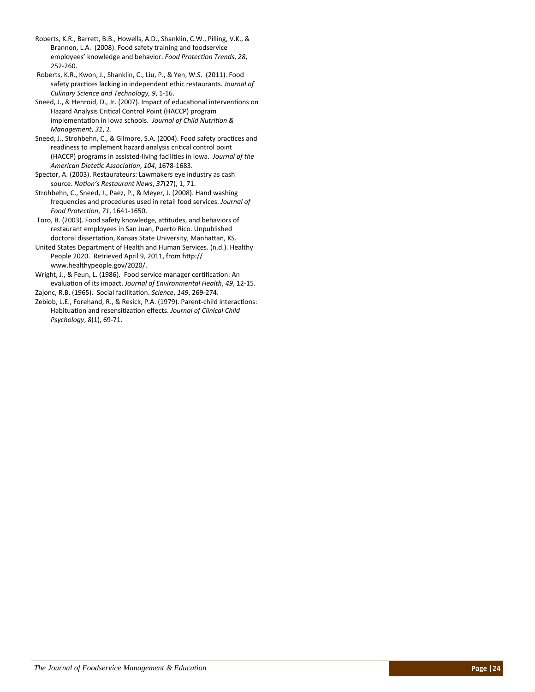Roberts, K.R., Barrett, B.B., Howells, A.D., Shanklin, C.W., Pilling, V.K., & Brannon, L.A. (2008). Food safety training and foodservice employees' knowledge and behavior. *Food ProtecƟon Trends*, *28*, 252‐260.

Roberts, K.R., Kwon, J., Shanklin, C., Liu, P., & Yen, W.S. (2011). Food safety pracƟces lacking in independent ethic restaurants. *Journal of Culinary Science and Technology, 9*, 1‐16.

Sneed, J., & Henroid, D., Jr. (2007). Impact of educational interventions on Hazard Analysis Critical Control Point (HACCP) program implementation in Iowa schools. Journal of Child Nutrition & *Management*, *31*, 2.

Sneed, J., Strohbehn, C., & Gilmore, S.A. (2004). Food safety practices and readiness to implement hazard analysis critical control point (HACCP) programs in assisted‐living faciliƟes in Iowa. *Journal of the American DieteƟc AssociaƟon*, *104*, 1678‐1683.

Spector, A. (2003). Restaurateurs: Lawmakers eye industry as cash source. *NaƟon's Restaurant News*, *37*(27), 1, 71.

Strohbehn, C., Sneed, J., Paez, P., & Meyer, J. (2008). Hand washing frequencies and procedures used in retail food services. *Journal of Food ProtecƟon*, *71*, 1641‐1650.

Toro, B. (2003). Food safety knowledge, attitudes, and behaviors of restaurant employees in San Juan, Puerto Rico. Unpublished doctoral dissertation, Kansas State University, Manhattan, KS.

United States Department of Health and Human Services. (n.d.). Healthy People 2020. Retrieved April 9, 2011, from http:// www.healthypeople.gov/2020/.

Wright, J., & Feun, L. (1986). Food service manager certification: An evaluaƟon of its impact. *Journal of Environmental Health*, *49*, 12‐15.

Zajonc, R.B. (1965). Social facilitaƟon. *Science*, *149*, 269‐274.

Zebiob, L.E., Forehand, R., & Resick, P.A. (1979). Parent-child interactions: HabituaƟon and resensiƟzaƟon effects. *Journal of Clinical Child Psychology*, *8*(1), 69‐71.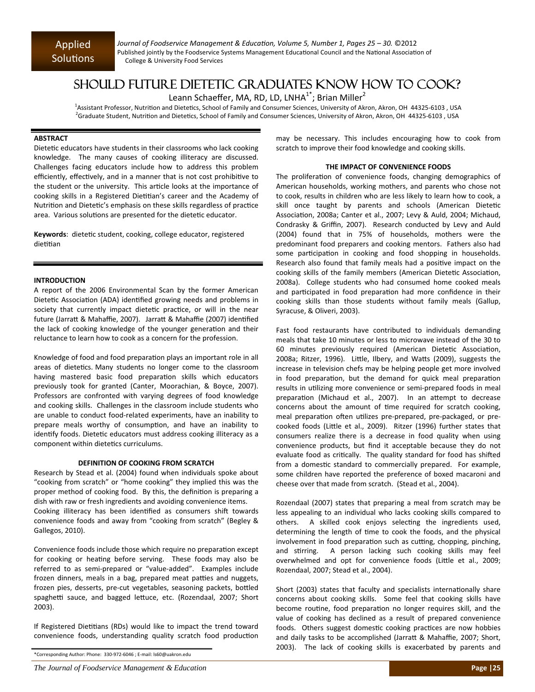*Journal of Foodservice Management & EducaƟon, Volume 5, Number 1, Pages 25 – 30.* ©2012 Published jointly by the Foodservice Systems Management Educational Council and the National Association of College & University Food Services

## SHOULD FUTURE DIETETIC GRADUATES KNOW HOW TO COOK?

Leann Schaeffer, MA, RD, LD, LNHA $^{1*}$ ; Brian Miller<sup>2</sup>

1Assistant Professor, Nutrition and Dietetics, School of Family and Consumer Sciences, University of Akron, Akron, OH 44325-6103, USA <sup>2</sup>Graduate Student, Nutrition and Dietetics, School of Family and Consumer Sciences, University of Akron, Akron, OH 44325-6103 , USA

#### **ABSTRACT**

Dietetic educators have students in their classrooms who lack cooking knowledge. The many causes of cooking illiteracy are discussed. Challenges facing educators include how to address this problem efficiently, effectively, and in a manner that is not cost prohibitive to the student or the university. This article looks at the importance of cooking skills in a Registered Dietitian's career and the Academy of Nutrition and Dietetic's emphasis on these skills regardless of practice area. Various solutions are presented for the dietetic educator.

Keywords: dietetic student, cooking, college educator, registered dietitian

#### **INTRODUCTION**

A report of the 2006 Environmental Scan by the former American Dietetic Association (ADA) identified growing needs and problems in society that currently impact dietetic practice, or will in the near future (Jarratt & Mahaffie, 2007). Jarratt & Mahaffie (2007) identified the lack of cooking knowledge of the younger generation and their reluctance to learn how to cook as a concern for the profession.

Knowledge of food and food preparation plays an important role in all areas of dietetics. Many students no longer come to the classroom having mastered basic food preparation skills which educators previously took for granted (Canter, Moorachian, & Boyce, 2007). Professors are confronted with varying degrees of food knowledge and cooking skills. Challenges in the classroom include students who are unable to conduct food‐related experiments, have an inability to prepare meals worthy of consumption, and have an inability to identify foods. Dietetic educators must address cooking illiteracy as a component within dietetics curriculums.

#### **DEFINITION OF COOKING FROM SCRATCH**

Research by Stead et al. (2004) found when individuals spoke about "cooking from scratch" or "home cooking" they implied this was the proper method of cooking food. By this, the definition is preparing a dish with raw or fresh ingredients and avoiding convenience items. Cooking illiteracy has been identified as consumers shift towards convenience foods and away from "cooking from scratch" (Begley & Gallegos, 2010).

Convenience foods include those which require no preparation except for cooking or heating before serving. These foods may also be referred to as semi-prepared or "value-added". Examples include frozen dinners, meals in a bag, prepared meat patties and nuggets, frozen pies, desserts, pre-cut vegetables, seasoning packets, bottled spaghetti sauce, and bagged lettuce, etc. (Rozendaal, 2007; Short 2003).

If Registered Dietitians (RDs) would like to impact the trend toward convenience foods, understanding quality scratch food production may be necessary. This includes encouraging how to cook from scratch to improve their food knowledge and cooking skills.

#### **THE IMPACT OF CONVENIENCE FOODS**

The proliferation of convenience foods, changing demographics of American households, working mothers, and parents who chose not to cook, results in children who are less likely to learn how to cook, a skill once taught by parents and schools (American Dietetic Association, 2008a; Canter et al., 2007; Levy & Auld, 2004; Michaud, Condrasky & Griffin, 2007). Research conducted by Levy and Auld (2004) found that in 75% of households, mothers were the predominant food preparers and cooking mentors. Fathers also had some participation in cooking and food shopping in households. Research also found that family meals had a positive impact on the cooking skills of the family members (American Dietetic Association, 2008a). College students who had consumed home cooked meals and participated in food preparation had more confidence in their cooking skills than those students without family meals (Gallup, Syracuse, & Oliveri, 2003).

Fast food restaurants have contributed to individuals demanding meals that take 10 minutes or less to microwave instead of the 30 to 60 minutes previously required (American Dietetic Association, 2008a; Ritzer, 1996). Little, Ilbery, and Watts (2009), suggests the increase in television chefs may be helping people get more involved in food preparation, but the demand for quick meal preparation results in utilizing more convenience or semi-prepared foods in meal preparation (Michaud et al., 2007). In an attempt to decrease concerns about the amount of time required for scratch cooking, meal preparation often utilizes pre-prepared, pre-packaged, or precooked foods (Little et al., 2009). Ritzer (1996) further states that consumers realize there is a decrease in food quality when using convenience products, but find it acceptable because they do not evaluate food as critically. The quality standard for food has shifted from a domestic standard to commercially prepared. For example, some children have reported the preference of boxed macaroni and cheese over that made from scratch. (Stead et al., 2004).

Rozendaal (2007) states that preparing a meal from scratch may be less appealing to an individual who lacks cooking skills compared to others. A skilled cook enjoys selecting the ingredients used, determining the length of time to cook the foods, and the physical involvement in food preparation such as cutting, chopping, pinching, and stirring. A person lacking such cooking skills may feel overwhelmed and opt for convenience foods (Little et al., 2009; Rozendaal, 2007; Stead et al., 2004).

Short (2003) states that faculty and specialists internationally share concerns about cooking skills. Some feel that cooking skills have become routine, food preparation no longer requires skill, and the value of cooking has declined as a result of prepared convenience foods. Others suggest domestic cooking practices are now hobbies and daily tasks to be accomplished (Jarratt & Mahaffie, 2007; Short, 2003). The lack of cooking skills is exacerbated by parents and

<sup>\*</sup>Corresponding Author: Phone: 330‐972‐6046 ; E‐mail: ls60@uakron.edu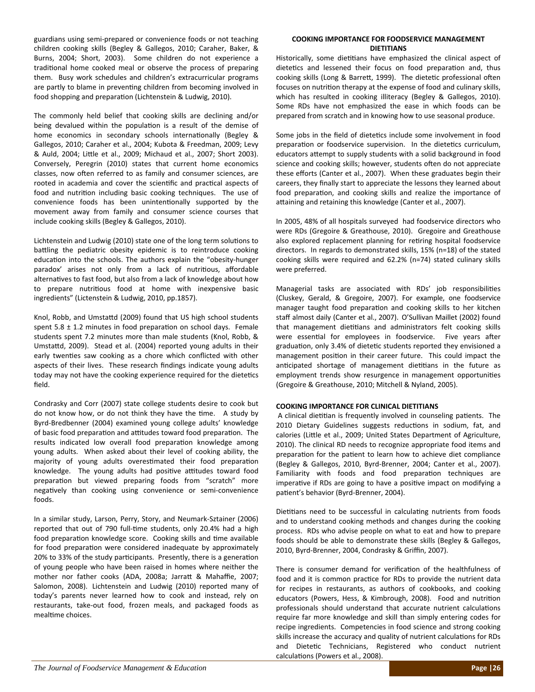guardians using semi‐prepared or convenience foods or not teaching children cooking skills (Begley & Gallegos, 2010; Caraher, Baker, & Burns, 2004; Short, 2003). Some children do not experience a traditional home cooked meal or observe the process of preparing them. Busy work schedules and children's extracurricular programs are partly to blame in preventing children from becoming involved in food shopping and preparation (Lichtenstein & Ludwig, 2010).

The commonly held belief that cooking skills are declining and/or being devalued within the population is a result of the demise of home economics in secondary schools internationally (Begley & Gallegos, 2010; Caraher et al., 2004; Kubota & Freedman, 2009; Levy & Auld, 2004; LiƩle et al., 2009; Michaud et al., 2007; Short 2003). Conversely, Peregrin (2010) states that current home economics classes, now often referred to as family and consumer sciences, are rooted in academia and cover the scientific and practical aspects of food and nutrition including basic cooking techniques. The use of convenience foods has been unintentionally supported by the movement away from family and consumer science courses that include cooking skills (Begley & Gallegos, 2010).

Lichtenstein and Ludwig (2010) state one of the long term solutions to battling the pediatric obesity epidemic is to reintroduce cooking education into the schools. The authors explain the "obesity-hunger paradox' arises not only from a lack of nutritious, affordable alternatives to fast food, but also from a lack of knowledge about how to prepare nutritious food at home with inexpensive basic ingredients" (Lictenstein & Ludwig, 2010, pp.1857).

Knol, Robb, and Umstattd (2009) found that US high school students spent  $5.8 \pm 1.2$  minutes in food preparation on school days. Female students spent 7.2 minutes more than male students (Knol, Robb, & Umstattd, 2009). Stead et al. (2004) reported young adults in their early twenties saw cooking as a chore which conflicted with other aspects of their lives. These research findings indicate young adults today may not have the cooking experience required for the dietetics field.

Condrasky and Corr (2007) state college students desire to cook but do not know how, or do not think they have the time. A study by Byrd‐Bredbenner (2004) examined young college adults' knowledge of basic food preparation and attitudes toward food preparation. The results indicated low overall food preparation knowledge among young adults. When asked about their level of cooking ability, the majority of young adults overestimated their food preparation knowledge. The young adults had positive attitudes toward food preparation but viewed preparing foods from "scratch" more negatively than cooking using convenience or semi-convenience foods.

In a similar study, Larson, Perry, Story, and Neumark‐Sztainer (2006) reported that out of 790 full-time students, only 20.4% had a high food preparation knowledge score. Cooking skills and time available for food preparation were considered inadequate by approximately 20% to 33% of the study participants. Presently, there is a generation of young people who have been raised in homes where neither the mother nor father cooks (ADA, 2008a; Jarratt & Mahaffie, 2007; Salomon, 2008). Lichtenstein and Ludwig (2010) reported many of today's parents never learned how to cook and instead, rely on restaurants, take‐out food, frozen meals, and packaged foods as mealtime choices.

#### **COOKING IMPORTANCE FOR FOODSERVICE MANAGEMENT DIETITIANS**

Historically, some dietitians have emphasized the clinical aspect of dietetics and lessened their focus on food preparation and, thus cooking skills (Long & Barrett, 1999). The dietetic professional often focuses on nutrition therapy at the expense of food and culinary skills, which has resulted in cooking illiteracy (Begley & Gallegos, 2010). Some RDs have not emphasized the ease in which foods can be prepared from scratch and in knowing how to use seasonal produce.

Some jobs in the field of dietetics include some involvement in food preparation or foodservice supervision. In the dietetics curriculum, educators attempt to supply students with a solid background in food science and cooking skills; however, students often do not appreciate these efforts (Canter et al., 2007). When these graduates begin their careers, they finally start to appreciate the lessons they learned about food preparation, and cooking skills and realize the importance of attaining and retaining this knowledge (Canter et al., 2007).

In 2005, 48% of all hospitals surveyed had foodservice directors who were RDs (Gregoire & Greathouse, 2010). Gregoire and Greathouse also explored replacement planning for retiring hospital foodservice directors. In regards to demonstrated skills, 15% (n=18) of the stated cooking skills were required and 62.2% (n=74) stated culinary skills were preferred.

Managerial tasks are associated with RDs' job responsibilities (Cluskey, Gerald, & Gregoire, 2007). For example, one foodservice manager taught food preparation and cooking skills to her kitchen staff almost daily (Canter et al., 2007). O'Sullivan Maillet (2002) found that management dietitians and administrators felt cooking skills were essential for employees in foodservice. Five years after graduation, only 3.4% of dietetic students reported they envisioned a management position in their career future. This could impact the anticipated shortage of management dietitians in the future as employment trends show resurgence in management opportunities (Gregoire & Greathouse, 2010; Mitchell & Nyland, 2005).

#### **COOKING IMPORTANCE FOR CLINICAL DIETITIANS**

A clinical dietitian is frequently involved in counseling patients. The 2010 Dietary Guidelines suggests reductions in sodium, fat, and calories (Little et al., 2009; United States Department of Agriculture, 2010). The clinical RD needs to recognize appropriate food items and preparation for the patient to learn how to achieve diet compliance (Begley & Gallegos, 2010, Byrd‐Brenner, 2004; Canter et al., 2007). Familiarity with foods and food preparation techniques are imperative if RDs are going to have a positive impact on modifying a patient's behavior (Byrd-Brenner, 2004).

Dietitians need to be successful in calculating nutrients from foods and to understand cooking methods and changes during the cooking process. RDs who advise people on what to eat and how to prepare foods should be able to demonstrate these skills (Begley & Gallegos, 2010, Byrd‐Brenner, 2004, Condrasky & Griffin, 2007).

There is consumer demand for verification of the healthfulness of food and it is common practice for RDs to provide the nutrient data for recipes in restaurants, as authors of cookbooks, and cooking educators (Powers, Hess, & Kimbrough, 2008). Food and nutrition professionals should understand that accurate nutrient calculations require far more knowledge and skill than simply entering codes for recipe ingredients. Competencies in food science and strong cooking skills increase the accuracy and quality of nutrient calculations for RDs and Dietetic Technicians, Registered who conduct nutrient calculations (Powers et al., 2008).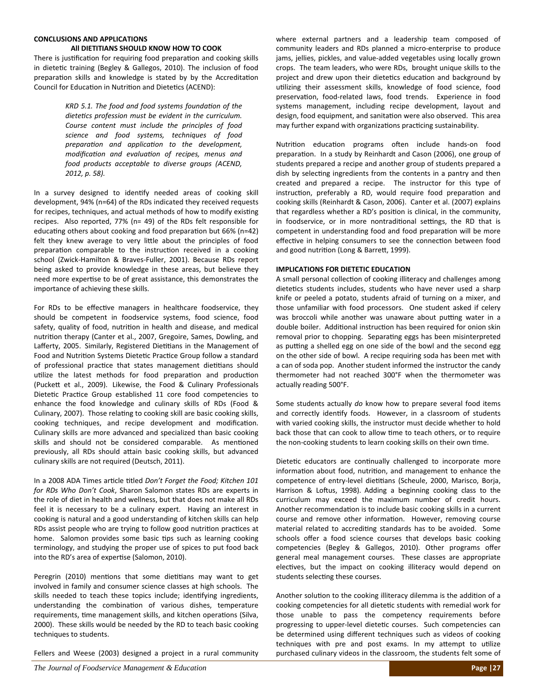#### **CONCLUSIONS AND APPLICATIONS**

#### **All DIETITIANS SHOULD KNOW HOW TO COOK**

There is justification for requiring food preparation and cooking skills in dietetic training (Begley & Gallegos, 2010). The inclusion of food preparation skills and knowledge is stated by by the Accreditation Council for Education in Nutrition and Dietetics (ACEND):

> *KRD 5.1. The food and food systems foundaƟon of the dieteƟcs profession must be evident in the curriculum. Course content must include the principles of food science and food systems, techniques of food preparaƟon and applicaƟon to the development, modificaƟon and evaluaƟon of recipes, menus and food products acceptable to diverse groups (ACEND, 2012, p. 58).*

In a survey designed to identify needed areas of cooking skill development, 94% (n=64) of the RDs indicated they received requests for recipes, techniques, and actual methods of how to modify existing recipes. Also reported, 77% (n= 49) of the RDs felt responsible for educating others about cooking and food preparation but 66% (n=42) felt they knew average to very little about the principles of food preparation comparable to the instruction received in a cooking school (Zwick‐Hamilton & Braves‐Fuller, 2001). Because RDs report being asked to provide knowledge in these areas, but believe they need more expertise to be of great assistance, this demonstrates the importance of achieving these skills.

For RDs to be effective managers in healthcare foodservice, they should be competent in foodservice systems, food science, food safety, quality of food, nutrition in health and disease, and medical nutrition therapy (Canter et al., 2007, Gregoire, Sames, Dowling, and Lafferty, 2005. Similarly, Registered Dietitians in the Management of Food and Nutrition Systems Dietetic Practice Group follow a standard of professional practice that states management dietitians should utilize the latest methods for food preparation and production (Puckett et al., 2009). Likewise, the Food & Culinary Professionals Dietetic Practice Group established 11 core food competencies to enhance the food knowledge and culinary skills of RDs (Food & Culinary, 2007). Those relating to cooking skill are basic cooking skills, cooking techniques, and recipe development and modification. Culinary skills are more advanced and specialized than basic cooking skills and should not be considered comparable. As mentioned previously, all RDs should attain basic cooking skills, but advanced culinary skills are not required (Deutsch, 2011).

In a 2008 ADA Times arƟcle Ɵtled *Don't Forget the Food; Kitchen 101 for RDs Who Don't Cook*, Sharon Salomon states RDs are experts in the role of diet in health and wellness, but that does not make all RDs feel it is necessary to be a culinary expert. Having an interest in cooking is natural and a good understanding of kitchen skills can help RDs assist people who are trying to follow good nutrition practices at home. Salomon provides some basic tips such as learning cooking terminology, and studying the proper use of spices to put food back into the RD's area of expertise (Salomon, 2010).

Peregrin (2010) mentions that some dietitians may want to get involved in family and consumer science classes at high schools. The skills needed to teach these topics include; identifying ingredients, understanding the combination of various dishes, temperature requirements, time management skills, and kitchen operations (Silva, 2000). These skills would be needed by the RD to teach basic cooking techniques to students.

Fellers and Weese (2003) designed a project in a rural community

where external partners and a leadership team composed of community leaders and RDs planned a micro‐enterprise to produce jams, jellies, pickles, and value‐added vegetables using locally grown crops. The team leaders, who were RDs, brought unique skills to the project and drew upon their dietetics education and background by utilizing their assessment skills, knowledge of food science, food preservation, food-related laws, food trends. Experience in food systems management, including recipe development, layout and design, food equipment, and sanitation were also observed. This area may further expand with organizations practicing sustainability.

Nutrition education programs often include hands-on food preparation. In a study by Reinhardt and Cason (2006), one group of students prepared a recipe and another group of students prepared a dish by selecting ingredients from the contents in a pantry and then created and prepared a recipe. The instructor for this type of instruction, preferably a RD, would require food preparation and cooking skills (Reinhardt & Cason, 2006). Canter et al. (2007) explains that regardless whether a RD's position is clinical, in the community, in foodservice, or in more nontraditional settings, the RD that is competent in understanding food and food preparation will be more effective in helping consumers to see the connection between food and good nutrition (Long & Barrett, 1999).

#### **IMPLICATIONS FOR DIETETIC EDUCATION**

A small personal collection of cooking illiteracy and challenges among dietetics students includes, students who have never used a sharp knife or peeled a potato, students afraid of turning on a mixer, and those unfamiliar with food processors. One student asked if celery was broccoli while another was unaware about putting water in a double boiler. Additional instruction has been required for onion skin removal prior to chopping. Separating eggs has been misinterpreted as putting a shelled egg on one side of the bowl and the second egg on the other side of bowl. A recipe requiring soda has been met with a can of soda pop. Another student informed the instructor the candy thermometer had not reached 300°F when the thermometer was actually reading 500°F.

Some students actually *do* know how to prepare several food items and correctly identify foods. However, in a classroom of students with varied cooking skills, the instructor must decide whether to hold back those that can cook to allow time to teach others, or to require the non-cooking students to learn cooking skills on their own time.

Dietetic educators are continually challenged to incorporate more information about food, nutrition, and management to enhance the competence of entry-level dietitians (Scheule, 2000, Marisco, Borja, Harrison & Loftus, 1998). Adding a beginning cooking class to the curriculum may exceed the maximum number of credit hours. Another recommendation is to include basic cooking skills in a current course and remove other information. However, removing course material related to accrediting standards has to be avoided. Some schools offer a food science courses that develops basic cooking competencies (Begley & Gallegos, 2010). Other programs offer general meal management courses. These classes are appropriate electives, but the impact on cooking illiteracy would depend on students selecting these courses.

Another solution to the cooking illiteracy dilemma is the addition of a cooking competencies for all dietetic students with remedial work for those unable to pass the competency requirements before progressing to upper-level dietetic courses. Such competencies can be determined using different techniques such as videos of cooking techniques with pre and post exams. In my attempt to utilize purchased culinary videos in the classroom, the students felt some of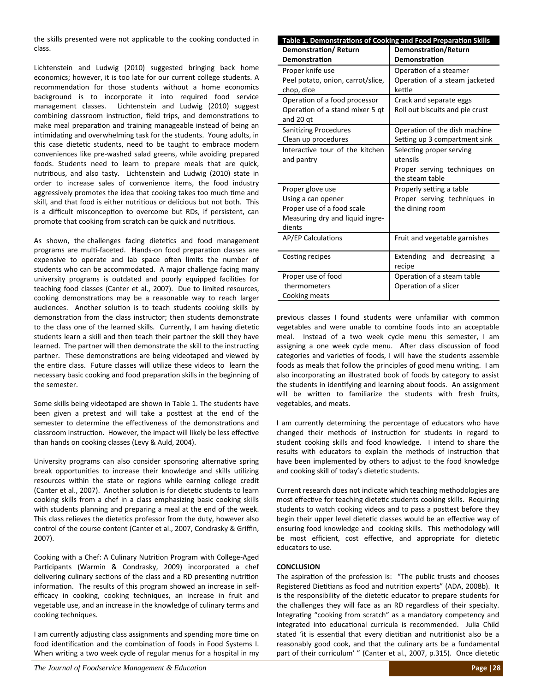the skills presented were not applicable to the cooking conducted in class.

Lichtenstein and Ludwig (2010) suggested bringing back home economics; however, it is too late for our current college students. A recommendation for those students without a home economics background is to incorporate it into required food service management classes. Lichtenstein and Ludwig (2010) suggest combining classroom instruction, field trips, and demonstrations to make meal preparation and training manageable instead of being an intimidating and overwhelming task for the students. Young adults, in this case dietetic students, need to be taught to embrace modern conveniences like pre‐washed salad greens, while avoiding prepared foods. Students need to learn to prepare meals that are quick, nutritious, and also tasty. Lichtenstein and Ludwig (2010) state in order to increase sales of convenience items, the food industry aggressively promotes the idea that cooking takes too much time and skill, and that food is either nutritious or delicious but not both. This is a difficult misconception to overcome but RDs, if persistent, can promote that cooking from scratch can be quick and nutritious.

As shown, the challenges facing dietetics and food management programs are multi-faceted. Hands-on food preparation classes are expensive to operate and lab space often limits the number of students who can be accommodated. A major challenge facing many university programs is outdated and poorly equipped facilities for teaching food classes (Canter et al., 2007). Due to limited resources, cooking demonstrations may be a reasonable way to reach larger audiences. Another solution is to teach students cooking skills by demonstration from the class instructor; then students demonstrate to the class one of the learned skills. Currently, I am having dietetic students learn a skill and then teach their partner the skill they have learned. The partner will then demonstrate the skill to the instructing partner. These demonstrations are being videotaped and viewed by the entire class. Future classes will utilize these videos to learn the necessary basic cooking and food preparation skills in the beginning of the semester.

Some skills being videotaped are shown in Table 1. The students have been given a pretest and will take a posttest at the end of the semester to determine the effectiveness of the demonstrations and classroom instruction. However, the impact will likely be less effective than hands on cooking classes (Levy & Auld, 2004).

University programs can also consider sponsoring alternative spring break opportunities to increase their knowledge and skills utilizing resources within the state or regions while earning college credit (Canter et al., 2007). Another solution is for dietetic students to learn cooking skills from a chef in a class emphasizing basic cooking skills with students planning and preparing a meal at the end of the week. This class relieves the dietetics professor from the duty, however also control of the course content (Canter et al., 2007, Condrasky & Griffin, 2007).

Cooking with a Chef: A Culinary Nutrition Program with College-Aged Participants (Warmin & Condrasky, 2009) incorporated a chef delivering culinary sections of the class and a RD presenting nutrition information. The results of this program showed an increase in selfefficacy in cooking, cooking techniques, an increase in fruit and vegetable use, and an increase in the knowledge of culinary terms and cooking techniques.

I am currently adjusting class assignments and spending more time on food identification and the combination of foods in Food Systems I. When writing a two week cycle of regular menus for a hospital in my

| Table 1. Demonstrations of Cooking and Food Preparation Skills |                                 |  |  |  |
|----------------------------------------------------------------|---------------------------------|--|--|--|
| <b>Demonstration/Return</b>                                    | <b>Demonstration/Return</b>     |  |  |  |
| <b>Demonstration</b>                                           | Demonstration                   |  |  |  |
| Proper knife use                                               | Operation of a steamer          |  |  |  |
| Peel potato, onion, carrot/slice,                              | Operation of a steam jacketed   |  |  |  |
| chop, dice                                                     | kettle                          |  |  |  |
| Operation of a food processor                                  | Crack and separate eggs         |  |  |  |
| Operation of a stand mixer 5 qt                                | Roll out biscuits and pie crust |  |  |  |
| and 20 gt                                                      |                                 |  |  |  |
| <b>Sanitizing Procedures</b>                                   | Operation of the dish machine   |  |  |  |
| Clean up procedures                                            | Setting up 3 compartment sink   |  |  |  |
| Interactive tour of the kitchen                                | Selecting proper serving        |  |  |  |
| and pantry                                                     | utensils                        |  |  |  |
|                                                                | Proper serving techniques on    |  |  |  |
|                                                                | the steam table                 |  |  |  |
| Proper glove use                                               | Properly setting a table        |  |  |  |
| Using a can opener                                             | Proper serving techniques in    |  |  |  |
| Proper use of a food scale                                     | the dining room                 |  |  |  |
| Measuring dry and liquid ingre-                                |                                 |  |  |  |
| dients                                                         |                                 |  |  |  |
| <b>AP/EP Calculations</b>                                      | Fruit and vegetable garnishes   |  |  |  |
|                                                                |                                 |  |  |  |
| Costing recipes                                                | Extending and decreasing<br>a   |  |  |  |
|                                                                | recipe                          |  |  |  |
| Proper use of food                                             | Operation of a steam table      |  |  |  |
| thermometers                                                   | Operation of a slicer           |  |  |  |
| Cooking meats                                                  |                                 |  |  |  |

previous classes I found students were unfamiliar with common vegetables and were unable to combine foods into an acceptable meal. Instead of a two week cycle menu this semester, I am assigning a one week cycle menu. After class discussion of food categories and varieties of foods, I will have the students assemble foods as meals that follow the principles of good menu writing. I am also incorporating an illustrated book of foods by category to assist the students in identifying and learning about foods. An assignment will be written to familiarize the students with fresh fruits, vegetables, and meats.

I am currently determining the percentage of educators who have changed their methods of instruction for students in regard to student cooking skills and food knowledge. I intend to share the results with educators to explain the methods of instruction that have been implemented by others to adjust to the food knowledge and cooking skill of today's dietetic students.

Current research does not indicate which teaching methodologies are most effective for teaching dietetic students cooking skills. Requiring students to watch cooking videos and to pass a posttest before they begin their upper level dietetic classes would be an effective way of ensuring food knowledge and cooking skills. This methodology will be most efficient, cost effective, and appropriate for dietetic educators to use.

#### **CONCLUSION**

The aspiration of the profession is: "The public trusts and chooses Registered Dietitians as food and nutrition experts" (ADA, 2008b). It is the responsibility of the dietetic educator to prepare students for the challenges they will face as an RD regardless of their specialty. Integrating "cooking from scratch" as a mandatory competency and integrated into educational curricula is recommended. Julia Child stated 'it is essential that every dietitian and nutritionist also be a reasonably good cook, and that the culinary arts be a fundamental part of their curriculum' " (Canter et al., 2007, p.315). Once dietetic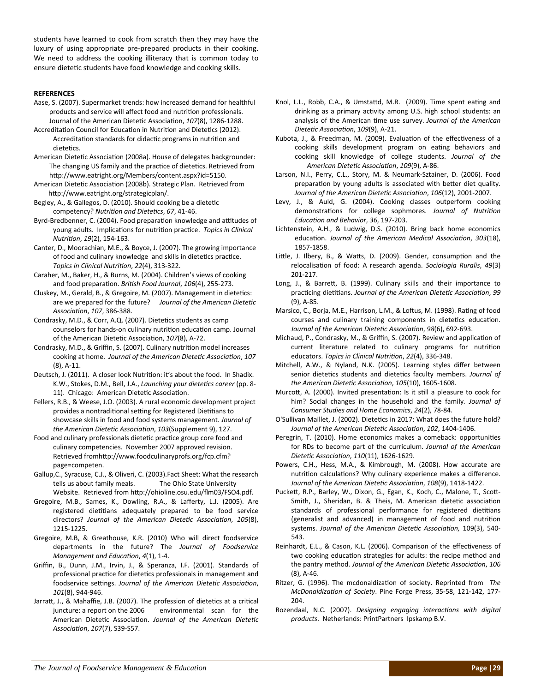students have learned to cook from scratch then they may have the luxury of using appropriate pre‐prepared products in their cooking. We need to address the cooking illiteracy that is common today to ensure dietetic students have food knowledge and cooking skills.

#### **REFERENCES**

- Aase, S. (2007). Supermarket trends: how increased demand for healthful products and service will affect food and nutrition professionals. Journal of the American Dietetic Association, 107(8), 1286-1288.
- Accreditation Council for Education in Nutrition and Dietetics (2012). Accreditation standards for didactic programs in nutrition and dietetics.
- American Dietetic Association (2008a). House of delegates backgrounder: The changing US family and the practice of dietetics. Retrieved from http://www.eatright.org/Members/content.aspx?id=5150.
- American Dietetic Association (2008b). Strategic Plan. Retrieved from http://www.eatright.org/strategicplan/.
- Begley, A., & Gallegos, D. (2010). Should cooking be a dietetic competency? *NutriƟon and DieteƟcs*, *67*, 41‐46.
- Byrd-Bredbenner, C. (2004). Food preparation knowledge and attitudes of young adults. ImplicaƟons for nutriƟon pracƟce. *Topics in Clinical NutriƟon*, *19*(2), 154‐163.
- Canter, D., Moorachian, M.E., & Boyce, J. (2007). The growing importance of food and culinary knowledge and skills in dietetics practice. *Topics in Clinical NutriƟon*, *22*(4), 313‐322.
- Caraher, M., Baker, H., & Burns, M. (2004). Children's views of cooking and food preparaƟon. *BriƟsh Food Journal*, *106*(4), 255‐273.
- Cluskey, M., Gerald, B., & Gregoire, M. (2007). Management in dietetics: are we prepared for the future? Journal of the American Dietetic *AssociaƟon*, *107*, 386‐388.
- Condrasky, M.D., & Corr, A.Q. (2007). Dietetics students as camp counselors for hands-on culinary nutrition education camp. Journal of the American Dietetic Association, 107(8), A-72.
- Condrasky, M.D., & Griffin, S. (2007). Culinary nutrition model increases cooking at home. *Journal of the American DieteƟc AssociaƟon*, *107* (8), A‐11.
- Deutsch, J. (2011). A closer look Nutrition: it's about the food. In Shadix. K.W., Stokes, D.M., Bell, J.A., Launching your dietetics career (pp. 8-11). Chicago: American Dietetic Association.
- Fellers, R.B., & Weese, J.O. (2003). A rural economic development project provides a nontraditional setting for Registered Dietitians to showcase skills in food and food systems management. *Journal of the American DieteƟc AssociaƟon*, *103*(Supplement 9), 127.
- Food and culinary professionals dietetic practice group core food and culinary competencies. November 2007 approved revision. Retrieved fromhttp://www.foodculinaryprofs.org/fcp.cfm? page=competen.
- Gallup,C., Syracuse, C.J., & Oliveri, C. (2003).Fact Sheet: What the research tells us about family meals. The Ohio State University Website. Retrieved from http://ohioline.osu.edu/flm03/FSO4.pdf.
- Gregoire, M.B., Sames, K., Dowling, R.A., & Lafferty, L.J. (2005). Are registered dietitians adequately prepared to be food service directors? *Journal of the American DieteƟc AssociaƟon*, *105*(8), 1215‐1225.
- Gregoire, M.B, & Greathouse, K.R. (2010) Who will direct foodservice departments in the future? The *Journal of Foodservice Management and EducaƟon*, *4*(1), 1‐4.
- Griffin, B., Dunn, J.M., Irvin, J., & Speranza, I.F. (2001). Standards of professional practice for dietetics professionals in management and foodservice seƫngs. *Journal of the American DieteƟc AssociaƟon*, *101*(8), 944‐946.
- Jarratt, J., & Mahaffie, J.B. (2007). The profession of dietetics at a critical juncture: a report on the 2006 environmental scan for the American Dietetic Association. Journal of the American Dietetic *AssociaƟon*, *107*(7), S39‐S57.
- Knol, L.L., Robb, C.A., & Umstattd, M.R. (2009). Time spent eating and drinking as a primary activity among U.S. high school students: an analysis of the American Ɵme use survey. *Journal of the American DieteƟc AssociaƟon*, *109*(9), A‐21.
- Kubota, J., & Freedman, M. (2009). Evaluation of the effectiveness of a cooking skills development program on eating behaviors and cooking skill knowledge of college students. *Journal of the American DieteƟc AssociaƟon*, *109*(9), A‐86.
- Larson, N.I., Perry, C.L., Story, M. & Neumark‐Sztainer, D. (2006). Food preparation by young adults is associated with better diet quality. *Journal of the American DieteƟc AssociaƟon*, *106*(12), 2001‐2007.
- Levy, J., & Auld, G. (2004). Cooking classes outperform cooking demonstrations for college sophmores. *Journal of Nutrition EducaƟon and Behavior*, *36*, 197‐203.
- Lichtenstein, A.H., & Ludwig, D.S. (2010). Bring back home economics educaƟon. *Journal of the American Medical AssociaƟon*, *303*(18), 1857‐1858.
- Little, J. Ilbery, B., & Watts, D. (2009). Gender, consumption and the relocalisaƟon of food: A research agenda. *Sociologia Ruralis*, *49*(3) 201‐217.
- Long, J., & Barrett, B. (1999). Culinary skills and their importance to pracƟcing dieƟƟans. *Journal of the American DieteƟc AssociaƟon*, *99* (9), A‐85.
- Marsico, C., Borja, M.E., Harrison, L.M., & Loftus, M. (1998). Rating of food courses and culinary training components in dietetics education. *Journal of the American DieteƟc AssociaƟon*, *98*(6), 692‐693.
- Michaud, P., Condrasky, M., & Griffin, S. (2007). Review and application of current literature related to culinary programs for nutrition educators. *Topics in Clinical NutriƟon*, *22*(4), 336‐348.
- Mitchell, A.W., & Nyland, N.K. (2005). Learning styles differ between senior dietetics students and dietetics faculty members. *Journal of the American DieteƟc AssociaƟon*, *105*(10), 1605‐1608.
- Murcott, A. (2000). Invited presentation: Is it still a pleasure to cook for him? Social changes in the household and the family*. Journal of Consumer Studies and Home Economics*, *24*(2), 78‐84.
- O'Sullivan Maillet, J. (2002). Dietetics in 2017: What does the future hold? *Journal of the American DieteƟc AssociaƟon*, *102*, 1404‐1406.
- Peregrin, T. (2010). Home economics makes a comeback: opportunities for RDs to become part of the curriculum. *Journal of the American DieteƟc AssociaƟon*, *110*(11), 1626‐1629.
- Powers, C.H., Hess, M.A., & Kimbrough, M. (2008). How accurate are nutrition calculations? Why culinary experience makes a difference. *Journal of the American DieteƟc AssociaƟon*, *108*(9), 1418‐1422.
- Puckett, R.P., Barley, W., Dixon, G., Egan, K., Koch, C., Malone, T., Scott-Smith, J., Sheridan, B. & Theis, M. American dietetic association standards of professional performance for registered dietitians (generalist and advanced) in management of food and nutrition systems. *Journal of the American DieteƟc AssociaƟon,* 109(3), 540‐ 543.
- Reinhardt, E.L., & Cason, K.L. (2006). Comparison of the effectiveness of two cooking education strategies for adults: the recipe method and the pantry method. *Journal of the American DieteƟc AssociaƟon*, *106* (8), A‐46.
- Ritzer, G. (1996). The mcdonaldization of society. Reprinted from The *McDonaldizaƟon of Society*. Pine Forge Press, 35‐58, 121‐142, 177‐ 204.
- Rozendaal, N.C. (2007). *Designing engaging interacƟons with digital products*. Netherlands: PrintPartners Ipskamp B.V.